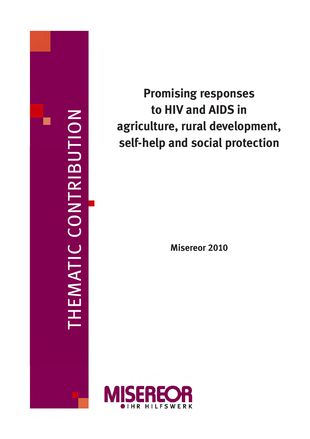

# **Promising responses to HIV and AIDS in agriculture, rural development, self-help and social protection**

**Misereor 2010**

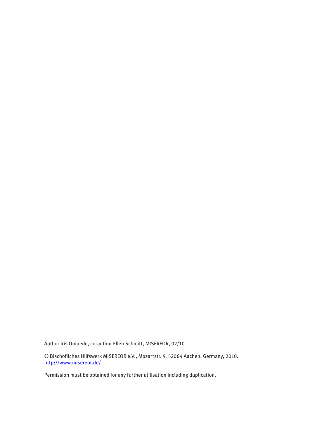Author Iris Onipede, co-author Ellen Schmitt, MISEREOR, 02/10

© Bischöfliches Hilfswerk MISEREOR e.V., Mozartstr. 9, 52064 Aachen, Germany, 2010. <http://www.misereor.de/>

Permission must be obtained for any further utilisation including duplication.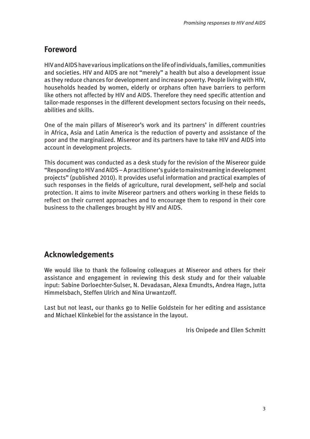# <span id="page-2-0"></span>**Foreword**

HIV and AIDS have various implications on the life of individuals, families, communities and societies. HIV and AIDS are not "merely" a health but also a development issue as they reduce chances for development and increase poverty. People living with HIV, households headed by women, elderly or orphans often have barriers to perform like others not affected by HIV and AIDS. Therefore they need specific attention and tailor-made responses in the different development sectors focusing on their needs, abilities and skills.

One of the main pillars of Misereor's work and its partners' in different countries in Africa, Asia and Latin America is the reduction of poverty and assistance of the poor and the marginalized. Misereor and its partners have to take HIV and AIDS into account in development projects.

This document was conducted as a desk study for the revision of the Misereor guide "Responding to HIV and AIDS – A practitioner's guide to mainstreaming in development projects" (published 2010). It provides useful information and practical examples of such responses in the fields of agriculture, rural development, self-help and social protection. It aims to invite Misereor partners and others working in these fields to reflect on their current approaches and to encourage them to respond in their core business to the challenges brought by HIV and AIDS.

# **Acknowledgements**

We would like to thank the following colleagues at Misereor and others for their assistance and engagement in reviewing this desk study and for their valuable input: Sabine Dorloechter-Sulser, N. Devadasan, Alexa Emundts, Andrea Hagn, Jutta Himmelsbach, Steffen Ulrich and Nina Urwantzoff.

Last but not least, our thanks go to Nellie Goldstein for her editing and assistance and Michael Klinkebiel for the assistance in the layout.

Iris Onipede and Ellen Schmitt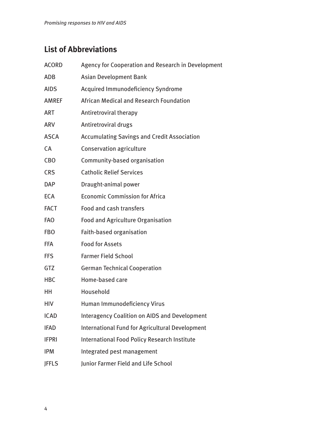# <span id="page-3-0"></span>**List of Abbreviations**

| <b>ACORD</b> | Agency for Cooperation and Research in Development   |  |
|--------------|------------------------------------------------------|--|
| <b>ADB</b>   | <b>Asian Development Bank</b>                        |  |
| <b>AIDS</b>  | Acquired Immunodeficiency Syndrome                   |  |
| <b>AMREF</b> | African Medical and Research Foundation              |  |
| <b>ART</b>   | Antiretroviral therapy                               |  |
| <b>ARV</b>   | Antiretroviral drugs                                 |  |
| <b>ASCA</b>  | <b>Accumulating Savings and Credit Association</b>   |  |
| CA           | <b>Conservation agriculture</b>                      |  |
| <b>CBO</b>   | Community-based organisation                         |  |
| <b>CRS</b>   | <b>Catholic Relief Services</b>                      |  |
| <b>DAP</b>   | Draught-animal power                                 |  |
| <b>ECA</b>   | <b>Economic Commission for Africa</b>                |  |
| <b>FACT</b>  | <b>Food and cash transfers</b>                       |  |
| <b>FAO</b>   | <b>Food and Agriculture Organisation</b>             |  |
| <b>FBO</b>   | Faith-based organisation                             |  |
| <b>FFA</b>   | <b>Food for Assets</b>                               |  |
| <b>FFS</b>   | <b>Farmer Field School</b>                           |  |
| <b>GTZ</b>   | <b>German Technical Cooperation</b>                  |  |
| <b>HBC</b>   | Home-based care                                      |  |
| HH           | Household                                            |  |
| <b>HIV</b>   | Human Immunodeficiency Virus                         |  |
| <b>ICAD</b>  | <b>Interagency Coalition on AIDS and Development</b> |  |
| <b>IFAD</b>  | International Fund for Agricultural Development      |  |
| <b>IFPRI</b> | International Food Policy Research Institute         |  |
| <b>IPM</b>   | Integrated pest management                           |  |
| <b>JFFLS</b> | Junior Farmer Field and Life School                  |  |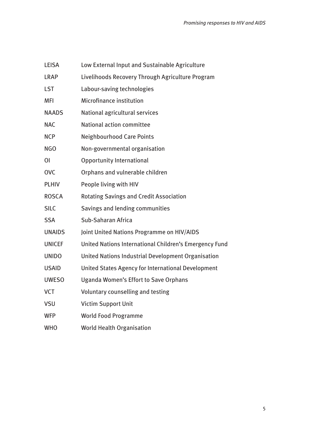| <b>LEISA</b>   | Low External Input and Sustainable Agriculture         |  |
|----------------|--------------------------------------------------------|--|
| <b>LRAP</b>    | Livelihoods Recovery Through Agriculture Program       |  |
| <b>LST</b>     | Labour-saving technologies                             |  |
| <b>MFI</b>     | Microfinance institution                               |  |
| <b>NAADS</b>   | National agricultural services                         |  |
| <b>NAC</b>     | <b>National action committee</b>                       |  |
| <b>NCP</b>     | <b>Neighbourhood Care Points</b>                       |  |
| <b>NGO</b>     | Non-governmental organisation                          |  |
| $\overline{0}$ | <b>Opportunity International</b>                       |  |
| <b>OVC</b>     | Orphans and vulnerable children                        |  |
| <b>PLHIV</b>   | People living with HIV                                 |  |
| <b>ROSCA</b>   | <b>Rotating Savings and Credit Association</b>         |  |
| <b>SILC</b>    | Savings and lending communities                        |  |
| <b>SSA</b>     | Sub-Saharan Africa                                     |  |
| <b>UNAIDS</b>  | Joint United Nations Programme on HIV/AIDS             |  |
| <b>UNICEF</b>  | United Nations International Children's Emergency Fund |  |
| <b>UNIDO</b>   | United Nations Industrial Development Organisation     |  |
| <b>USAID</b>   | United States Agency for International Development     |  |
| <b>UWESO</b>   | <b>Uganda Women's Effort to Save Orphans</b>           |  |
| <b>VCT</b>     | Voluntary counselling and testing                      |  |
| <b>VSU</b>     | <b>Victim Support Unit</b>                             |  |
| <b>WFP</b>     | <b>World Food Programme</b>                            |  |
| <b>WHO</b>     | <b>World Health Organisation</b>                       |  |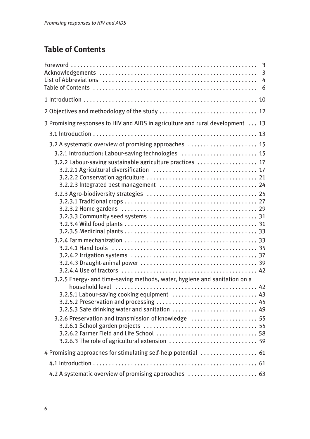# **Table of Contents**

| $\overline{3}$                                                                                                                                                                                                                     |
|------------------------------------------------------------------------------------------------------------------------------------------------------------------------------------------------------------------------------------|
|                                                                                                                                                                                                                                    |
|                                                                                                                                                                                                                                    |
| 3 Promising responses to HIV and AIDS in agriculture and rural development  13                                                                                                                                                     |
|                                                                                                                                                                                                                                    |
| 3.2 A systematic overview of promising approaches  15<br>3.2.1 Introduction: Labour-saving technologies  15<br>3.2.2 Labour-saving sustainable agriculture practices  17                                                           |
|                                                                                                                                                                                                                                    |
| 3.2.5 Energy- and time-saving methods, water, hygiene and sanitation on a<br>3.2.5.1 Labour-saving cooking equipment  43<br>3.2.5.3 Safe drinking water and sanitation  49<br>3.2.6 Preservation and transmission of knowledge  55 |
| 4 Promising approaches for stimulating self-help potential  61                                                                                                                                                                     |
|                                                                                                                                                                                                                                    |
| 4.2 A systematic overview of promising approaches  63                                                                                                                                                                              |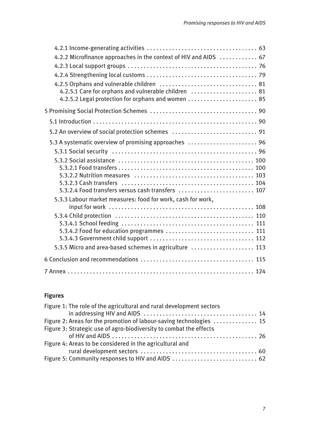| 4.2.2 Microfinance approaches in the context of HIV and AIDS  67 |
|------------------------------------------------------------------|
|                                                                  |
|                                                                  |
|                                                                  |
| 4.2.5.1 Care for orphans and vulnerable children  81             |
|                                                                  |
|                                                                  |
|                                                                  |
|                                                                  |
| 5.3 A systematic overview of promising approaches  96            |
|                                                                  |
|                                                                  |
|                                                                  |
|                                                                  |
| 5.3.2.4 Food transfers versus cash transfers  107                |
| 5.3.3 Labour market measures: food for work, cash for work,      |
|                                                                  |
|                                                                  |
|                                                                  |
| 5.3.4.2 Food for education programmes  111                       |
|                                                                  |
| 5.3.5 Micro and area-based schemes in agriculture  113           |
|                                                                  |
|                                                                  |

# **Figures**

| Figure 1: The role of the agricultural and rural development sectors |  |
|----------------------------------------------------------------------|--|
|                                                                      |  |
| Figure 2: Areas for the promotion of labour-saving technologies  15  |  |
| Figure 3: Strategic use of agro-biodiversity to combat the effects   |  |
|                                                                      |  |
| Figure 4: Areas to be considered in the agricultural and             |  |
|                                                                      |  |
| Figure 5: Community responses to HIV and AIDS  62                    |  |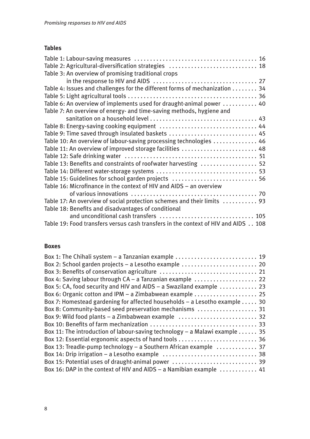# **Tables**

| Table 2: Agricultural-diversification strategies  18                              |
|-----------------------------------------------------------------------------------|
| Table 3: An overview of promising traditional crops                               |
|                                                                                   |
| Table 4: Issues and challenges for the different forms of mechanization 34        |
|                                                                                   |
| Table 6: An overview of implements used for draught-animal power  40              |
| Table 7: An overview of energy- and time-saving methods, hygiene and              |
|                                                                                   |
|                                                                                   |
| Table 9: Time saved through insulated baskets  45                                 |
| Table 10: An overview of labour-saving processing technologies  46                |
| Table 11: An overview of improved storage facilities  48                          |
|                                                                                   |
| Table 13: Benefits and constraints of roofwater harvesting  52                    |
|                                                                                   |
| Table 15: Guidelines for school garden projects  56                               |
| Table 16: Microfinance in the context of HIV and AIDS - an overview               |
|                                                                                   |
| Table 17: An overview of social protection schemes and their limits  93           |
| Table 18: Benefits and disadvantages of conditional                               |
| and unconditional cash transfers  105                                             |
| Table 19: Food transfers versus cash transfers in the context of HIV and AIDS 108 |

### **Boxes**

| Box 1: The Chihali system - a Tanzanian example  19                                   |  |
|---------------------------------------------------------------------------------------|--|
|                                                                                       |  |
|                                                                                       |  |
| Box 4: Saving labour through CA - a Tanzanian example  22                             |  |
| Box 5: CA, food security and HIV and AIDS - a Swaziland example  23                   |  |
| Box 6: Organic cotton and IPM - a Zimbabwean example  25                              |  |
| Box 7: Homestead gardening for affected households $-$ a Lesotho example  30          |  |
| Box 8: Community-based seed preservation mechanisms  31                               |  |
| Box 9: Wild food plants - a Zimbabwean example  32                                    |  |
|                                                                                       |  |
| Box 11: The introduction of labour-saving technology – a Malawi example $\ldots$ . 35 |  |
| Box 12: Essential ergonomic aspects of hand tools  36                                 |  |
| Box 13: Treadle-pump technology – a Southern African example  37                      |  |
|                                                                                       |  |
|                                                                                       |  |
| Box 16: DAP in the context of HIV and AIDS - a Namibian example  41                   |  |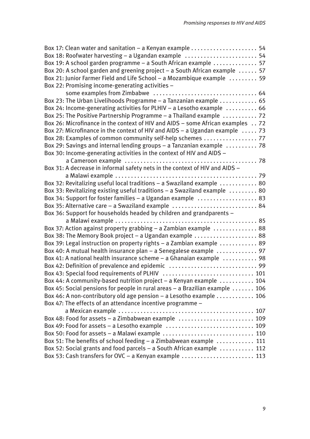| Box 17: Clean water and sanitation – a Kenyan example $\ldots \ldots \ldots \ldots \ldots \ldots$ 54 |
|------------------------------------------------------------------------------------------------------|
| Box 18: Roofwater harvesting - a Ugandan example  54                                                 |
| Box 19: A school garden programme - a South African example  57                                      |
| Box 20: A school garden and greening project - a South African example  57                           |
| Box 21: Junior Farmer Field and Life School - a Mozambique example  59                               |
| Box 22: Promising income-generating activities -                                                     |
|                                                                                                      |
| Box 23: The Urban Livelihoods Programme - a Tanzanian example  65                                    |
| Box 24: Income-generating activities for PLHIV - a Lesotho example  66                               |
| Box 25: The Positive Partnership Programme - a Thailand example  72                                  |
| Box 26: Microfinance in the context of HIV and AIDS - some African examples 72                       |
| Box 27: Microfinance in the context of HIV and AIDS - a Ugandan example  73                          |
| Box 28: Examples of common community self-help schemes  77                                           |
| Box 29: Savings and internal lending groups - a Tanzanian example  78                                |
| Box 30: Income-generating activities in the context of HIV and AIDS -                                |
|                                                                                                      |
| Box 31: A decrease in informal safety nets in the context of HIV and AIDS -                          |
|                                                                                                      |
| Box 32: Revitalizing useful local traditions - a Swaziland example  80                               |
| Box 33: Revitalizing existing useful traditions - a Swaziland example  80                            |
| Box 34: Support for foster families - a Ugandan example  83                                          |
| Box 35: Alternative care - a Swaziland example  84                                                   |
| Box 36: Support for households headed by children and grandparents -                                 |
|                                                                                                      |
| Box 37: Action against property grabbing - a Zambian example  88                                     |
| Box 38: The Memory Book project - a Ugandan example  88                                              |
| Box 39: Legal instruction on property rights - a Zambian example  89                                 |
| Box 40: A mutual health insurance plan - a Senegalese example  97                                    |
| Box 41: A national health insurance scheme - a Ghanaian example  98                                  |
|                                                                                                      |
|                                                                                                      |
| Box 44: A community-based nutrition project - a Kenyan example  104                                  |
| Box 45: Social pensions for people in rural areas - a Brazilian example  106                         |
| Box 46: A non-contributory old age pension - a Lesotho example  106                                  |
| Box 47: The effects of an attendance incentive programme -                                           |
|                                                                                                      |
| Box 48: Food for assets - a Zimbabwean example  109                                                  |
|                                                                                                      |
| Box 50: Food for assets - a Malawi example  110                                                      |
| Box 51: The benefits of school feeding - a Zimbabwean example  111                                   |
| Box 52: Social grants and food parcels - a South African example  112                                |
| Box 53: Cash transfers for OVC - a Kenyan example  113                                               |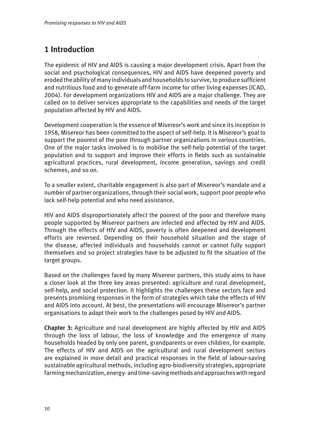# <span id="page-9-0"></span>**1 Introduction**

The epidemic of HIV and AIDS is causing a major development crisis. Apart from the social and psychological consequences, HIV and AIDS have deepened poverty and eroded the ability of many individuals and households to survive, to produce sufficient and nutritious food and to generate off-farm income for other living expenses (ICAD, 2004). For development organizations HIV and AIDS are a major challenge. They are called on to deliver services appropriate to the capabilities and needs of the target population affected by HIV and AIDS.

Development cooperation is the essence of Misereor's work and since its inception in 1958, Misereor has been committed to the aspect of self-help. It is Misereor's goal to support the poorest of the poor through partner organizations in various countries. One of the major tasks involved is to mobilise the self-help potential of the target population and to support and improve their efforts in fields such as sustainable agricultural practices, rural development, income generation, savings and credit schemes, and so on.

To a smaller extent, charitable engagement is also part of Misereor's mandate and a number of partner organizations, through their social work, support poor people who lack self-help potential and who need assistance.

HIV and AIDS disproportionately affect the poorest of the poor and therefore many people supported by Misereor partners are infected and affected by HIV and AIDS. Through the effects of HIV and AIDS, poverty is often deepened and development efforts are reversed. Depending on their household situation and the stage of the disease, affected individuals and households cannot or cannot fully support themselves and so project strategies have to be adjusted to fit the situation of the target groups.

Based on the challenges faced by many Misereor partners, this study aims to have a closer look at the three key areas presented: agriculture and rural development, self-help, and social protection. It highlights the challenges these sectors face and presents promising responses in the form of strategies which take the effects of HIV and AIDS into account. At best, the presentations will encourage Misereor's partner organisations to adapt their work to the challenges posed by HIV and AIDS.

**Chapter 3:** Agriculture and rural development are highly affected by HIV and AIDS through the loss of labour, the loss of knowledge and the emergence of many households headed by only one parent, grandparents or even children, for example. The effects of HIV and AIDS on the agricultural and rural development sectors are explained in more detail and practical responses in the field of labour-saving sustainable agricultural methods, including agro-biodiversity strategies, appropriate farming mechanization, energy- and time-saving methods and approaches with regard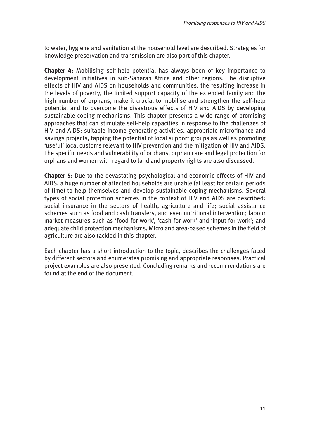to water, hygiene and sanitation at the household level are described. Strategies for knowledge preservation and transmission are also part of this chapter.

**Chapter 4:** Mobilising self-help potential has always been of key importance to development initiatives in sub-Saharan Africa and other regions. The disruptive effects of HIV and AIDS on households and communities, the resulting increase in the levels of poverty, the limited support capacity of the extended family and the high number of orphans, make it crucial to mobilise and strengthen the self-help potential and to overcome the disastrous effects of HIV and AIDS by developing sustainable coping mechanisms. This chapter presents a wide range of promising approaches that can stimulate self-help capacities in response to the challenges of HIV and AIDS: suitable income-generating activities, appropriate microfinance and savings projects, tapping the potential of local support groups as well as promoting 'useful' local customs relevant to HIV prevention and the mitigation of HIV and AIDS. The specific needs and vulnerability of orphans, orphan care and legal protection for orphans and women with regard to land and property rights are also discussed.

**Chapter 5:** Due to the devastating psychological and economic effects of HIV and AIDS, a huge number of affected households are unable (at least for certain periods of time) to help themselves and develop sustainable coping mechanisms. Several types of social protection schemes in the context of HIV and AIDS are described: social insurance in the sectors of health, agriculture and life; social assistance schemes such as food and cash transfers, and even nutritional intervention; labour market measures such as 'food for work', 'cash for work' and 'input for work'; and adequate child protection mechanisms. Micro and area-based schemes in the field of agriculture are also tackled in this chapter.

Each chapter has a short introduction to the topic, describes the challenges faced by different sectors and enumerates promising and appropriate responses. Practical project examples are also presented. Concluding remarks and recommendations are found at the end of the document.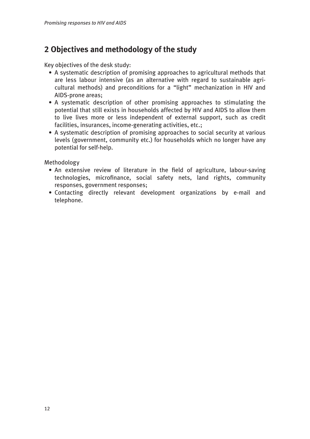# <span id="page-11-0"></span>**2 Objectives and methodology of the study**

Key objectives of the desk study:

- A systematic description of promising approaches to agricultural methods that are less labour intensive (as an alternative with regard to sustainable agri cultural methods) and preconditions for a "light" mechanization in HIV and AIDS-prone areas;
- A systematic description of other promising approaches to stimulating the potential that still exists in households affected by HIV and AIDS to allow them to live lives more or less independent of external support, such as credit facilities, insurances, income-generating activities, etc.;
- A systematic description of promising approaches to social security at various levels (government, community etc.) for households which no longer have any potential for self-help.

Methodology

- An extensive review of literature in the field of agriculture, labour-saving technologies, microfinance, social safety nets, land rights, community responses, government responses;
- Contacting directly relevant development organizations by e-mail and telephone.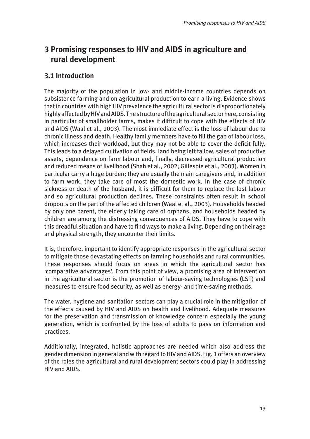# <span id="page-12-0"></span>**3 Promising responses to HIV and AIDS in agriculture and 3 rural development**

# **3.1 Introduction**

The majority of the population in low- and middle-income countries depends on subsistence farming and on agricultural production to earn a living. Evidence shows that in countries with high HIV prevalence the agricultural sector is disproportionately highly affected by HIV and AIDS. The structure of the agricultural sector here, consisting in particular of smallholder farms, makes it difficult to cope with the effects of HIV and AIDS (Waal et al., 2003). The most immediate effect is the loss of labour due to chronic illness and death. Healthy family members have to fill the gap of labour loss, which increases their workload, but they may not be able to cover the deficit fully. This leads to a delayed cultivation of fields, land being left fallow, sales of productive assets, dependence on farm labour and, finally, decreased agricultural production and reduced means of livelihood (Shah et al., 2002; Gillespie et al., 2003). Women in particular carry a huge burden; they are usually the main caregivers and, in addition to farm work, they take care of most the domestic work. In the case of chronic sickness or death of the husband, it is difficult for them to replace the lost labour and so agricultural production declines. These constraints often result in school dropouts on the part of the affected children (Waal et al., 2003). Households headed by only one parent, the elderly taking care of orphans, and households headed by children are among the distressing consequences of AIDS. They have to cope with this dreadful situation and have to find ways to make a living. Depending on their age and physical strength, they encounter their limits.

It is, therefore, important to identify appropriate responses in the agricultural sector to mitigate those devastating effects on farming households and rural communities. These responses should focus on areas in which the agricultural sector has 'comparative advantages'. From this point of view, a promising area of intervention in the agricultural sector is the promotion of labour-saving technologies (LST) and measures to ensure food security, as well as energy- and time-saving methods.

The water, hygiene and sanitation sectors can play a crucial role in the mitigation of the effects caused by HIV and AIDS on health and livelihood. Adequate measures for the preservation and transmission of knowledge concern especially the young generation, which is confronted by the loss of adults to pass on information and practices.

Additionally, integrated, holistic approaches are needed which also address the gender dimension in general and with regard to HIV and AIDS. Fig. 1 offers an overview of the roles the agricultural and rural development sectors could play in addressing HIV and AIDS.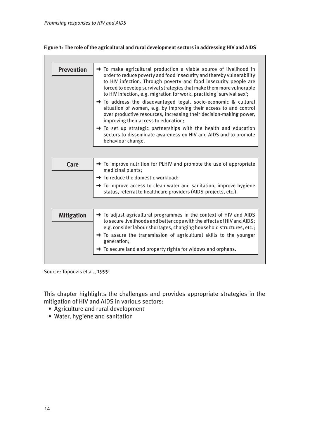#### <span id="page-13-0"></span>**Figure 1: The role of the agricultural and rural development sectors in addressing HIV and AIDS**

| <b>Prevention</b>                                                                             | $\rightarrow$ To make agricultural production a viable source of livelihood in<br>order to reduce poverty and food insecurity and thereby vulnerability<br>to HIV infection. Through poverty and food insecurity people are<br>forced to develop survival strategies that make them more vulnerable<br>to HIV infection, e.g. migration for work, practicing 'survival sex';<br>To address the disadvantaged legal, socio-economic & cultural<br>situation of women, e.g. by improving their access to and control<br>over productive resources, increasing their decision-making power,<br>improving their access to education; |
|-----------------------------------------------------------------------------------------------|----------------------------------------------------------------------------------------------------------------------------------------------------------------------------------------------------------------------------------------------------------------------------------------------------------------------------------------------------------------------------------------------------------------------------------------------------------------------------------------------------------------------------------------------------------------------------------------------------------------------------------|
|                                                                                               | $\rightarrow$ To set up strategic partnerships with the health and education<br>sectors to disseminate awareness on HIV and AIDS and to promote<br>behaviour change.                                                                                                                                                                                                                                                                                                                                                                                                                                                             |
|                                                                                               |                                                                                                                                                                                                                                                                                                                                                                                                                                                                                                                                                                                                                                  |
| Care                                                                                          | $\rightarrow$ To improve nutrition for PLHIV and promote the use of appropriate<br>medicinal plants;                                                                                                                                                                                                                                                                                                                                                                                                                                                                                                                             |
|                                                                                               | → To reduce the domestic workload;                                                                                                                                                                                                                                                                                                                                                                                                                                                                                                                                                                                               |
|                                                                                               | $\rightarrow$ To improve access to clean water and sanitation, improve hygiene<br>status, referral to healthcare providers (AIDS-projects, etc.).                                                                                                                                                                                                                                                                                                                                                                                                                                                                                |
|                                                                                               |                                                                                                                                                                                                                                                                                                                                                                                                                                                                                                                                                                                                                                  |
| <b>Mitigation</b>                                                                             | $\rightarrow$ To adjust agricultural programmes in the context of HIV and AIDS<br>to secure livelihoods and better cope with the effects of HIV and AIDS;<br>e.g. consider labour shortages, changing household structures, etc.;                                                                                                                                                                                                                                                                                                                                                                                                |
| $\rightarrow$ To assure the transmission of agricultural skills to the younger<br>generation; |                                                                                                                                                                                                                                                                                                                                                                                                                                                                                                                                                                                                                                  |
|                                                                                               |                                                                                                                                                                                                                                                                                                                                                                                                                                                                                                                                                                                                                                  |

Source: Topouzis et al., 1999

This chapter highlights the challenges and provides appropriate strategies in the mitigation of HIV and AIDS in various sectors:

- Agriculture and rural development
- Water, hygiene and sanitation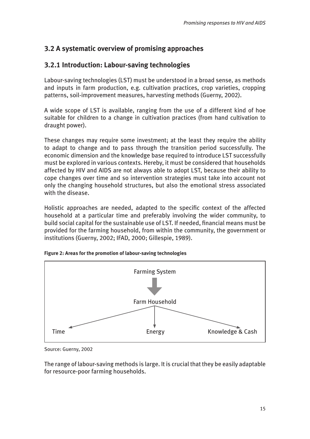# <span id="page-14-0"></span>**3.2 A systematic overview of promising approaches**

# **3.2.1 Introduction: Labour-saving technologies**

Labour-saving technologies (LST) must be understood in a broad sense, as methods and inputs in farm production, e.g. cultivation practices, crop varieties, cropping patterns, soil-improvement measures, harvesting methods (Guerny, 2002).

A wide scope of LST is available, ranging from the use of a different kind of hoe suitable for children to a change in cultivation practices (from hand cultivation to draught power).

These changes may require some investment; at the least they require the ability to adapt to change and to pass through the transition period successfully. The economic dimension and the knowledge base required to introduce LST successfully must be explored in various contexts. Hereby, it must be considered that households affected by HIV and AIDS are not always able to adopt LST, because their ability to cope changes over time and so intervention strategies must take into account not only the changing household structures, but also the emotional stress associated with the disease.

Holistic approaches are needed, adapted to the specific context of the affected household at a particular time and preferably involving the wider community, to build social capital for the sustainable use of LST. If needed, financial means must be provided for the farming household, from within the community, the government or institutions (Guerny, 2002; IFAD, 2000; Gillespie, 1989).



**Figure 2: Areas for the promotion of labour-saving technologies**

Source: Guerny, 2002

The range of labour-saving methods is large. It is crucial that they be easily adaptable for resource-poor farming households.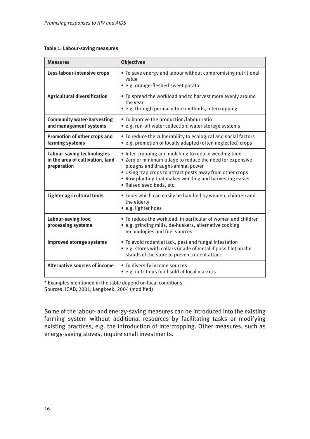#### <span id="page-15-0"></span>**Table 1: Labour-saving measures**

| <b>Measures</b>                                                                      | <b>Objectives</b>                                                                                                                                                                                                                                                                                          |  |
|--------------------------------------------------------------------------------------|------------------------------------------------------------------------------------------------------------------------------------------------------------------------------------------------------------------------------------------------------------------------------------------------------------|--|
| Less labour-intensive crops                                                          | • To save energy and labour without compromising nutritional<br>value<br>• e.g. orange-fleshed sweet potato                                                                                                                                                                                                |  |
| <b>Agricultural diversification</b>                                                  | • To spread the workload and to harvest more evenly around<br>the year<br>• e.g. through permaculture methods, intercropping                                                                                                                                                                               |  |
| <b>Community water-harvesting</b><br>and management systems                          | • To improve the production/labour ratio<br>• e.g. run-off water collection, water storage systems                                                                                                                                                                                                         |  |
| <b>Promotion of other crops and</b><br>farming systems                               | • To reduce the vulnerability to ecological and social factors<br>• e.g. promotion of locally adapted (often neglected) crops                                                                                                                                                                              |  |
| <b>Labour-saving technologies</b><br>in the area of cultivation, land<br>preparation | • Inter-cropping and mulching to reduce weeding time<br>• Zero or minimum tillage to reduce the need for expensive<br>ploughs and draught-animal power<br>• Using trap crops to attract pests away from other crops<br>• Row planting that makes weeding and harvesting easier<br>· Raised seed beds, etc. |  |
| Lighter agricultural tools                                                           | . Tools which can easily be handled by women, children and<br>the elderly<br>· e.g. lighter hoes                                                                                                                                                                                                           |  |
| <b>Labour-saving food</b><br>processing systems                                      | . To reduce the workload, in particular of women and children<br>• e.g. grinding mills, de-huskers, alternative cooking<br>technologies and fuel sources                                                                                                                                                   |  |
| <b>Improved storage systems</b>                                                      | . To avoid rodent attack, pest and fungal infestation<br>• e.g. stores with collars (made of metal if possible) on the<br>stands of the store to prevent rodent attack                                                                                                                                     |  |
| <b>Alternative sources of income</b>                                                 | • To diversify income sources<br>• e.g. nutritious food sold at local markets                                                                                                                                                                                                                              |  |

\* Examples mentioned in the table depend on local conditions. Sources: ICAD, 2001; Lengkeek, 2004 (modified)

Some of the labour- and energy-saving measures can be introduced into the existing farming system without additional resources by facilitating tasks or modifying existing practices, e.g. the introduction of intercropping. Other measures, such as energy-saving stoves, require small investments.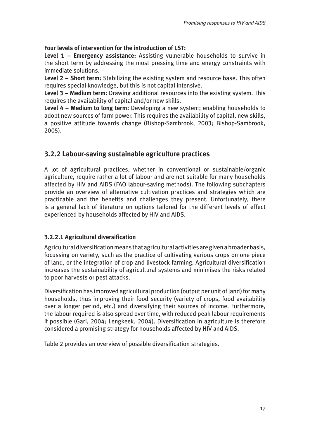# <span id="page-16-0"></span>**Four levels of intervention for the introduction of LST:**

**Level 1 – Emergency assistance:** Assisting vulnerable households to survive in the short term by addressing the most pressing time and energy constraints with immediate solutions.

**Level 2 – Short term:** Stabilizing the existing system and resource base. This often requires special knowledge, but this is not capital intensive.

**Level 3 – Medium term:** Drawing additional resources into the existing system. This requires the availability of capital and/or new skills.

**Level 4 – Medium to long term:** Developing a new system; enabling households to adopt new sources of farm power. This requires the availability of capital, new skills, a positive attitude towards change (Bishop-Sambrook, 2003; Bishop-Sambrook, 2005).

# **3.2.2 Labour-saving sustainable agriculture practices**

A lot of agricultural practices, whether in conventional or sustainable/organic agriculture, require rather a lot of labour and are not suitable for many households affected by HIV and AIDS (FAO labour-saving methods). The following subchapters provide an overview of alternative cultivation practices and strategies which are practicable and the benefits and challenges they present. Unfortunately, there is a general lack of literature on options tailored for the different levels of effect experienced by households affected by HIV and AIDS.

# **3.2.2.1 Agricultural diversification**

Agricultural diversification means that agricultural activities are given a broader basis, focussing on variety, such as the practice of cultivating various crops on one piece of land, or the integration of crop and livestock farming. Agricultural diversification increases the sustainability of agricultural systems and minimises the risks related to poor harvests or pest attacks.

Diversification has improved agricultural production (output per unit of land) for many households, thus improving their food security (variety of crops, food availability over a longer period, etc.) and diversifying their sources of income. Furthermore, the labour required is also spread over time, with reduced peak labour requirements if possible (Gari, 2004; Lengkeek, 2004). Diversification in agriculture is therefore considered a promising strategy for households affected by HIV and AIDS.

Table 2 provides an overview of possible diversification strategies.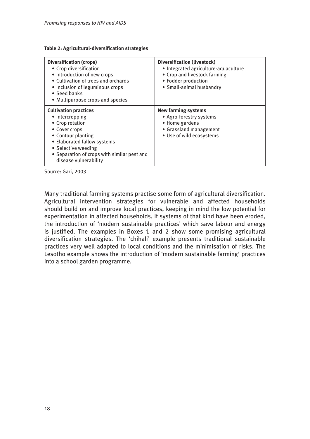<span id="page-17-0"></span>

|  |  | Table 2: Agricultural-diversification strategies |  |
|--|--|--------------------------------------------------|--|
|--|--|--------------------------------------------------|--|

| <b>Diversification (crops)</b><br>• Crop diversification<br>• Introduction of new crops<br>• Cultivation of trees and orchards<br>· Inclusion of leguminous crops<br>• Seed banks<br>• Multipurpose crops and species                   | <b>Diversification (livestock)</b><br>· Integrated agriculture-aquaculture<br>• Crop and livestock farming<br>• Fodder production<br>• Small-animal husbandry |
|-----------------------------------------------------------------------------------------------------------------------------------------------------------------------------------------------------------------------------------------|---------------------------------------------------------------------------------------------------------------------------------------------------------------|
| <b>Cultivation practices</b><br>• Intercropping<br>• Crop rotation<br>• Cover crops<br>• Contour planting<br>• Elaborated fallow systems<br>• Selective weeding<br>• Separation of crops with similar pest and<br>disease vulnerability | <b>New farming systems</b><br>• Agro-forestry systems<br>• Home gardens<br>• Grassland management<br>• Use of wild ecosystems                                 |

Source: Gari, 2003

Many traditional farming systems practise some form of agricultural diversification. Agricultural intervention strategies for vulnerable and affected households should build on and improve local practices, keeping in mind the low potential for experimentation in affected households. If systems of that kind have been eroded, the introduction of 'modern sustainable practices' which save labour and energy is justified. The examples in Boxes 1 and 2 show some promising agricultural diversification strategies. The 'chihali' example presents traditional sustainable practices very well adapted to local conditions and the minimisation of risks. The Lesotho example shows the introduction of 'modern sustainable farming' practices into a school garden programme.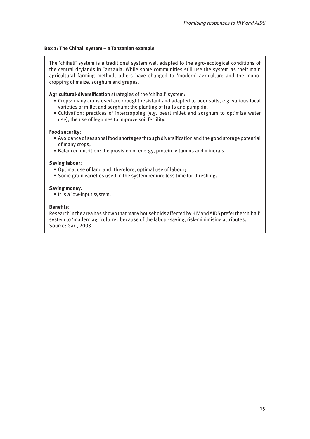#### <span id="page-18-0"></span>**Box 1: The Chihali system – a Tanzanian example**

The 'chihali' system is a traditional system well adapted to the agro-ecological conditions of the central drylands in Tanzania. While some communities still use the system as their main agricultural farming method, others have changed to 'modern' agriculture and the monocropping of maize, sorghum and grapes.

**Agricultural-diversification** strategies of the 'chihali' system:

- Crops: many crops used are drought resistant and adapted to poor soils, e.g. various local varieties of millet and sorghum; the planting of fruits and pumpkin.
- Cultivation: practices of intercropping (e.g. pearl millet and sorghum to optimize water use), the use of legumes to improve soil fertility.

#### **Food security:**

- Avoidance of seasonal food shortages through diversification and the good storage potential of many crops;
- Balanced nutrition: the provision of energy, protein, vitamins and minerals.

#### **Saving labour:**

- Optimal use of land and, therefore, optimal use of labour;
- Some grain varieties used in the system require less time for threshing.

#### **Saving money:**

• It is a low-input system.

#### **Benefits:**

Research in the area has shown that many households affected by HIV and AIDS prefer the 'chihali' system to 'modern agriculture', because of the labour-saving, risk-minimising attributes. Source: Gari, 2003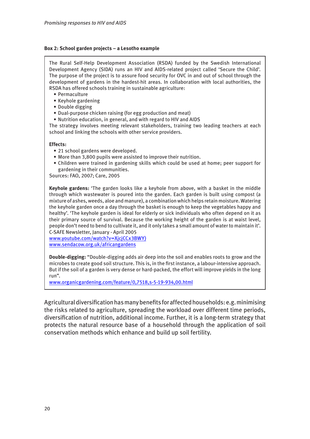#### <span id="page-19-0"></span>**Box 2: School garden projects – a Lesotho example**

The Rural Self-Help Development Association (RSDA) funded by the Swedish International Development Agency (SIDA) runs an HIV and AIDS-related project called 'Secure the Child'. The purpose of the project is to assure food security for OVC in and out of school through the development of gardens in the hardest-hit areas. In collaboration with local authorities, the RSDA has offered schools training in sustainable agriculture:

- Permaculture
- Keyhole gardening
- Double digging
- Dual-purpose chicken raising (for egg production and meat)
- Nutrition education, in general, and with regard to HIV and AIDS

The strategy involves meeting relevant stakeholders, training two leading teachers at each school and linking the schools with other service providers.

#### **Effects:**

- 21 school gardens were developed.
- More than 3,800 pupils were assisted to improve their nutrition.
- Children were trained in gardening skills which could be used at home; peer support for gardening in their communities.

Sources: FAO, 2007; Care, 2005

**Keyhole gardens:** 'The garden looks like a keyhole from above, with a basket in the middle through which wastewater is poured into the garden. Each garden is built using compost (a mixture of ashes, weeds, aloe and manure), a combination which helps retain moisture. Watering the keyhole garden once a day through the basket is enough to keep the vegetables happy and healthy'. 'The keyhole garden is ideal for elderly or sick individuals who often depend on it as their primary source of survival. Because the working height of the garden is at waist level, people don't need to bend to cultivate it, and it only takes a small amount of water to maintain it'. C-SAFE Newsletter, January - April 2005

[www.youtube.com/watch?v=XjcjCCx3BWY\)](www.youtube.com/watch?v=XjcjCCx3BWY)) <www.sendacow.org.uk/africangardens>

**Double-digging:** "Double-digging adds air deep into the soil and enables roots to grow and the microbes to create good soil structure. This is, in the first instance, a labour-intensive approach. But if the soil of a garden is very dense or hard-packed, the effort will improve yields in the long run".

<www.organicgardening.com/feature/0,7518,s-5-19-934,00.html>

Agricultural diversification has many benefits for affected households: e.g. minimising the risks related to agriculture, spreading the workload over different time periods, diversification of nutrition, additional income. Further, it is a long-term strategy that protects the natural resource base of a household through the application of soil conservation methods which enhance and build up soil fertility.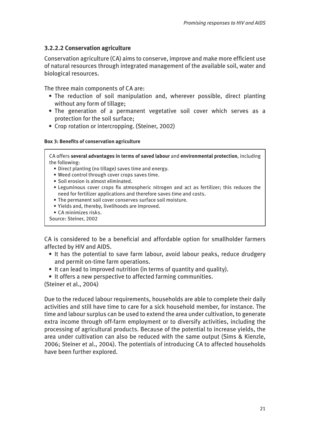### <span id="page-20-0"></span>**3.2.2.2 Conservation agriculture**

Conservation agriculture (CA) aims to conserve, improve and make more efficient use of natural resources through integrated management of the available soil, water and biological resources.

The three main components of CA are:

- The reduction of soil manipulation and, wherever possible, direct planting without any form of tillage;
- The generation of a permanent vegetative soil cover which serves as a protection for the soil surface;
- Crop rotation or intercropping. (Steiner, 2002)

#### **Box 3: Benefits of conservation agriculture**

CA offers **several advantages in terms of saved labour** and **environmental protection**, including the following:

- Direct planting (no tillage) saves time and energy.
- Weed control through cover crops saves time.
- Soil erosion is almost eliminated.
- Leguminous cover crops fix atmospheric nitrogen and act as fertilizer; this reduces the need for fertilizer applications and therefore saves time and costs.
- The permanent soil cover conserves surface soil moisture.
- Yields and, thereby, livelihoods are improved.
- CA minimizes risks.

Source: Steiner, 2002

CA is considered to be a beneficial and affordable option for smallholder farmers affected by HIV and AIDS.

- It has the potential to save farm labour, avoid labour peaks, reduce drudgery and permit on-time farm operations.
- It can lead to improved nutrition (in terms of quantity and quality).
- It offers a new perspective to affected farming communities.

(Steiner et al., 2004)

Due to the reduced labour requirements, households are able to complete their daily activities and still have time to care for a sick household member, for instance. The time and labour surplus can be used to extend the area under cultivation, to generate extra income through off-farm employment or to diversify activities, including the processing of agricultural products. Because of the potential to increase yields, the area under cultivation can also be reduced with the same output (Sims & Kienzle, 2006; Steiner et al., 2004). The potentials of introducing CA to affected households have been further explored.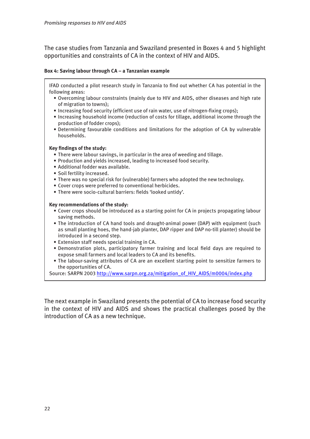<span id="page-21-0"></span>The case studies from Tanzania and Swaziland presented in Boxes 4 and 5 highlight opportunities and constraints of CA in the context of HIV and AIDS.

#### **Box 4: Saving labour through CA – a Tanzanian example**

IFAD conducted a pilot research study in Tanzania to find out whether CA has potential in the following areas:

- Overcoming labour constraints (mainly due to HIV and AIDS, other diseases and high rate of migration to towns);
- Increasing food security (efficient use of rain water, use of nitrogen-fixing crops);
- Increasing household income (reduction of costs for tillage, additional income through the production of fodder crops);
- Determining favourable conditions and limitations for the adoption of CA by vulnerable households.

#### **Key findings of the study:**

- There were labour savings, in particular in the area of weeding and tillage.
- Production and yields increased, leading to increased food security.
- Additional fodder was available.
- Soil fertility increased.
- There was no special risk for (vulnerable) farmers who adopted the new technology.
- Cover crops were preferred to conventional herbicides.
- There were socio-cultural barriers: fields 'looked untidy'.

#### **Key recommendations of the study:**

- Cover crops should be introduced as a starting point for CA in projects propagating labour saving methods.
- The introduction of CA hand tools and draught-animal power (DAP) with equipment (such as small planting hoes, the hand-jab planter, DAP ripper and DAP no-till planter) should be introduced in a second step.
- Extension staff needs special training in CA.
- Demonstration plots, participatory farmer training and local field days are required to expose small farmers and local leaders to CA and its benefits.
- The labour-saving attributes of CA are an excellent starting point to sensitize farmers to the opportunities of CA.

Source: SARPN 2003 [http://www.sarpn.org.za/mitigation\\_of\\_HIV\\_AIDS/m0004/index.php](http://www.sarpn.org.za/mitigation_of_HIV_AIDS/m0004/index.php)

The next example in Swaziland presents the potential of CA to increase food security in the context of HIV and AIDS and shows the practical challenges posed by the introduction of CA as a new technique.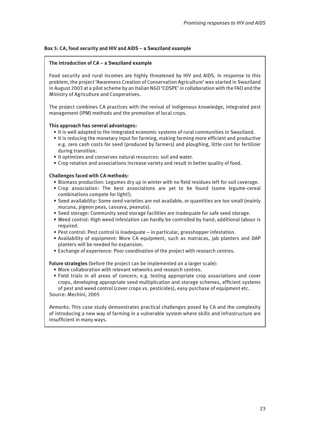#### <span id="page-22-0"></span>**Box 5: CA, food security and HIV and AIDS – a Swaziland example**

#### **The introduction of CA – a Swaziland example**

Food security and rural incomes are highly threatened by HIV and AIDS. In response to this problem, the project 'Awareness Creation of Conservation Agriculture' was started in Swaziland in August 2003 at a pilot scheme by an Italian NGO 'COSPE' in collaboration with the FAO and the Ministry of Agriculture and Cooperatives.

The project combines CA practices with the revival of indigenous knowledge, integrated pest management (IPM) methods and the promotion of local crops.

#### **This approach has several advantages:**

- It is well adapted to the integrated economic systems of rural communities in Swaziland.
- It is reducing the monetary input for farming, making farming more efficient and productive e.g. zero cash costs for seed (produced by farmers) and ploughing, little cost for fertilizer during transition.
- It optimizes and conserves natural resources: soil and water.
- Crop rotation and associations increase variety and result in better quality of food.

#### **Challenges faced with CA methods:**

- Biomass production: Legumes dry up in winter with no field residues left for soil coverage.
- Crop association: The best associations are yet to be found (some legume-cereal combinations compete for light!).
- Seed availability: Some seed varieties are not available, or quantities are too small (mainly mucuna, pigeon peas, cassava, peanuts).
- Seed storage: Community seed storage facilities are inadequate for safe seed storage.
- Weed control: High weed infestation can hardly be controlled by hand; additional labour is required.
- Pest control: Pest control is inadequate in particular, grasshopper infestation.
- Availability of equipment: More CA equipment, such as matracas, jab planters and DAP planters will be needed for expansion.
- Exchange of experience: Poor coordination of the project with research centres.

**Future strategies** (before the project can be implemented on a larger scale):

- More collaboration with relevant networks and research centres.
- Field trials in all areas of concern, e.g. testing appropriate crop associations and cover crops, developing appropriate seed multiplication and storage schemes, efficient systems of pest and weed control (cover crops vs. pesticides), easy purchase of equipment etc. Source: Mechini, 2005

*Remarks:* This case study demonstrates practical challenges posed by CA and the complexity of introducing a new way of farming in a vulnerable system where skills and infrastructure are insufficient in many ways.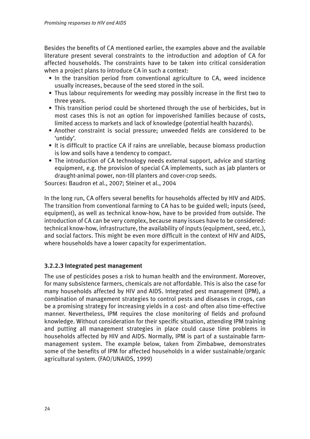<span id="page-23-0"></span>Besides the benefits of CA mentioned earlier, the examples above and the available literature present several constraints to the introduction and adoption of CA for affected households. The constraints have to be taken into critical consideration when a project plans to introduce CA in such a context:

- In the transition period from conventional agriculture to CA, weed incidence usually increases, because of the seed stored in the soil.
- Thus labour requirements for weeding may possibly increase in the first two to three years.
- This transition period could be shortened through the use of herbicides, but in most cases this is not an option for impoverished families because of costs, limited access to markets and lack of knowledge (potential health hazards).
- Another constraint is social pressure; unweeded fields are considered to be 'untidy'.
- It is difficult to practice CA if rains are unreliable, because biomass production is low and soils have a tendency to compact.
- The introduction of CA technology needs external support, advice and starting equipment, e.g. the provision of special CA implements, such as jab planters or draught-animal power, non-till planters and cover-crop seeds.

Sources: Baudron et al., 2007; Steiner et al., 2004

In the long run, CA offers several benefits for households affected by HIV and AIDS. The transition from conventional farming to CA has to be guided well; inputs (seed, equipment), as well as technical know-how, have to be provided from outside. The introduction of CA can be very complex, because many issues have to be considered: technical know-how, infrastructure, the availability of inputs (equipment, seed, etc.), and social factors. This might be even more difficult in the context of HIV and AIDS, where households have a lower capacity for experimentation.

# **3.2.2.3 Integrated pest management**

The use of pesticides poses a risk to human health and the environment. Moreover, for many subsistence farmers, chemicals are not affordable. This is also the case for many households affected by HIV and AIDS. Integrated pest management (IPM), a combination of management strategies to control pests and diseases in crops, can be a promising strategy for increasing yields in a cost- and often also time-effective manner. Nevertheless, IPM requires the close monitoring of fields and profound knowledge. Without consideration for their specific situation, attending IPM training and putting all management strategies in place could cause time problems in households affected by HIV and AIDS. Normally, IPM is part of a sustainable farmmanagement system. The example below, taken from Zimbabwe, demonstrates some of the benefits of IPM for affected households in a wider sustainable/organic agricultural system. (FAO/UNAIDS, 1999)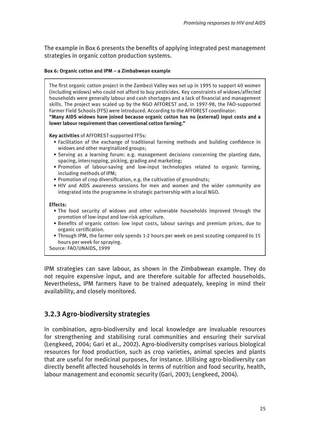<span id="page-24-0"></span>The example in Box 6 presents the benefits of applying integrated pest management strategies in organic cotton production systems.

#### **Box 6: Organic cotton and IPM – a Zimbabwean example**

The first organic cotton project in the Zambezi Valley was set up in 1995 to support 40 women (including widows) who could not afford to buy pesticides. Key constraints of widows/affected households were generally labour and cash shortages and a lack of financial and management skills. The project was scaled up by the NGO AFFOREST and, in 1997-98, the FAO-supported Farmer Field Schools (FFS) were introduced. According to the AFFOREST coordinator:

**"Many AIDS widows have joined because organic cotton has no (external) input costs and a lower labour requirement than conventional cotton farming."**

**Key activities** of AFFOREST-supported FFSs:

- Facilitation of the exchange of traditional farming methods and building confidence in widows and other marginalized groups;
- Serving as a learning forum: e.g. management decisions concerning the planting date, spacing, intercropping, picking, grading and marketing;
- Promotion of labour-saving and low-input technologies related to organic farming, including methods of IPM;
- Promotion of crop diversification, e.g. the cultivation of groundnuts;
- HIV and AIDS awareness sessions for men and women and the wider community are integrated into the programme in strategic partnership with a local NGO.

#### **Effects:**

- The food security of widows and other vulnerable households improved through the promotion of low-input and low-risk agriculture.
- Benefits of organic cotton: low input costs, labour savings and premium prices, due to organic certification.
- Through IPM, the farmer only spends 1-2 hours per week on pest scouting compared to 15 hours per week for spraying.

Source: FAO/UNAIDS, 1999

IPM strategies can save labour, as shown in the Zimbabwean example. They do not require expensive input, and are therefore suitable for affected households. Nevertheless, IPM farmers have to be trained adequately, keeping in mind their availability, and closely monitored.

# **3.2.3 Agro-biodiversity strategies**

In combination, agro-biodiversity and local knowledge are invaluable resources for strengthening and stabilising rural communities and ensuring their survival (Lengkeed, 2004; Gari et al., 2002). Agro-biodiversity comprises various biological resources for food production, such as crop varieties, animal species and plants that are useful for medicinal purposes, for instance. Utilising agro-biodiversity can directly benefit affected households in terms of nutrition and food security, health, labour management and economic security (Gari, 2003; Lengkeed, 2004).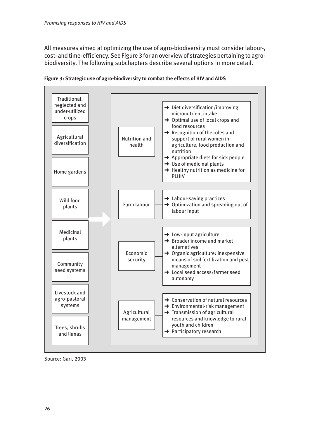<span id="page-25-0"></span>All measures aimed at optimizing the use of agro-biodiversity must consider labour-, cost- and time-efficiency. See Figure 3 for an overview of strategies pertaining to agrobiodiversity. The following subchapters describe several options in more detail.



**Figure 3: Strategic use of agro-biodiversity to combat the effects of HIV and AIDS**

Source: Gari, 2003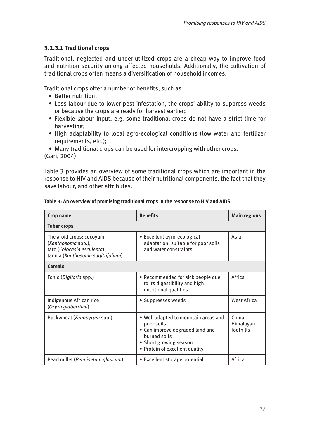# <span id="page-26-0"></span>**3.2.3.1 Traditional crops**

Traditional, neglected and under-utilized crops are a cheap way to improve food and nutrition security among affected households. Additionally, the cultivation of traditional crops often means a diversification of household incomes.

Traditional crops offer a number of benefits, such as

- Better nutrition;
- Less labour due to lower pest infestation, the crops' ability to suppress weeds or because the crops are ready for harvest earlier;
- Flexible labour input, e.g. some traditional crops do not have a strict time for harvesting;
- High adaptability to local agro-ecological conditions (low water and fertilizer requirements, etc.);

• Many traditional crops can be used for intercropping with other crops. (Gari, 2004)

Table 3 provides an overview of some traditional crops which are important in the response to HIV and AIDS because of their nutritional components, the fact that they save labour, and other attributes.

| Crop name                                                                                                          | <b>Benefits</b>                                                                                                                                                   | <b>Main regions</b>              |  |  |
|--------------------------------------------------------------------------------------------------------------------|-------------------------------------------------------------------------------------------------------------------------------------------------------------------|----------------------------------|--|--|
| <b>Tuber crops</b>                                                                                                 |                                                                                                                                                                   |                                  |  |  |
| The aroid crops: cocoyam<br>(Xanthosoma spp.),<br>taro (Colocasia esculenta),<br>tannia (Xanthosoma sagittifolium) | • Excellent agro-ecological<br>adaptation; suitable for poor soils<br>and water constraints                                                                       | Asia                             |  |  |
| <b>Cereals</b>                                                                                                     |                                                                                                                                                                   |                                  |  |  |
| Fonio (Digitaria spp.)                                                                                             | • Recommended for sick people due<br>to its digestibility and high<br>nutritional qualities                                                                       | Africa                           |  |  |
| Indigenous African rice<br>(Oryza glaberrima)                                                                      | • Suppresses weeds                                                                                                                                                | <b>West Africa</b>               |  |  |
| Buckwheat (Fagopyrum spp.)                                                                                         | . Well adapted to mountain areas and<br>poor soils<br>• Can improve degraded land and<br>burned soils<br>• Short growing season<br>• Protein of excellent quality | China,<br>Himalayan<br>foothills |  |  |
| Pearl millet (Pennisetum glaucum)                                                                                  | • Excellent storage potential                                                                                                                                     | Africa                           |  |  |

**Table 3: An overview of promising traditional crops in the response to HIV and AIDS**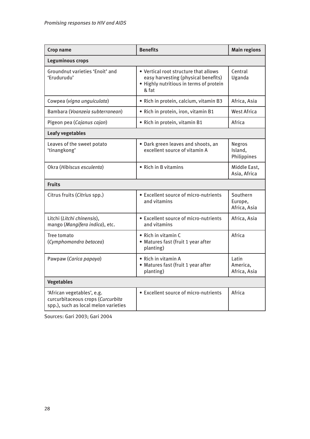| <b>Crop name</b>                                                                                        | <b>Benefits</b>                                                                                                                  | <b>Main regions</b>                     |  |  |  |
|---------------------------------------------------------------------------------------------------------|----------------------------------------------------------------------------------------------------------------------------------|-----------------------------------------|--|--|--|
| <b>Leguminous crops</b>                                                                                 |                                                                                                                                  |                                         |  |  |  |
| Groundnut varieties 'Enoit' and<br>'Erudurudu'                                                          | • Vertical root structure that allows<br>easy harvesting (physical benefits)<br>. Highly nutritious in terms of protein<br>& fat | Central<br>Uganda                       |  |  |  |
| Cowpea (vigna unguiculata)                                                                              | · Rich in protein, calcium, vitamin B3                                                                                           | Africa, Asia                            |  |  |  |
| Bambara (Voanzeia subterranean)                                                                         | · Rich in protein, iron, vitamin B1                                                                                              | <b>West Africa</b>                      |  |  |  |
| Pigeon pea (Cajanus cajan)                                                                              | · Rich in protein, vitamin B1                                                                                                    | Africa                                  |  |  |  |
| <b>Leafy vegetables</b>                                                                                 |                                                                                                                                  |                                         |  |  |  |
| Leaves of the sweet potato<br>'tinangkong'                                                              | . Dark green leaves and shoots, an<br>excellent source of vitamin A                                                              | <b>Negros</b><br>Island,<br>Philippines |  |  |  |
| Okra (Hibiscus esculenta)                                                                               | • Rich in B vitamins                                                                                                             | Middle East,<br>Asia, Africa            |  |  |  |
| <b>Fruits</b>                                                                                           |                                                                                                                                  |                                         |  |  |  |
| Citrus fruits (Citrius spp.)                                                                            | • Excellent source of micro-nutrients<br>and vitamins                                                                            | Southern<br>Europe,<br>Africa, Asia     |  |  |  |
| Litchi (Litchi chinensis),<br>mango (Mangifera indica), etc.                                            | • Excellent source of micro-nutrients<br>and vitamins                                                                            | Africa, Asia                            |  |  |  |
| Tree tomato<br>(Cymphomandra betacea)                                                                   | • Rich in vitamin C<br>• Matures fast (fruit 1 year after<br>planting)                                                           | Africa                                  |  |  |  |
| Pawpaw (Carica papaya)                                                                                  | • Rich in vitamin A<br>• Matures fast (fruit 1 year after<br>planting)                                                           | Latin<br>America,<br>Africa, Asia       |  |  |  |
| <b>Vegetables</b>                                                                                       |                                                                                                                                  |                                         |  |  |  |
| 'African vegetables', e.g.<br>curcurbitaceous crops (Curcurbita<br>spp.), such as local melon varieties | • Excellent source of micro-nutrients                                                                                            | Africa                                  |  |  |  |

Sources: Gari 2003; Gari 2004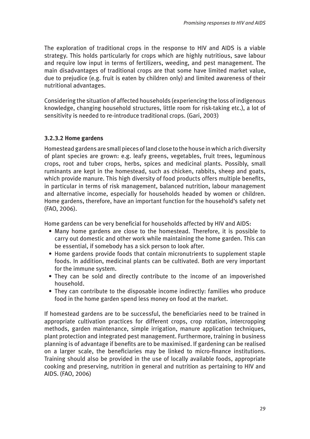<span id="page-28-0"></span>The exploration of traditional crops in the response to HIV and AIDS is a viable strategy. This holds particularly for crops which are highly nutritious, save labour and require low input in terms of fertilizers, weeding, and pest management. The main disadvantages of traditional crops are that some have limited market value, due to prejudice (e.g. fruit is eaten by children only) and limited awareness of their nutritional advantages.

Considering the situation of affected households (experiencing the loss of indigenous knowledge, changing household structures, little room for risk-taking etc.), a lot of sensitivity is needed to re-introduce traditional crops. (Gari, 2003)

### **3.2.3.2 Home gardens**

Homestead gardens are small pieces of land close to the house in which a rich diversity of plant species are grown: e.g. leafy greens, vegetables, fruit trees, leguminous crops, root and tuber crops, herbs, spices and medicinal plants. Possibly, small ruminants are kept in the homestead, such as chicken, rabbits, sheep and goats, which provide manure. This high diversity of food products offers multiple benefits, in particular in terms of risk management, balanced nutrition, labour management and alternative income, especially for households headed by women or children. Home gardens, therefore, have an important function for the household's safety net (FAO, 2006).

Home gardens can be very beneficial for households affected by HIV and AIDS:

- Many home gardens are close to the homestead. Therefore, it is possible to carry out domestic and other work while maintaining the home garden. This can be essential, if somebody has a sick person to look after.
- Home gardens provide foods that contain micronutrients to supplement staple foods. In addition, medicinal plants can be cultivated. Both are very important for the immune system.
- They can be sold and directly contribute to the income of an impoverished household.
- They can contribute to the disposable income indirectly: families who produce food in the home garden spend less money on food at the market.

If homestead gardens are to be successful, the beneficiaries need to be trained in appropriate cultivation practices for different crops, crop rotation, intercropping methods, garden maintenance, simple irrigation, manure application techniques, plant protection and integrated pest management. Furthermore, training in business planning is of advantage if benefits are to be maximised. If gardening can be realised on a larger scale, the beneficiaries may be linked to micro-finance institutions. Training should also be provided in the use of locally available foods, appropriate cooking and preserving, nutrition in general and nutrition as pertaining to HIV and AIDS. (FAO, 2006)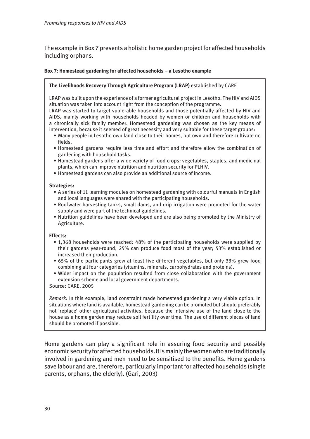<span id="page-29-0"></span>The example in Box 7 presents a holistic home garden project for affected households including orphans.

#### **Box 7: Homestead gardening for affected households – a Lesotho example**

#### **The Livelihoods Recovery Through Agriculture Program (LRAP)** established by CARE

LRAP was built upon the experience of a former agricultural project in Lesotho. The HIV and AIDS situation was taken into account right from the conception of the programme.

LRAP was started to target vulnerable households and those potentially affected by HIV and AIDS, mainly working with households headed by women or children and households with a chronically sick family member. Homestead gardening was chosen as the key means of intervention, because it seemed of great necessity and very suitable for these target groups:

- Many people in Lesotho own land close to their homes, but own and therefore cultivate no fields.
- Homestead gardens require less time and effort and therefore allow the combination of gardening with household tasks.
- Homestead gardens offer a wide variety of food crops: vegetables, staples, and medicinal plants, which can improve nutrition and nutrition security for PLHIV.
- Homestead gardens can also provide an additional source of income.

#### **Strategies:**

- A series of 11 learning modules on homestead gardening with colourful manuals in English and local languages were shared with the participating households.
- Roofwater harvesting tanks, small dams, and drip irrigation were promoted for the water supply and were part of the technical guidelines.
- Nutrition guidelines have been developed and are also being promoted by the Ministry of Agriculture.

#### **Effects:**

- 1,368 households were reached: 48% of the participating households were supplied by their gardens year-round; 25% can produce food most of the year; 53% established or increased their production.
- 65% of the participants grew at least five different vegetables, but only 33% grew food combining all four categories (vitamins, minerals, carbohydrates and proteins).
- Wider impact on the population resulted from close collaboration with the government extension scheme and local government departments.

Source: CARE, 2005

*Remark:* In this example, land constraint made homestead gardening a very viable option. In situations where land is available, homestead gardening can be promoted but should preferably not 'replace' other agricultural activities, because the intensive use of the land close to the house as a home garden may reduce soil fertility over time. The use of different pieces of land should be promoted if possible.

Home gardens can play a significant role in assuring food security and possibly economic security for affected households. It is mainly the women who are traditionally involved in gardening and men need to be sensitised to the benefits. Home gardens save labour and are, therefore, particularly important for affected households (single parents, orphans, the elderly). (Gari, 2003)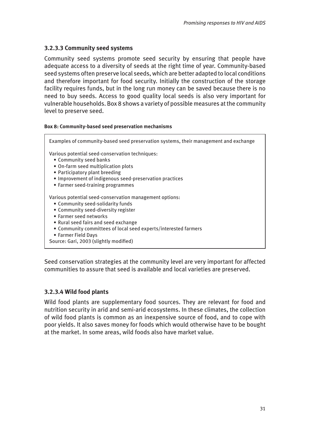### <span id="page-30-0"></span>**3.2.3.3 Community seed systems**

Community seed systems promote seed security by ensuring that people have adequate access to a diversity of seeds at the right time of year. Community-based seed systems often preserve local seeds, which are better adapted to local conditions and therefore important for food security. Initially the construction of the storage facility requires funds, but in the long run money can be saved because there is no need to buy seeds. Access to good quality local seeds is also very important for vulnerable households. Box 8 shows a variety of possible measures at the community level to preserve seed.

#### **Box 8: Community-based seed preservation mechanisms**

Examples of community-based seed preservation systems, their management and exchange Various potential seed-conservation techniques: • Community seed banks

- On-farm seed multiplication plots
- Participatory plant breeding
- Improvement of indigenous seed-preservation practices
- Farmer seed-training programmes

Various potential seed-conservation management options:

- Community seed-solidarity funds
- Community seed-diversity register
- Farmer seed networks
- Rural seed fairs and seed exchange
- Community committees of local seed experts/interested farmers
- Farmer Field Days
- Source: Gari, 2003 (slightly modified)

Seed conservation strategies at the community level are very important for affected communities to assure that seed is available and local varieties are preserved.

### **3.2.3.4 Wild food plants**

Wild food plants are supplementary food sources. They are relevant for food and nutrition security in arid and semi-arid ecosystems. In these climates, the collection of wild food plants is common as an inexpensive source of food, and to cope with poor yields. It also saves money for foods which would otherwise have to be bought at the market. In some areas, wild foods also have market value.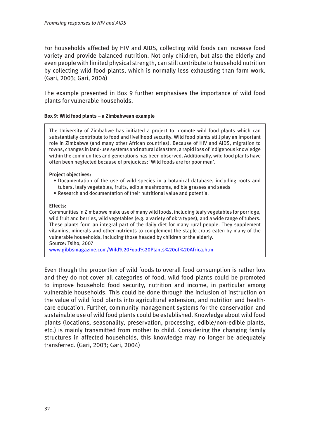<span id="page-31-0"></span>For households affected by HIV and AIDS, collecting wild foods can increase food variety and provide balanced nutrition. Not only children, but also the elderly and even people with limited physical strength, can still contribute to household nutrition by collecting wild food plants, which is normally less exhausting than farm work. (Gari, 2003; Gari, 2004)

The example presented in Box 9 further emphasises the importance of wild food plants for vulnerable households.

#### **Box 9: Wild food plants – a Zimbabwean example**

The University of Zimbabwe has initiated a project to promote wild food plants which can substantially contribute to food and livelihood security. Wild food plants still play an important role in Zimbabwe (and many other African countries). Because of HIV and AIDS, migration to towns, changes in land-use systems and natural disasters, a rapid loss of indigenous knowledge within the communities and generations has been observed. Additionally, wild food plants have often been neglected because of prejudices: 'Wild foods are for poor men'.

#### **Project objectives:**

- Documentation of the use of wild species in a botanical database, including roots and tubers, leafy vegetables, fruits, edible mushrooms, edible grasses and seeds
- Research and documentation of their nutritional value and potential

#### **Effects:**

Communities in Zimbabwe make use of many wild foods, including leafy vegetables for porridge, wild fruit and berries, wild vegetables (e.g. a variety of okra types), and a wide range of tubers. These plants form an integral part of the daily diet for many rural people. They supplement vitamins, minerals and other nutrients to complement the staple crops eaten by many of the vulnerable households, including those headed by children or the elderly. Source: Tsiho, 2007

<www.gibbsmagazine.com/Wild%20Food%20Plants%20of%20Africa.htm>

Even though the proportion of wild foods to overall food consumption is rather low and they do not cover all categories of food, wild food plants could be promoted to improve household food security, nutrition and income, in particular among vulnerable households. This could be done through the inclusion of instruction on the value of wild food plants into agricultural extension, and nutrition and healthcare education. Further, community management systems for the conservation and sustainable use of wild food plants could be established. Knowledge about wild food plants (locations, seasonality, preservation, processing, edible/non-edible plants, etc.) is mainly transmitted from mother to child. Considering the changing family structures in affected households, this knowledge may no longer be adequately transferred. (Gari, 2003; Gari, 2004)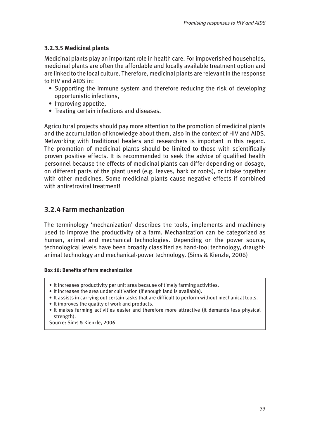### <span id="page-32-0"></span>**3.2.3.5 Medicinal plants**

Medicinal plants play an important role in health care. For impoverished households, medicinal plants are often the affordable and locally available treatment option and are linked to the local culture. Therefore, medicinal plants are relevant in the response to HIV and AIDS in:

- Supporting the immune system and therefore reducing the risk of developing opportunistic infections,
- Improving appetite,
- Treating certain infections and diseases.

Agricultural projects should pay more attention to the promotion of medicinal plants and the accumulation of knowledge about them, also in the context of HIV and AIDS. Networking with traditional healers and researchers is important in this regard. The promotion of medicinal plants should be limited to those with scientifically proven positive effects. It is recommended to seek the advice of qualified health personnel because the effects of medicinal plants can differ depending on dosage, on different parts of the plant used (e.g. leaves, bark or roots), or intake together with other medicines. Some medicinal plants cause negative effects if combined with antiretroviral treatment!

# **3.2.4 Farm mechanization**

The terminology 'mechanization' describes the tools, implements and machinery used to improve the productivity of a farm. Mechanization can be categorized as human, animal and mechanical technologies. Depending on the power source, technological levels have been broadly classified as hand-tool technology, draughtanimal technology and mechanical-power technology. (Sims & Kienzle, 2006)

#### **Box 10: Benefits of farm mechanization**

- It increases productivity per unit area because of timely farming activities.
- It increases the area under cultivation (if enough land is available).
- It assists in carrying out certain tasks that are difficult to perform without mechanical tools.
- It improves the quality of work and products.
- It makes farming activities easier and therefore more attractive (it demands less physical strength).

Source: Sims & Kienzle, 2006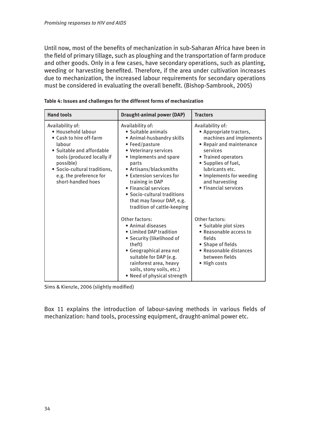<span id="page-33-0"></span>Until now, most of the benefits of mechanization in sub-Saharan Africa have been in the field of primary tillage, such as ploughing and the transportation of farm produce and other goods. Only in a few cases, have secondary operations, such as planting, weeding or harvesting benefited. Therefore, if the area under cultivation increases due to mechanization, the increased labour requirements for secondary operations must be considered in evaluating the overall benefit. (Bishop-Sambrook, 2005)

| <b>Hand tools</b>                                                                                                                                                                                                                    | <b>Draught-animal power (DAP)</b>                                                                                                                                                                                                                                                                                                             | <b>Tractors</b>                                                                                                                                                                                                                                       |
|--------------------------------------------------------------------------------------------------------------------------------------------------------------------------------------------------------------------------------------|-----------------------------------------------------------------------------------------------------------------------------------------------------------------------------------------------------------------------------------------------------------------------------------------------------------------------------------------------|-------------------------------------------------------------------------------------------------------------------------------------------------------------------------------------------------------------------------------------------------------|
| Availability of:<br>· Household labour<br>• Cash to hire off-farm<br>labour<br>• Suitable and affordable<br>tools (produced locally if<br>possible)<br>· Socio-cultural traditions,<br>e.g. the preference for<br>short-handled hoes | Availability of:<br>• Suitable animals<br>• Animal-husbandry skills<br>• Feed/pasture<br>• Veterinary services<br>• Implements and spare<br>parts<br>• Artisans/blacksmiths<br>• Extension services for<br>training in DAP<br>• Financial services<br>• Socio-cultural traditions<br>that may favour DAP, e.g.<br>tradition of cattle-keeping | Availability of:<br>• Appropriate tractors,<br>machines and implements<br>• Repair and maintenance<br>services<br>• Trained operators<br>• Supplies of fuel,<br>lubricants etc.<br>• Implements for weeding<br>and harvesting<br>• Financial services |
|                                                                                                                                                                                                                                      | Other factors:<br>• Animal diseases<br>• Limited DAP tradition<br>• Security (likelihood of<br>theft)<br>· Geographical area not<br>suitable for DAP (e.g.<br>rainforest area, heavy<br>soils, stony soils, etc.)<br>• Need of physical strength                                                                                              | Other factors:<br>• Suitable plot sizes<br>• Reasonable access to<br>fields<br>• Shape of fields<br>• Reasonable distances<br>between fields<br>• High costs                                                                                          |

Sims & Kienzle, 2006 (slightly modified)

Box 11 explains the introduction of labour-saving methods in various fields of mechanization: hand tools, processing equipment, draught-animal power etc.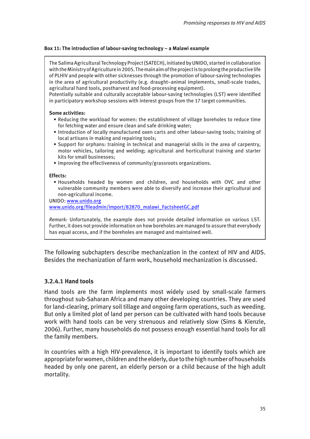#### <span id="page-34-0"></span>**Box 11: The introduction of labour-saving technology – a Malawi example**

The Salima Agricultural Technology Project (SATECH), initiated by UNIDO, started in collaboration with the Ministry of Agriculture in 2005. The main aim of the project is to prolong the productive life of PLHIV and people with other sicknesses through the promotion of labour-saving technologies in the area of agricultural productivity (e.g. draught–animal implements, small-scale trades, agricultural hand tools, postharvest and food-processing equipment).

Potentially suitable and culturally acceptable labour-saving technologies (LST) were identified in participatory workshop sessions with interest groups from the 17 target communities.

#### **Some activities:**

- Reducing the workload for women: the establishment of village boreholes to reduce time for fetching water and ensure clean and safe drinking water;
- Introduction of locally manufactured oxen carts and other labour-saving tools; training of local artisans in making and repairing tools;
- Support for orphans: training in technical and managerial skills in the area of carpentry, motor vehicles, tailoring and welding; agricultural and horticultural training and starter kits for small businesses;
- Improving the effectiveness of community/grassroots organizations.

#### **Effects:**

• Households headed by women and children, and households with OVC and other vulnerable community members were able to diversify and increase their agricultural and non-agricultural income.

UNIDO: <www.unido.org>

[www.unido.org/fileadmin/import/82870\\_malawi\\_FactsheetGC.pdf](www.unido.org/fileadmin/import/82870_malawi_FactsheetGC.pdf)

*Remark:* Unfortunately, the example does not provide detailed information on various LST. Further, it does not provide information on how boreholes are managed to assure that everybody has equal access, and if the boreholes are managed and maintained well.

The following subchapters describe mechanization in the context of HIV and AIDS. Besides the mechanization of farm work, household mechanization is discussed.

### **3.2.4.1 Hand tools**

Hand tools are the farm implements most widely used by small-scale farmers throughout sub-Saharan Africa and many other developing countries. They are used for land-clearing, primary soil tillage and ongoing farm operations, such as weeding. But only a limited plot of land per person can be cultivated with hand tools because work with hand tools can be very strenuous and relatively slow (Sims & Kienzle, 2006). Further, many households do not possess enough essential hand tools for all the family members.

In countries with a high HIV-prevalence, it is important to identify tools which are appropriate for women, children and the elderly, due to the high number of households headed by only one parent, an elderly person or a child because of the high adult mortality.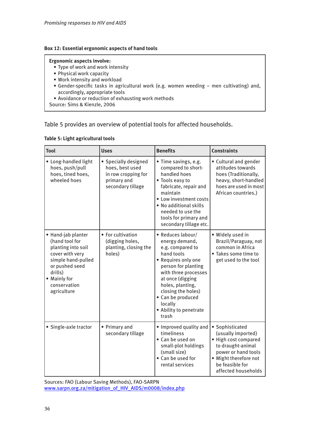#### <span id="page-35-0"></span>**Box 12: Essential ergonomic aspects of hand tools**

#### **Ergonomic aspects involve:**

- Type of work and work intensity
- Physical work capacity
- Work intensity and workload
- Gender-specific tasks in agricultural work (e.g. women weeding men cultivating) and, accordingly, appropriate tools
- Avoidance or reduction of exhausting work methods

Source: Sims & Kienzle, 2006

### Table 5 provides an overview of potential tools for affected households.

| <b>Tool</b>                                                                                                                                                                     | <b>Uses</b>                                                                                        | <b>Benefits</b>                                                                                                                                                                                                                                                              | <b>Constraints</b>                                                                                                                                                           |
|---------------------------------------------------------------------------------------------------------------------------------------------------------------------------------|----------------------------------------------------------------------------------------------------|------------------------------------------------------------------------------------------------------------------------------------------------------------------------------------------------------------------------------------------------------------------------------|------------------------------------------------------------------------------------------------------------------------------------------------------------------------------|
| • Long-handled light<br>hoes, push/pull<br>hoes, tined hoes,<br>wheeled hoes                                                                                                    | • Specially designed<br>hoes, best used<br>in row cropping for<br>primary and<br>secondary tillage | · Time savings, e.g.<br>compared to short-<br>handled hoes<br>• Tools easy to<br>fabricate, repair and<br>maintain<br>• Low investment costs<br>. No additional skills<br>needed to use the<br>tools for primary and<br>secondary tillage etc.                               | • Cultural and gender<br>attitudes towards<br>hoes (Traditionally,<br>heavy, short-handled<br>hoes are used in most<br>African countries.)                                   |
| • Hand-jab planter<br>(hand tool for<br>planting into soil<br>cover with very<br>simple hand-pulled<br>or pushed seed<br>drills)<br>• Mainly for<br>conservation<br>agriculture | • For cultivation<br>(digging holes,<br>planting, closing the<br>holes)                            | · Reduces labour/<br>energy demand,<br>e.g. compared to<br>hand tools<br>• Requires only one<br>person for planting<br>with three processes<br>at once (digging<br>holes, planting,<br>closing the holes)<br>• Can be produced<br>locally<br>• Ability to penetrate<br>trash | · Widely used in<br>Brazil/Paraguay, not<br>common in Africa<br>• Takes some time to<br>get used to the tool                                                                 |
| · Single-axle tractor                                                                                                                                                           | • Primary and<br>secondary tillage                                                                 | . Improved quality and<br>timeliness<br>• Can be used on<br>small-plot holdings<br>(small size)<br>• Can be used for<br>rental services                                                                                                                                      | • Sophisticated<br>(usually imported)<br>• High cost compared<br>to draught-animal<br>power or hand tools<br>· Might therefore not<br>be feasible for<br>affected households |

#### **Table 5: Light agricultural tools**

Sources: FAO (Labour Saving Methods), FAO-SARPN [www.sarpn.org.za/mitigation\\_of\\_HIV\\_AIDS/m0008/index.php](www.sarpn.org.za/mitigation_of_HIV_AIDS/m0008/index.php)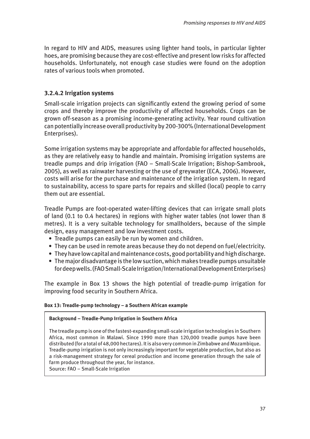In regard to HIV and AIDS, measures using lighter hand tools, in particular lighter hoes, are promising because they are cost-effective and present low risks for affected households. Unfortunately, not enough case studies were found on the adoption rates of various tools when promoted.

## **3.2.4.2 Irrigation systems**

Small-scale irrigation projects can significantly extend the growing period of some crops and thereby improve the productivity of affected households. Crops can be grown off-season as a promising income-generating activity. Year round cultivation can potentially increase overall productivity by 200-300% (International Development Enterprises).

Some irrigation systems may be appropriate and affordable for affected households, as they are relatively easy to handle and maintain. Promising irrigation systems are treadle pumps and drip irrigation (FAO – Small-Scale Irrigation; Bishop-Sambrook, 2005), as well as rainwater harvesting or the use of greywater (ECA, 2006). However, costs will arise for the purchase and maintenance of the irrigation system. In regard to sustainability, access to spare parts for repairs and skilled (local) people to carry them out are essential.

Treadle Pumps are foot-operated water-lifting devices that can irrigate small plots of land (0.1 to 0.4 hectares) in regions with higher water tables (not lower than 8 metres). It is a very suitable technology for smallholders, because of the simple design, easy management and low investment costs.

- Treadle pumps can easily be run by women and children.
- They can be used in remote areas because they do not depend on fuel/electricity.
- They have low capital and maintenance costs, good portability and high discharge.
- The major disadvantage is the low suction, which makes treadle pumps unsuitable for deep wells. (FAO Small-Scale Irrigation/International Development Enterprises)

The example in Box 13 shows the high potential of treadle-pump irrigation for improving food security in Southern Africa.

## **Box 13: Treadle-pump technology – a Southern African example**

### **Background – Treadle-Pump Irrigation in Southern Africa**

The treadle pump is one of the fastest-expanding small-scale irrigation technologies in Southern Africa, most common in Malawi. Since 1990 more than 120,000 treadle pumps have been distributed (for a total of 48,000 hectares). It is also very common in Zimbabwe and Mozambique. Treadle-pump irrigation is not only increasingly important for vegetable production, but also as a risk-management strategy for cereal production and income generation through the sale of farm produce throughout the year, for instance.

Source: FAO – Small-Scale Irrigation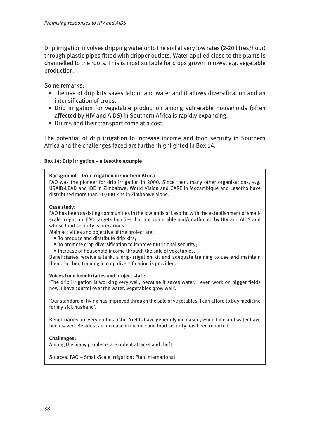Drip irrigation involves dripping water onto the soil at very low rates (2-20 litres/hour) through plastic pipes fitted with dripper outlets. Water applied close to the plants is channelled to the roots. This is most suitable for crops grown in rows, e.g. vegetable production.

Some remarks:

- The use of drip kits saves labour and water and it allows diversification and an intensification of crops.
- Drip irrigation for vegetable production among vulnerable households (often affected by HIV and AIDS) in Southern Africa is rapidly expanding.
- Drums and their transport come at a cost.

The potential of drip irrigation to increase income and food security in Southern Africa and the challenges faced are further highlighted in Box 14.

### **Box 14: Drip irrigation – a Lesotho example**

### **Background – Drip irrigation in southern Africa**

FAO was the pioneer for drip irrigation in 2000. Since then, many other organisations, e.g. USAID-LEAD and IDE in Zimbabwe, World Vision and CARE in Mozambique and Lesotho have distributed more than 50,000 kits in Zimbabwe alone.

### **Case study:**

FAO has been assisting communities in the lowlands of Lesotho with the establishment of smallscale irrigation. FAO targets families that are vulnerable and/or affected by HIV and AIDS and whose food security is precarious.

Main activities and objective of the project are:

- To produce and distribute drip kits;
- To promote crop diversification to improve nutritional security;
- Increase of household income through the sale of vegetables.

Beneficiaries receive a tank, a drip-irrigation kit and adequate training to use and maintain them. Further, training in crop diversification is provided.

### **Voices from beneficiaries and project staff:**

'The drip irrigation is working very well, because it saves water. I even work on bigger fields now. I have control over the water. Vegetables grow well'.

'Our standard of living has improved through the sale of vegetables. I can afford to buy medicine for my sick husband'.

Beneficiaries are very enthusiastic. Yields have generally increased, while time and water have been saved. Besides, an increase in income and food security has been reported.

### **Challenges:**

Among the many problems are rodent attacks and theft.

Sources: FAO – Small-Scale Irrigation; Plan International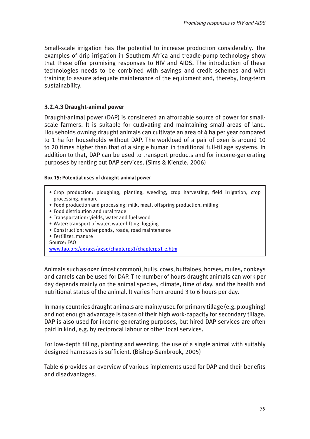Small-scale irrigation has the potential to increase production considerably. The examples of drip irrigation in Southern Africa and treadle-pump technology show that these offer promising responses to HIV and AIDS. The introduction of these technologies needs to be combined with savings and credit schemes and with training to assure adequate maintenance of the equipment and, thereby, long-term sustainability.

### **3.2.4.3 Draught-animal power**

Draught-animal power (DAP) is considered an affordable source of power for smallscale farmers. It is suitable for cultivating and maintaining small areas of land. Households owning draught animals can cultivate an area of 4 ha per year compared to 1 ha for households without DAP. The workload of a pair of oxen is around 10 to 20 times higher than that of a single human in traditional full-tillage systems. In addition to that, DAP can be used to transport products and for income-generating purposes by renting out DAP services. (Sims & Kienzle, 2006)

### **Box 15: Potential uses of draught-animal power**

- Crop production: ploughing, planting, weeding, crop harvesting, field irrigation, crop processing, manure
- Food production and processing: milk, meat, offspring production, milling
- Food distribution and rural trade
- Transportation: yields, water and fuel wood
- Water: transport of water, water-lifting, logging
- Construction: water ponds, roads, road maintenance
- Fertilizer: manure

Source: FAO

<www.fao.org/ag/ags/agse/chapterps1/chapterps1-e.htm>

Animals such as oxen (most common), bulls, cows, buffaloes, horses, mules, donkeys and camels can be used for DAP. The number of hours draught animals can work per day depends mainly on the animal species, climate, time of day, and the health and nutritional status of the animal. It varies from around 3 to 6 hours per day.

In many countries draught animals are mainly used for primary tillage (e.g. ploughing) and not enough advantage is taken of their high work-capacity for secondary tillage. DAP is also used for income-generating purposes, but hired DAP services are often paid in kind, e.g. by reciprocal labour or other local services.

For low-depth tilling, planting and weeding, the use of a single animal with suitably designed harnesses is sufficient. (Bishop-Sambrook, 2005)

Table 6 provides an overview of various implements used for DAP and their benefits and disadvantages.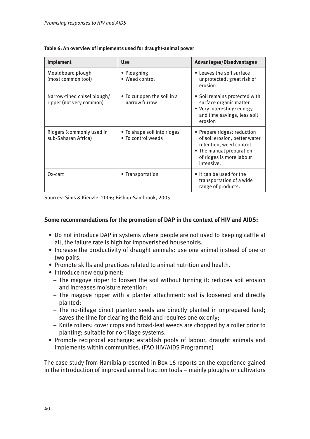| <b>Implement</b>                                        | <b>Use</b>                                        | <b>Advantages/Disadvantages</b>                                                                                                                               |
|---------------------------------------------------------|---------------------------------------------------|---------------------------------------------------------------------------------------------------------------------------------------------------------------|
| Mouldboard plough<br>(most common tool)                 | • Ploughing<br>• Weed control                     | • Leaves the soil surface<br>unprotected; great risk of<br>erosion                                                                                            |
| Narrow-tined chisel plough/<br>ripper (not very common) | . To cut open the soil in a<br>narrow furrow      | • Soil remains protected with<br>surface organic matter<br>• Very interesting: energy<br>and time savings, less soil<br>erosion                               |
| Ridgers (commonly used in<br>sub-Saharan Africa)        | • To shape soil into ridges<br>. To control weeds | • Prepare ridges: reduction<br>of soil erosion, better water<br>retention, weed control<br>• The manual preparation<br>of ridges is more labour<br>intensive. |
| Ox-cart                                                 | • Transportation                                  | • It can be used for the<br>transportation of a wide<br>range of products.                                                                                    |

### **Table 6: An overview of implements used for draught-animal power**

Sources: Sims & Kienzle, 2006; Bishop-Sambrook, 2005

### **Some recommendations for the promotion of DAP in the context of HIV and AIDS:**

- Do not introduce DAP in systems where people are not used to keeping cattle at all; the failure rate is high for impoverished households.
- Increase the productivity of draught animals: use one animal instead of one or two pairs.
- Promote skills and practices related to animal nutrition and health.
- Introduce new equipment:
	- The magoye ripper to loosen the soil without turning it: reduces soil erosion and increases moisture retention;
	- The magoye ripper with a planter attachment: soil is loosened and directly planted;
	- The no-tillage direct planter: seeds are directly planted in unprepared land; saves the time for clearing the field and requires one ox only;
	- Knife rollers: cover crops and broad-leaf weeds are chopped by a roller prior to planting; suitable for no-tillage systems.
- Promote reciprocal exchange: establish pools of labour, draught animals and implements within communities. (FAO HIV/AIDS Programme)

The case study from Namibia presented in Box 16 reports on the experience gained in the introduction of improved animal traction tools – mainly ploughs or cultivators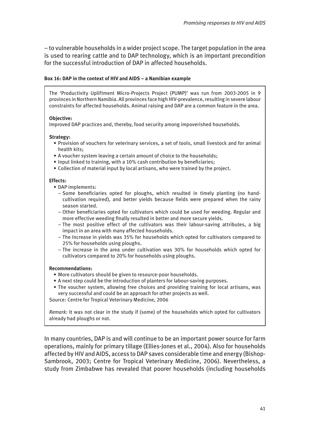– to vulnerable households in a wider project scope. The target population in the area is used to rearing cattle and to DAP technology, which is an important precondition for the successful introduction of DAP in affected households.

### **Box 16: DAP in the context of HIV and AIDS – a Namibian example**

The 'Productivity Upliftment Micro-Projects Project (PUMP)' was run from 2003-2005 in 9 provinces in Northern Namibia. All provinces face high HIV-prevalence, resulting in severe labour constraints for affected households. Animal raising and DAP are a common feature in the area.

### **Objective:**

Improved DAP practices and, thereby, food security among impoverished households.

### **Strategy:**

- Provision of vouchers for veterinary services, a set of tools, small livestock and for animal health kits;
- A voucher system leaving a certain amount of choice to the households;
- Input linked to training, with a 10% cash contribution by beneficiaries;
- Collection of material input by local artisans, who were trained by the project.

### **Effects:**

- DAP implements:
	- Some beneficiaries opted for ploughs, which resulted in timely planting (no hand cultivation required), and better yields because fields were prepared when the rainy season started.
	- Other beneficiaries opted for cultivators which could be used for weeding. Regular and more effective weeding finally resulted in better and more secure yields.
	- The most positive effect of the cultivators was their labour-saving attributes, a big impact in an area with many affected households.
	- The Increase in yields was 35% for households which opted for cultivators compared to 25% for households using ploughs.
	- The increase in the area under cultivation was 30% for households which opted for cultivators compared to 20% for households using ploughs.

### **Recommendations:**

- More cultivators should be given to resource-poor households.
- A next step could be the introduction of planters for labour-saving purposes.
- The voucher system, allowing free choices and providing training for local artisans, was very successful and could be an approach for other projects as well.

Source: Centre for Tropical Veterinary Medicine, 2006

*Remark:* It was not clear in the study if (some) of the households which opted for cultivators already had ploughs or not.

In many countries, DAP is and will continue to be an important power source for farm operations, mainly for primary tillage (Ellies-Jones et al., 2004). Also for households affected by HIV and AIDS, access to DAP saves considerable time and energy (Bishop-Sambrook, 2003; Centre for Tropical Veterinary Medicine, 2006). Nevertheless, a study from Zimbabwe has revealed that poorer households (including households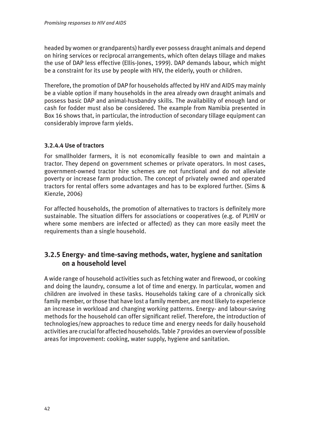headed by women or grandparents) hardly ever possess draught animals and depend on hiring services or reciprocal arrangements, which often delays tillage and makes the use of DAP less effective (Ellis-Jones, 1999). DAP demands labour, which might be a constraint for its use by people with HIV, the elderly, youth or children.

Therefore, the promotion of DAP for households affected by HIV and AIDS may mainly be a viable option if many households in the area already own draught animals and possess basic DAP and animal-husbandry skills. The availability of enough land or cash for fodder must also be considered. The example from Namibia presented in Box 16 shows that, in particular, the introduction of secondary tillage equipment can considerably improve farm yields.

## **3.2.4.4 Use of tractors**

For smallholder farmers, it is not economically feasible to own and maintain a tractor. They depend on government schemes or private operators. In most cases, government-owned tractor hire schemes are not functional and do not alleviate poverty or increase farm production. The concept of privately owned and operated tractors for rental offers some advantages and has to be explored further. (Sims & Kienzle, 2006)

For affected households, the promotion of alternatives to tractors is definitely more sustainable. The situation differs for associations or cooperatives (e.g. of PLHIV or where some members are infected or affected) as they can more easily meet the requirements than a single household.

## **3.2.5 Energy- and time-saving methods, water, hygiene and sanitation on a household level**

A wide range of household activities such as fetching water and firewood, or cooking and doing the laundry, consume a lot of time and energy. In particular, women and children are involved in these tasks. Households taking care of a chronically sick family member, or those that have lost a family member, are most likely to experience an increase in workload and changing working patterns. Energy- and labour-saving methods for the household can offer significant relief. Therefore, the introduction of technologies/new approaches to reduce time and energy needs for daily household activities are crucial for affected households. Table 7 provides an overview of possible areas for improvement: cooking, water supply, hygiene and sanitation.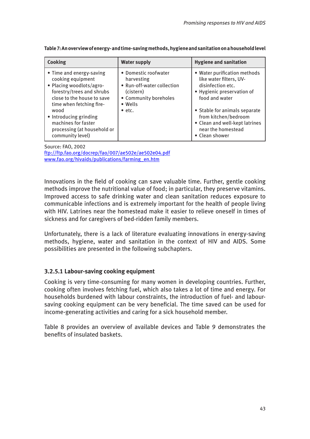| Cooking                                                                                                                                                                                                                                                                      | <b>Water supply</b>                                                                                                                         | <b>Hygiene and sanitation</b>                                                                                                                                                                                                                                   |
|------------------------------------------------------------------------------------------------------------------------------------------------------------------------------------------------------------------------------------------------------------------------------|---------------------------------------------------------------------------------------------------------------------------------------------|-----------------------------------------------------------------------------------------------------------------------------------------------------------------------------------------------------------------------------------------------------------------|
| • Time and energy-saving<br>cooking equipment<br>• Placing woodlots/agro-<br>forestry/trees and shrubs<br>close to the house to save<br>time when fetching fire-<br>wood<br>• Introducing grinding<br>machines for faster<br>processing (at household or<br>community level) | • Domestic roofwater<br>harvesting<br>• Run-off-water collection<br>(cistern)<br>• Community boreholes<br>$\bullet$ Wells<br>$\bullet$ etc. | • Water purification methods<br>like water filters, UV-<br>disinfection etc.<br>• Hygienic preservation of<br>food and water<br>• Stable for animals separate<br>from kitchen/bedroom<br>• Clean and well-kept latrines<br>near the homestead<br>• Clean shower |

**Table 7: An overview of energy- and time-saving methods, hygiene and sanitation on a household level**

Source: FAO, 2002 <ftp://ftp.fao.org/docrep/fao/007/ae502e/ae502e04.pdf> [www.fao.org/hivaids/publications/farming\\_en.htm](www.fao.org/hivaids/publications/farming_en.htm)

Innovations in the field of cooking can save valuable time. Further, gentle cooking methods improve the nutritional value of food; in particular, they preserve vitamins. Improved access to safe drinking water and clean sanitation reduces exposure to communicable infections and is extremely important for the health of people living with HIV. Latrines near the homestead make it easier to relieve oneself in times of sickness and for caregivers of bed-ridden family members.

Unfortunately, there is a lack of literature evaluating innovations in energy-saving methods, hygiene, water and sanitation in the context of HIV and AIDS. Some possibilities are presented in the following subchapters.

## **3.2.5.1 Labour-saving cooking equipment**

Cooking is very time-consuming for many women in developing countries. Further, cooking often involves fetching fuel, which also takes a lot of time and energy. For households burdened with labour constraints, the introduction of fuel- and laboursaving cooking equipment can be very beneficial. The time saved can be used for income-generating activities and caring for a sick household member.

Table 8 provides an overview of available devices and Table 9 demonstrates the benefits of insulated baskets.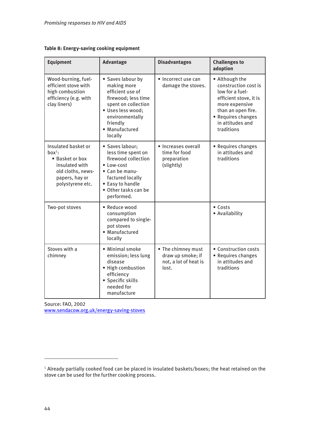|  | Table 8: Energy-saving cooking equipment |  |  |
|--|------------------------------------------|--|--|
|--|------------------------------------------|--|--|

| Equipment                                                                                                                       | <b>Advantage</b>                                                                                                                                                                    | <b>Disadvantages</b>                                                      | <b>Challenges to</b><br>adoption                                                                                                                                                    |
|---------------------------------------------------------------------------------------------------------------------------------|-------------------------------------------------------------------------------------------------------------------------------------------------------------------------------------|---------------------------------------------------------------------------|-------------------------------------------------------------------------------------------------------------------------------------------------------------------------------------|
| Wood-burning, fuel-<br>efficient stove with<br>high combustion<br>efficiency (e.g. with<br>clay liners)                         | • Saves labour by<br>making more<br>efficient use of<br>firewood; less time<br>spent on collection<br>· Uses less wood;<br>environmentally<br>friendly<br>· Manufactured<br>locally | • Incorrect use can<br>damage the stoves.                                 | • Although the<br>construction cost is<br>low for a fuel-<br>efficient stove, it is<br>more expensive<br>than an open fire.<br>• Requires changes<br>in attitudes and<br>traditions |
| Insulated basket or<br>$box1$ :<br>• Basket or box<br>insulated with<br>old cloths, news-<br>papers, hay or<br>polystyrene etc. | · Saves labour;<br>less time spent on<br>firewood collection<br>• Low-cost<br>• Can be manu-<br>factured locally<br>• Easy to handle<br>• Other tasks can be<br>performed.          | • Increases overall<br>time for food<br>preparation<br>(slightly)         | • Requires changes<br>in attitudes and<br>traditions                                                                                                                                |
| Two-pot stoves                                                                                                                  | · Reduce wood<br>consumption<br>compared to single-<br>pot stoves<br>• Manufactured<br>locally                                                                                      |                                                                           | $\bullet$ Costs<br>• Availability                                                                                                                                                   |
| Stoves with a<br>chimney                                                                                                        | • Minimal smoke<br>emission; less lung<br>disease<br>• High combustion<br>efficiency<br>• Specific skills<br>needed for<br>manufacture                                              | • The chimney must<br>draw up smoke; if<br>not, a lot of heat is<br>lost. | • Construction costs<br>• Requires changes<br>in attitudes and<br>traditions                                                                                                        |

Source: FAO, 2002 <www.sendacow.org.uk/energy-saving-stoves>

<sup>1</sup> Already partially cooked food can be placed in insulated baskets/boxes; the heat retained on the stove can be used for the further cooking process.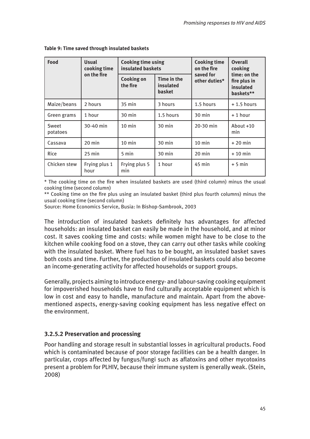| Food              | <b>Usual</b><br>cooking time | <b>Cooking time using</b><br>insulated baskets |                                           | <b>Cooking time</b><br>on the fire | <b>Overall</b><br>cooking<br>time: on the |  |
|-------------------|------------------------------|------------------------------------------------|-------------------------------------------|------------------------------------|-------------------------------------------|--|
|                   | on the fire                  | <b>Cooking on</b><br>the fire                  | Time in the<br>insulated<br><b>basket</b> | saved for<br>other duties*         | fire plus in<br>insulated<br>baskets**    |  |
| Maize/beans       | 2 hours                      | $35$ min                                       | 3 hours                                   | 1.5 hours                          | $+1.5$ hours                              |  |
| Green grams       | 1 hour                       | $30$ min                                       | 1.5 hours                                 | $30 \text{ min}$                   | + 1 hour                                  |  |
| Sweet<br>potatoes | 30-40 min                    | $10 \text{ min}$                               | $30 \text{ min}$                          | 20-30 min                          | About $+10$<br>min                        |  |
| Cassava           | $20$ min                     | $10$ min                                       | $30 \text{ min}$                          | $10 \text{ min}$                   | $+20$ min                                 |  |
| <b>Rice</b>       | $25$ min                     | 5 min                                          | $30 \text{ min}$                          | $20$ min                           | $+10$ min                                 |  |
| Chicken stew      | Frying plus 1<br>hour        | Frying plus 5<br>min                           | 1 hour                                    | $45$ min                           | $+5$ min                                  |  |

### **Table 9: Time saved through insulated baskets**

\* The cooking time on the fire when insulated baskets are used (third column) minus the usual cooking time (second column)

\*\* Cooking time on the fire plus using an insulated basket (third plus fourth columns) minus the usual cooking time (second column)

Source: Home Economics Service, Busia: In Bishop-Sambrook, 2003

The introduction of insulated baskets definitely has advantages for affected households: an insulated basket can easily be made in the household, and at minor cost. It saves cooking time and costs: while women might have to be close to the kitchen while cooking food on a stove, they can carry out other tasks while cooking with the insulated basket. Where fuel has to be bought, an insulated basket saves both costs and time. Further, the production of insulated baskets could also become an income-generating activity for affected households or support groups.

Generally, projects aiming to introduce energy- and labour-saving cooking equipment for impoverished households have to find culturally acceptable equipment which is low in cost and easy to handle, manufacture and maintain. Apart from the abovementioned aspects, energy-saving cooking equipment has less negative effect on the environment.

## **3.2.5.2 Preservation and processing**

Poor handling and storage result in substantial losses in agricultural products. Food which is contaminated because of poor storage facilities can be a health danger. In particular, crops affected by fungus/fungi such as aflatoxins and other mycotoxins present a problem for PLHIV, because their immune system is generally weak. (Stein, 2008)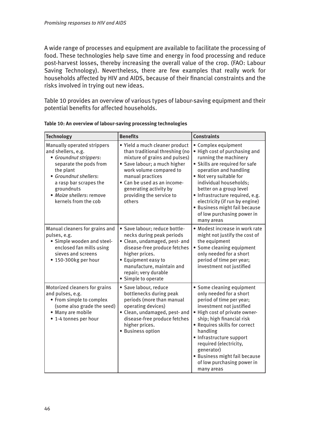A wide range of processes and equipment are available to facilitate the processing of food. These technologies help save time and energy in food processing and reduce post-harvest losses, thereby increasing the overall value of the crop. (FAO: Labour Saving Technology). Nevertheless, there are few examples that really work for households affected by HIV and AIDS, because of their financial constraints and the risks involved in trying out new ideas.

Table 10 provides an overview of various types of labour-saving equipment and their potential benefits for affected households.

| <b>Technology</b>                                                                                                                                                                                                                       | <b>Benefits</b>                                                                                                                                                                                                                                                                 | <b>Constraints</b>                                                                                                                                                                                                                                                                                                                                                          |
|-----------------------------------------------------------------------------------------------------------------------------------------------------------------------------------------------------------------------------------------|---------------------------------------------------------------------------------------------------------------------------------------------------------------------------------------------------------------------------------------------------------------------------------|-----------------------------------------------------------------------------------------------------------------------------------------------------------------------------------------------------------------------------------------------------------------------------------------------------------------------------------------------------------------------------|
| Manually operated strippers<br>and shellers, e.g.<br>• Groundnut strippers:<br>separate the pods from<br>the plant<br>• Groundnut shellers:<br>a rasp bar scrapes the<br>groundnuts<br>· Maize shellers: remove<br>kernels from the cob | · Yield a much cleaner product<br>than traditional threshing (no<br>mixture of grains and pulses)<br>· Save labour; a much higher<br>work volume compared to<br>manual practices<br>· Can be used as an income-<br>generating activity by<br>providing the service to<br>others | • Complex equipment<br>. High cost of purchasing and<br>running the machinery<br>· Skills are required for safe<br>operation and handling<br>. Not very suitable for<br>individual households;<br>better on a group level<br>· Infrastructure required, e.g.<br>electricity (if run by engine)<br>· Business might fail because<br>of low purchasing power in<br>many areas |
| Manual cleaners for grains and<br>pulses, e.g.<br>· Simple wooden and steel-<br>enclosed fan mills using<br>sieves and screens<br>• 150-300kg per hour                                                                                  | · Save labour; reduce bottle-<br>necks during peak periods<br>· Clean, undamaged, pest- and<br>disease-free produce fetches<br>higher prices.<br>• Equipment easy to<br>manufacture, maintain and<br>repair; very durable<br>• Simple to operate                                | • Modest increase in work rate<br>might not justify the cost of<br>the equipment<br>• Some cleaning equipment<br>only needed for a short<br>period of time per year;<br>investment not justified                                                                                                                                                                            |
| Motorized cleaners for grains<br>and pulses, e.g.<br>• From simple to complex<br>(some also grade the seed)<br>• Many are mobile<br>• 1-4 tonnes per hour                                                                               | · Save labour, reduce<br>bottlenecks during peak<br>periods (more than manual<br>operating devices)<br>· Clean, undamaged, pest- and<br>disease-free produce fetches<br>higher prices.<br>· Business option                                                                     | • Some cleaning equipment<br>only needed for a short<br>period of time per year;<br>investment not justified<br>• High cost of private owner-<br>ship; high financial risk<br>· Requires skills for correct<br>handling<br>• Infrastructure support<br>required (electricity,<br>generator)<br>· Business might fail because<br>of low purchasing power in<br>many areas    |

**Table 10: An overview of labour-saving processing technologies**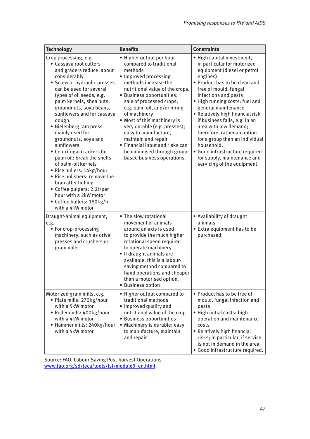| <b>Technology</b>                                                                                                                                                                                                                                                                                                                                                                                                                                                                                                                                                                                                                                   | <b>Benefits</b>                                                                                                                                                                                                                                                                                                                                                                                                                                                           | <b>Constraints</b>                                                                                                                                                                                                                                                                                                                                                                                                                                                                                                          |
|-----------------------------------------------------------------------------------------------------------------------------------------------------------------------------------------------------------------------------------------------------------------------------------------------------------------------------------------------------------------------------------------------------------------------------------------------------------------------------------------------------------------------------------------------------------------------------------------------------------------------------------------------------|---------------------------------------------------------------------------------------------------------------------------------------------------------------------------------------------------------------------------------------------------------------------------------------------------------------------------------------------------------------------------------------------------------------------------------------------------------------------------|-----------------------------------------------------------------------------------------------------------------------------------------------------------------------------------------------------------------------------------------------------------------------------------------------------------------------------------------------------------------------------------------------------------------------------------------------------------------------------------------------------------------------------|
| Crop processing, e.g.<br>• Cassava root cutters<br>and graders reduce labour<br>considerably<br>• Screw or hydraulic presses<br>can be used for several<br>types of oil seeds, e.g.<br>palm kernels, shea nuts,<br>groundnuts, soya beans,<br>sunflowers and for cassava<br>dough.<br>• Bielenberg ram press<br>mainly used for<br>groundnuts, soya and<br>sunflowers<br>• Centrifugal crackers for<br>palm oil: break the shells<br>of palm-oil kernels<br>· Rice hullers: 14kg/hour<br>• Rice polishers: remove the<br>bran after hulling<br>• Coffee pulpers: 2.2t/per<br>hour with a 2kW motor<br>• Coffee hullers: 180kg/h<br>with a 4kW motor | • Higher output per hour<br>compared to traditional<br>methods<br>· Improved processing<br>methods increase the<br>nutritional value of the crops.<br>· Business opportunities:<br>sale of processed crops,<br>e.g. palm oil, and/or hiring<br>of machinery<br>• Most of this machinery is<br>very durable (e.g. presses);<br>easy to manufacture,<br>maintain and repair<br>• Financial input and risks can<br>be minimised through group-<br>based business operations. | · High capital investment,<br>in particular for motorized<br>equipment (diesel or petrol<br>engines)<br>• Product has to be clean and<br>free of mould, fungal<br>infections and pests<br>. High running costs: fuel and<br>general maintenance<br>· Relatively high financial risk<br>if business fails, e.g. in an<br>area with low demand;<br>therefore, rather an option<br>for a group than an individual<br>household.<br>· Good infrastructure required<br>for supply, maintenance and<br>servicing of the equipment |
| Draught-animal equipment,<br>e.g.<br>• For crop-processing<br>machinery, such as drive<br>presses and crushers or<br>grain mills                                                                                                                                                                                                                                                                                                                                                                                                                                                                                                                    | • The slow rotational<br>movement of animals<br>around an axis is used<br>to provide the much higher<br>rotational speed required<br>to operate machinery.<br>• If draught animals are<br>available, this is a labour-<br>saving method compared to<br>hand operations and cheaper<br>than a motorised option.<br>• Business option                                                                                                                                       | • Availability of draught<br>animals<br>• Extra equipment has to be<br>purchased.                                                                                                                                                                                                                                                                                                                                                                                                                                           |
| Motorized grain mills, e.g.<br>• Plate mills: 270kg/hour<br>with a 5kW motor<br>• Roller mills: 400kg/hour<br>with a 4kW motor<br>• Hammer mills: 240kg/hour<br>with a 5kW motor                                                                                                                                                                                                                                                                                                                                                                                                                                                                    | • Higher output compared to<br>traditional methods<br>• Improved quality and<br>nutritional value of the crop<br>· Business opportunities<br>· Machinery is durable; easy<br>to manufacture, maintain<br>and repair                                                                                                                                                                                                                                                       | • Product has to be free of<br>mould, fungal infection and<br>pests<br>· High initial costs; high<br>operation and maintenance<br>costs<br>• Relatively high financial<br>risks; in particular, if service<br>is not in demand in the area<br>· Good infrastructure required.                                                                                                                                                                                                                                               |

Source: FAO, Labour-Saving Post-harvest Operations [www.fao.org/sd/teca/tools/lst/module3\\_en.html](www.fao.org/sd/teca/tools/lst/module3_en.html)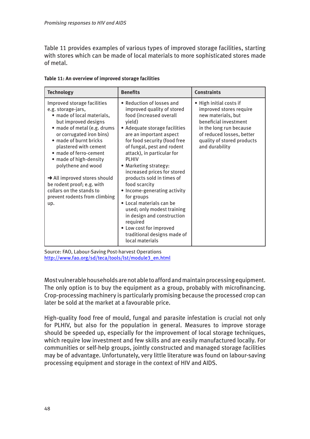Table 11 provides examples of various types of improved storage facilities, starting with stores which can be made of local materials to more sophisticated stores made of metal.

| <b>Technology</b>                                                                                                                                                                                                                                                                                                                                                                                                                             | <b>Benefits</b>                                                                                                                                                                                                                                                                                                                                                                                                                                                                                                                                                                                           | <b>Constraints</b>                                                                                                                                                                                        |
|-----------------------------------------------------------------------------------------------------------------------------------------------------------------------------------------------------------------------------------------------------------------------------------------------------------------------------------------------------------------------------------------------------------------------------------------------|-----------------------------------------------------------------------------------------------------------------------------------------------------------------------------------------------------------------------------------------------------------------------------------------------------------------------------------------------------------------------------------------------------------------------------------------------------------------------------------------------------------------------------------------------------------------------------------------------------------|-----------------------------------------------------------------------------------------------------------------------------------------------------------------------------------------------------------|
| Improved storage facilities<br>e.g. storage-jars,<br>· made of local materials,<br>but improved designs<br>• made of metal (e.g. drums<br>or corrugated iron bins)<br>• made of burnt bricks<br>plastered with cement<br>· made of ferro-cement<br>• made of high-density<br>polythene and wood<br>$\rightarrow$ All improved stores should<br>be rodent proof; e.g. with<br>collars on the stands to<br>prevent rodents from climbing<br>up. | • Reduction of losses and<br>improved quality of stored<br>food (increased overall<br>yield)<br>• Adequate storage facilities<br>are an important aspect<br>for food security (food free<br>of fungal, pest and rodent<br>attack), in particular for<br><b>PLHIV</b><br>• Marketing strategy:<br>increased prices for stored<br>products sold in times of<br>food scarcity<br>• Income-generating activity<br>for groups<br>• Local materials can be<br>used; only modest training<br>in design and construction<br>required<br>• Low cost for improved<br>traditional designs made of<br>local materials | • High initial costs if<br>improved stores require<br>new materials, but<br>beneficial investment<br>in the long run because<br>of reduced losses, better<br>quality of stored products<br>and durability |

**Table 11: An overview of improved storage facilities**

Source: FAO, Labour-Saving Post-harvest Operations [http://www.fao.org/sd/teca/tools/lst/module3\\_en.html](http://www.fao.org/sd/teca/tools/lst/module3_en.html)

Most vulnerable households are not able to afford and maintain processing equipment. The only option is to buy the equipment as a group, probably with microfinancing. Crop-processing machinery is particularly promising because the processed crop can later be sold at the market at a favourable price.

High-quality food free of mould, fungal and parasite infestation is crucial not only for PLHIV, but also for the population in general. Measures to improve storage should be speeded up, especially for the improvement of local storage techniques, which require low investment and few skills and are easily manufactured locally. For communities or self-help groups, jointly constructed and managed storage facilities may be of advantage. Unfortunately, very little literature was found on labour-saving processing equipment and storage in the context of HIV and AIDS.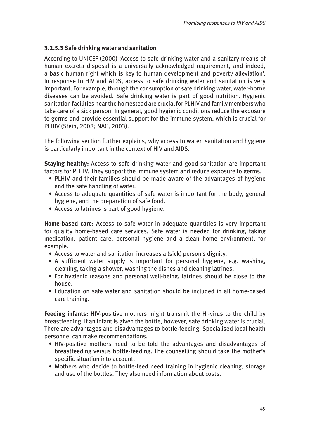## **3.2.5.3 Safe drinking water and sanitation**

According to UNICEF (2000) 'Access to safe drinking water and a sanitary means of human excreta disposal is a universally acknowledged requirement, and indeed, a basic human right which is key to human development and poverty alleviation'. In response to HIV and AIDS, access to safe drinking water and sanitation is very important. For example, through the consumption of safe drinking water, water-borne diseases can be avoided. Safe drinking water is part of good nutrition. Hygienic sanitation facilities near the homestead are crucial for PLHIV and family members who take care of a sick person. In general, good hygienic conditions reduce the exposure to germs and provide essential support for the immune system, which is crucial for PLHIV (Stein, 2008; NAC, 2003).

The following section further explains, why access to water, sanitation and hygiene is particularly important in the context of HIV and AIDS.

**Staying healthy:** Access to safe drinking water and good sanitation are important factors for PLHIV. They support the immune system and reduce exposure to germs.

- PLHIV and their families should be made aware of the advantages of hygiene and the safe handling of water.
- Access to adequate quantities of safe water is important for the body, general hygiene, and the preparation of safe food.
- Access to latrines is part of good hygiene.

**Home-based care:** Access to safe water in adequate quantities is very important for quality home-based care services. Safe water is needed for drinking, taking medication, patient care, personal hygiene and a clean home environment, for example.

- Access to water and sanitation increases a (sick) person's dignity.
- A sufficient water supply is important for personal hygiene, e.g. washing, cleaning, taking a shower, washing the dishes and cleaning latrines.
- For hygienic reasons and personal well-being, latrines should be close to the house.
- Education on safe water and sanitation should be included in all home-based care training.

**Feeding infants:** HIV-positive mothers might transmit the HI-virus to the child by breastfeeding. If an infant is given the bottle, however, safe drinking water is crucial. There are advantages and disadvantages to bottle-feeding. Specialised local health personnel can make recommendations.

- HIV-positive mothers need to be told the advantages and disadvantages of breastfeeding versus bottle-feeding. The counselling should take the mother's specific situation into account.
- Mothers who decide to bottle-feed need training in hygienic cleaning, storage and use of the bottles. They also need information about costs.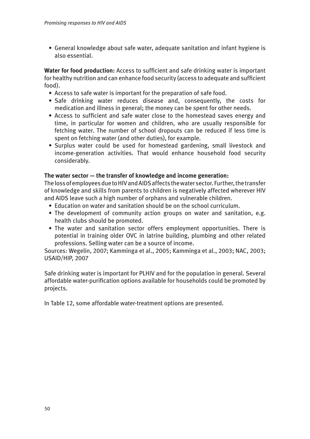• General knowledge about safe water, adequate sanitation and infant hygiene is also essential.

**Water for food production:** Access to sufficient and safe drinking water is important for healthy nutrition and can enhance food security (access to adequate and sufficient food).

- Access to safe water is important for the preparation of safe food.
- Safe drinking water reduces disease and, consequently, the costs for medication and illness in general; the money can be spent for other needs.
- Access to sufficient and safe water close to the homestead saves energy and time, in particular for women and children, who are usually responsible for fetching water. The number of school dropouts can be reduced if less time is spent on fetching water (and other duties), for example.
- Surplus water could be used for homestead gardening, small livestock and income-generation activities. That would enhance household food security considerably.

## **The water sector — the transfer of knowledge and income generation:**

The loss of employees due to HIV and AIDS affects the water sector. Further, the transfer of knowledge and skills from parents to children is negatively affected wherever HIV and AIDS leave such a high number of orphans and vulnerable children.

- Education on water and sanitation should be on the school curriculum.
- The development of community action groups on water and sanitation, e.g. health clubs should be promoted.
- The water and sanitation sector offers employment opportunities. There is potential in training older OVC in latrine building, plumbing and other related professions. Selling water can be a source of income.

Sources: Wegelin, 2007; Kamminga et al., 2005; Kamminga et al., 2003; NAC, 2003; USAID/HIP, 2007

Safe drinking water is important for PLHIV and for the population in general. Several affordable water-purification options available for households could be promoted by projects.

In Table 12, some affordable water-treatment options are presented.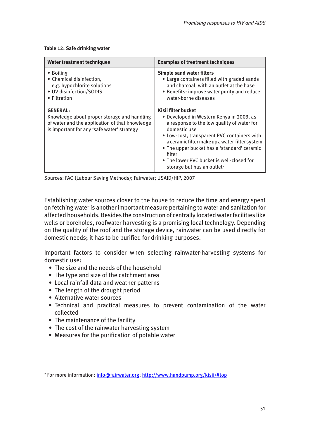**Table 12: Safe drinking water**

| <b>Water treatment techniques</b>                                                                                                                              | <b>Examples of treatment techniques</b>                                                                                                                                                                                                                                                                                                                                        |
|----------------------------------------------------------------------------------------------------------------------------------------------------------------|--------------------------------------------------------------------------------------------------------------------------------------------------------------------------------------------------------------------------------------------------------------------------------------------------------------------------------------------------------------------------------|
| • Boiling<br>• Chemical disinfection,<br>e.g. hypochlorite solutions<br>• UV disinfection/SODIS<br>• Filtration                                                | <b>Simple sand water filters</b><br>• Large containers filled with graded sands<br>and charcoal, with an outlet at the base<br>• Benefits: improve water purity and reduce<br>water-borne diseases                                                                                                                                                                             |
| <b>GENERAL:</b><br>Knowledge about proper storage and handling<br>of water and the application of that knowledge<br>is important for any 'safe water' strategy | Kisii filter bucket<br>• Developed in Western Kenya in 2003, as<br>a response to the low quality of water for<br>domestic use<br>• Low-cost, transparent PVC containers with<br>a ceramic filter make up a water-filter system<br>• The upper bucket has a 'standard' ceramic<br>filter<br>• The lower PVC bucket is well-closed for<br>storage but has an outlet <sup>2</sup> |

Sources: FAO (Labour Saving Methods); Fairwater; USAID/HIP, 2007

Establishing water sources closer to the house to reduce the time and energy spent on fetching water is another important measure pertaining to water and sanitation for affected households. Besides the construction of centrally located water facilities like wells or boreholes, roofwater harvesting is a promising local technology. Depending on the quality of the roof and the storage device, rainwater can be used directly for domestic needs; it has to be purified for drinking purposes.

Important factors to consider when selecting rainwater-harvesting systems for domestic use:

- The size and the needs of the household
- The type and size of the catchment area
- Local rainfall data and weather patterns
- The length of the drought period
- Alternative water sources
- Technical and practical measures to prevent contamination of the water collected
- The maintenance of the facility
- The cost of the rainwater harvesting system
- Measures for the purification of potable water

<sup>&</sup>lt;sup>2</sup> For more information: <u>[info@fairwater.org](mailto: info@fairwater.org); <http://www.handpump.org/kisii/#top></u>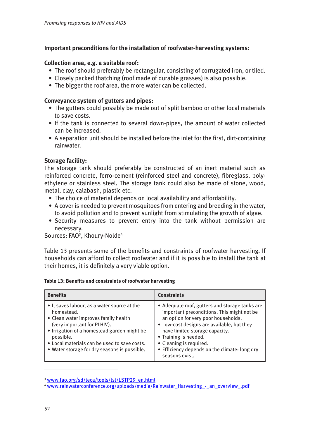## **Important preconditions for the installation of roofwater-harvesting systems:**

## **Collection area, e.g. a suitable roof:**

- The roof should preferably be rectangular, consisting of corrugated iron, or tiled.
- Closely packed thatching (roof made of durable grasses) is also possible.
- The bigger the roof area, the more water can be collected.

### **Conveyance system of gutters and pipes:**

- The gutters could possibly be made out of split bamboo or other local materials to save costs.
- If the tank is connected to several down-pipes, the amount of water collected can be increased.
- A separation unit should be installed before the inlet for the first, dirt-containing rainwater.

## **Storage facility:**

The storage tank should preferably be constructed of an inert material such as reinforced concrete, ferro-cement (reinforced steel and concrete), fibreglass, polyethylene or stainless steel. The storage tank could also be made of stone, wood, metal, clay, calabash, plastic etc.

- The choice of material depends on local availability and affordability.
- A cover is needed to prevent mosquitoes from entering and breeding in the water, to avoid pollution and to prevent sunlight from stimulating the growth of algae.
- Security measures to prevent entry into the tank without permission are necessary.

Sources: FAO<sup>3</sup>, Khoury-Nolde<sup>4</sup>

Table 13 presents some of the benefits and constraints of roofwater harvesting. If households can afford to collect roofwater and if it is possible to install the tank at their homes, it is definitely a very viable option.

| Table 13: Benefits and constraints of roofwater harvesting |  |
|------------------------------------------------------------|--|
|------------------------------------------------------------|--|

| <b>Benefits</b>                                                                                                                                                                                                                                                                              | <b>Constraints</b>                                                                                                                                                                                                                                                                                                                         |
|----------------------------------------------------------------------------------------------------------------------------------------------------------------------------------------------------------------------------------------------------------------------------------------------|--------------------------------------------------------------------------------------------------------------------------------------------------------------------------------------------------------------------------------------------------------------------------------------------------------------------------------------------|
| • It saves labour, as a water source at the<br>homestead.<br>• Clean water improves family health<br>(very important for PLHIV).<br>• Irrigation of a homestead garden might be<br>possible.<br>• Local materials can be used to save costs.<br>. Water storage for dry seasons is possible. | • Adequate roof, gutters and storage tanks are<br>important preconditions. This might not be<br>an option for very poor households.<br>. Low-cost designs are available, but they<br>have limited storage capacity.<br>• Training is needed.<br>• Cleaning is required.<br>• Efficiency depends on the climate: long dry<br>seasons exist. |

<sup>3</sup> [www.fao.org/sd/teca/tools/lst/LSTP29\\_en.html](www.fao.org/sd/teca/tools/lst/LSTP29_en.html)

<sup>4</sup> [www.rainwaterconference.org/uploads/media/Rainwater\\_Harvesting\\_-\\_an\\_overview\\_.pdf](www.rainwaterconference.org/uploads/media/Rainwater_Harvesting_-_an_overview_.pdf)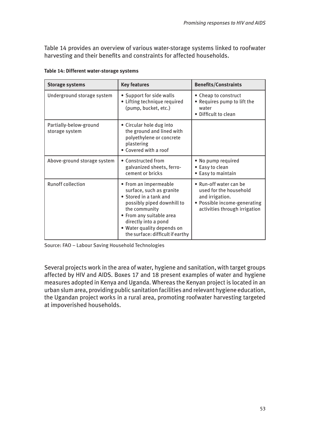Table 14 provides an overview of various water-storage systems linked to roofwater harvesting and their benefits and constraints for affected households.

|  |  | Table 14: Different water-storage systems |  |  |  |
|--|--|-------------------------------------------|--|--|--|
|--|--|-------------------------------------------|--|--|--|

| <b>Storage systems</b>                   | <b>Key features</b>                                                                                                                                                                                                                              | <b>Benefits/Constraints</b>                                                                                                          |
|------------------------------------------|--------------------------------------------------------------------------------------------------------------------------------------------------------------------------------------------------------------------------------------------------|--------------------------------------------------------------------------------------------------------------------------------------|
| Underground storage system               | • Support for side walls<br>• Lifting technique required<br>(pump, bucket, etc.)                                                                                                                                                                 | • Cheap to construct<br>• Requires pump to lift the<br>water<br>· Difficult to clean                                                 |
| Partially-below-ground<br>storage system | • Circular hole dug into<br>the ground and lined with<br>polyethylene or concrete<br>plastering<br>• Covered with a roof                                                                                                                         |                                                                                                                                      |
| Above-ground storage system              | • Constructed from<br>galvanized sheets, ferro-<br>cement or bricks                                                                                                                                                                              | . No pump required<br>• Easy to clean<br>• Easy to maintain                                                                          |
| <b>Runoff collection</b>                 | • From an impermeable<br>surface, such as granite<br>• Stored in a tank and<br>possibly piped downhill to<br>the community<br>• From any suitable area<br>directly into a pond<br>• Water quality depends on<br>the surface: difficult if earthy | • Run-off water can be<br>used for the household<br>and irrigation.<br>• Possible income-generating<br>activities through irrigation |

Source: FAO – Labour Saving Household Technologies

Several projects work in the area of water, hygiene and sanitation, with target groups affected by HIV and AIDS. Boxes 17 and 18 present examples of water and hygiene measures adopted in Kenya and Uganda. Whereas the Kenyan project is located in an urban slum area, providing public sanitation facilities and relevant hygiene education, the Ugandan project works in a rural area, promoting roofwater harvesting targeted at impoverished households.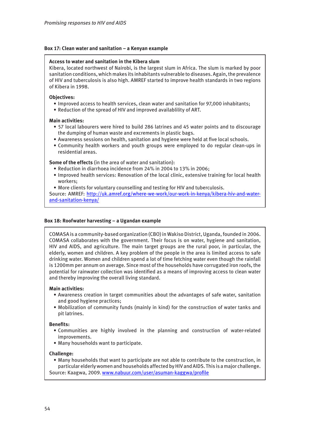### **Box 17: Clean water and sanitation – a Kenyan example**

### **Access to water and sanitation in the Kibera slum**

Kibera, located northwest of Nairobi, is the largest slum in Africa. The slum is marked by poor sanitation conditions, which makes its inhabitants vulnerable to diseases. Again, the prevalence of HIV and tuberculosis is also high. AMREF started to improve health standards in two regions of Kibera in 1998.

### **Objectives:**

- Improved access to health services, clean water and sanitation for 97,000 inhabitants;
- Reduction of the spread of HIV and improved availablility of ART.

### **Main activities:**

- 57 local labourers were hired to build 286 latrines and 45 water points and to discourage the dumping of human waste and excrements in plastic bags.
- Awareness sessions on health, sanitation and hygiene were held at five local schools.
- Community health workers and youth groups were employed to do regular clean-ups in residential areas.

### **Some of the effects** (in the area of water and sanitation):

- Reduction in diarrhoea incidence from 24% in 2004 to 13% in 2006;
- Improved health services: Renovation of the local clinic, extensive training for local health workers;
- More clients for voluntary counselling and testing for HIV and tuberculosis.

[Source: AMREF: http://uk.amref.org/where-we-work/our-work-in-kenya/kibera-hiv-and-water](http://uk.amref.org/where-we-work/our-work-in-kenya/kibera-hiv-and-water-and-sanitation-kenya/)and-sanitation-kenya/

### **Box 18: Roofwater harvesting – a Ugandan example**

COMASA is a community-based organization (CBO) in Wakiso District, Uganda, founded in 2006. COMASA collaborates with the government. Their focus is on water, hygiene and sanitation, HIV and AIDS, and agriculture. The main target groups are the rural poor, in particular, the elderly, women and children. A key problem of the people in the area is limited access to safe drinking water. Women and children spend a lot of time fetching water even though the rainfall is 1200mm per annum on average. Since most of the households have corrugated iron roofs, the potential for rainwater collection was identified as a means of improving access to clean water and thereby improving the overall living standard.

#### **Main activities:**

- Awareness creation in target communities about the advantages of safe water, sanitation and good hygiene practices;
- Mobilization of community funds (mainly in kind) for the construction of water tanks and pit latrines.

#### **Benefits:**

- Communities are highly involved in the planning and construction of water-related improvements.
- Many households want to participate.

#### **Challenge:**

• Many households that want to participate are not able to contribute to the construction, in particular elderly women and households affected by HIV and AIDS. This is a major challenge. Source: Kaagwa, 2009.<www.nabuur.com/user/asuman-kaggwa/profile>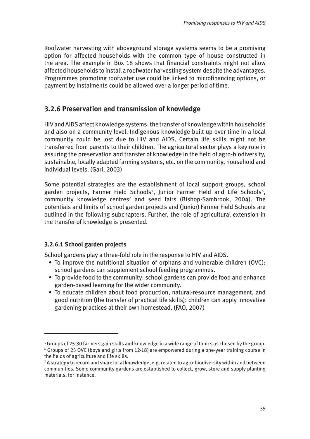Roofwater harvesting with aboveground storage systems seems to be a promising option for affected households with the common type of house constructed in the area. The example in Box 18 shows that financial constraints might not allow affected households to install a roofwater harvesting system despite the advantages. Programmes promoting roofwater use could be linked to microfinancing options, or payment by instalments could be allowed over a longer period of time.

## **3.2.6 Preservation and transmission of knowledge**

HIV and AIDS affect knowledge systems: the transfer of knowledge within households and also on a community level. Indigenous knowledge built up over time in a local community could be lost due to HIV and AIDS. Certain life skills might not be transferred from parents to their children. The agricultural sector plays a key role in assuring the preservation and transfer of knowledge in the field of agro-biodiversity, sustainable, locally adapted farming systems, etc. on the community, household and individual levels. (Gari, 2003)

Some potential strategies are the establishment of local support groups, school garden projects, Farmer Field Schools<sup>5</sup>, Junior Farmer Field and Life Schools<sup>6</sup>, community knowledge centres<sup>7</sup> and seed fairs (Bishop-Sambrook, 2004). The potentials and limits of school garden projects and (Junior) Farmer Field Schools are outlined in the following subchapters. Further, the role of agricultural extension in the transfer of knowledge is presented.

## **3.2.6.1 School garden projects**

School gardens play a three-fold role in the response to HIV and AIDS.

- To improve the nutritional situation of orphans and vulnerable children (OVC): school gardens can supplement school feeding programmes.
- To provide food to the community: school gardens can provide food and enhance garden-based learning for the wider community.
- To educate children about food production, natural-resource management, and good nutrition (the transfer of practical life skills): children can apply innovative gardening practices at their own homestead. (FAO, 2007)

<sup>5</sup> Groups of 25-30 farmers gain skills and knowledge in a wide range of topics as chosen by the group. <sup>6</sup> Groups of 25 OVC (boys and girls from 12-18) are empowered during a one-year training course in the fields of agriculture and life skills.

<sup>7</sup> A strategy to record and share local knowledge, e.g. related to agro-biodiversity within and between communities. Some community gardens are established to collect, grow, store and supply planting materials, for instance.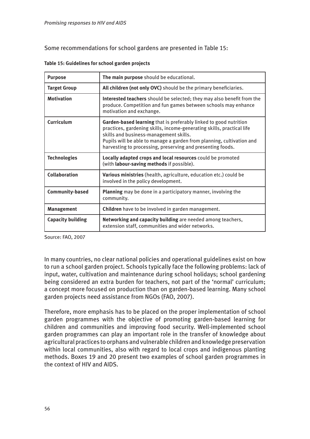Some recommendations for school gardens are presented in Table 15:

| <b>Purpose</b>           | The main purpose should be educational.                                                                                                                                                                                                                                                                                     |  |
|--------------------------|-----------------------------------------------------------------------------------------------------------------------------------------------------------------------------------------------------------------------------------------------------------------------------------------------------------------------------|--|
| <b>Target Group</b>      | All children (not only OVC) should be the primary beneficiaries.                                                                                                                                                                                                                                                            |  |
| <b>Motivation</b>        | Interested teachers should be selected; they may also benefit from the<br>produce. Competition and fun games between schools may enhance<br>motivation and exchange.                                                                                                                                                        |  |
| Curriculum               | Garden-based learning that is preferably linked to good nutrition<br>practices, gardening skills, income-generating skills, practical life<br>skills and business-management skills.<br>Pupils will be able to manage a garden from planning, cultivation and<br>harvesting to processing, preserving and presenting foods. |  |
| <b>Technologies</b>      | Locally adapted crops and local resources could be promoted<br>(with labour-saving methods if possible).                                                                                                                                                                                                                    |  |
| <b>Collaboration</b>     | Various ministries (health, agriculture, education etc.) could be<br>involved in the policy development.                                                                                                                                                                                                                    |  |
| <b>Community-based</b>   | <b>Planning</b> may be done in a participatory manner, involving the<br>community.                                                                                                                                                                                                                                          |  |
| <b>Management</b>        | Children have to be involved in garden management.                                                                                                                                                                                                                                                                          |  |
| <b>Capacity building</b> | Networking and capacity building are needed among teachers,<br>extension staff, communities and wider networks.                                                                                                                                                                                                             |  |

|  | Table 15: Guidelines for school garden projects |  |  |  |
|--|-------------------------------------------------|--|--|--|
|--|-------------------------------------------------|--|--|--|

Source: FAO, 2007

In many countries, no clear national policies and operational guidelines exist on how to run a school garden project. Schools typically face the following problems: lack of input, water, cultivation and maintenance during school holidays; school gardening being considered an extra burden for teachers, not part of the 'normal' curriculum; a concept more focused on production than on garden-based learning. Many school garden projects need assistance from NGOs (FAO, 2007).

Therefore, more emphasis has to be placed on the proper implementation of school garden programmes with the objective of promoting garden-based learning for children and communities and improving food security. Well-implemented school garden programmes can play an important role in the transfer of knowledge about agricultural practices to orphans and vulnerable children and knowledge preservation within local communities, also with regard to local crops and indigenous planting methods. Boxes 19 and 20 present two examples of school garden programmes in the context of HIV and AIDS.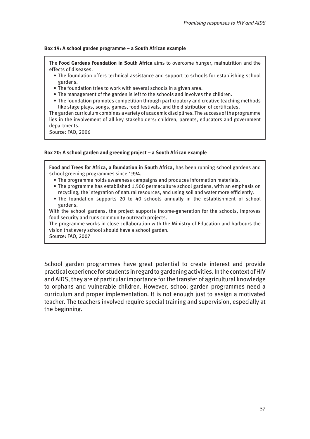### **Box 19: A school garden programme – a South African example**

The **Food Gardens Foundation in South Africa** aims to overcome hunger, malnutrition and the effects of diseases.

- The foundation offers technical assistance and support to schools for establishing school gardens.
- The foundation tries to work with several schools in a given area.
- The management of the garden is left to the schools and involves the children.
- The foundation promotes competition through participatory and creative teaching methods like stage plays, songs, games, food festivals, and the distribution of certificates.

The garden curriculum combines a variety of academic disciplines. The success of the programme lies in the involvement of all key stakeholders: children, parents, educators and government departments.

Source: FAO, 2006

#### **Box 20: A school garden and greening project – a South African example**

**Food and Trees for Africa, a foundation in South Africa,** has been running school gardens and school greening programmes since 1994.

- The programme holds awareness campaigns and produces information materials.
- The programme has established 1,500 permaculture school gardens, with an emphasis on recycling, the integration of natural resources, and using soil and water more efficiently.
- The foundation supports 20 to 40 schools annually in the establishment of school gardens.

With the school gardens, the project supports income-generation for the schools, improves food security and runs community outreach projects.

The programme works in close collaboration with the Ministry of Education and harbours the vision that every school should have a school garden.

Source: FAO, 2007

School garden programmes have great potential to create interest and provide practical experience for students in regard to gardening activities. In the context of HIV and AIDS, they are of particular importance for the transfer of agricultural knowledge to orphans and vulnerable children. However, school garden programmes need a curriculum and proper implementation. It is not enough just to assign a motivated teacher. The teachers involved require special training and supervision, especially at the beginning.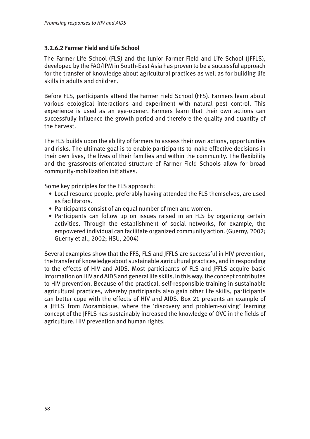## **3.2.6.2 Farmer Field and Life School**

The Farmer Life School (FLS) and the Junior Farmer Field and Life School (JFFLS), developed by the FAO/IPM in South-East Asia has proven to be a successful approach for the transfer of knowledge about agricultural practices as well as for building life skills in adults and children.

Before FLS, participants attend the Farmer Field School (FFS). Farmers learn about various ecological interactions and experiment with natural pest control. This experience is used as an eye-opener. Farmers learn that their own actions can successfully influence the growth period and therefore the quality and quantity of the harvest.

The FLS builds upon the ability of farmers to assess their own actions, opportunities and risks. The ultimate goal is to enable participants to make effective decisions in their own lives, the lives of their families and within the community. The flexibility and the grassroots-orientated structure of Farmer Field Schools allow for broad community-mobilization initiatives.

Some key principles for the FLS approach:

- Local resource people, preferably having attended the FLS themselves, are used as facilitators.
- Participants consist of an equal number of men and women.
- Participants can follow up on issues raised in an FLS by organizing certain activities. Through the establishment of social networks, for example, the empowered individual can facilitate organized community action. (Guerny, 2002; Guerny et al., 2002; HSU, 2004)

Several examples show that the FFS, FLS and JFFLS are successful in HIV prevention, the transfer of knowledge about sustainable agricultural practices, and in responding to the effects of HIV and AIDS. Most participants of FLS and JFFLS acquire basic information on HIV and AIDS and general life skills. In this way, the concept contributes to HIV prevention. Because of the practical, self-responsible training in sustainable agricultural practices, whereby participants also gain other life skills, participants can better cope with the effects of HIV and AIDS. Box 21 presents an example of a JFFLS from Mozambique, where the 'discovery and problem-solving' learning concept of the JFFLS has sustainably increased the knowledge of OVC in the fields of agriculture, HIV prevention and human rights.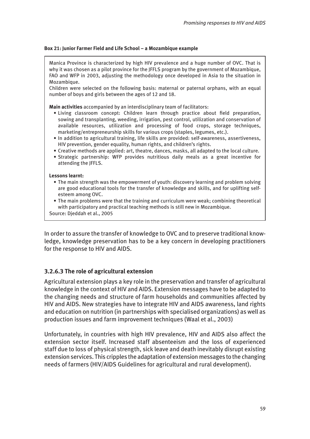### **Box 21: Junior Farmer Field and Life School – a Mozambique example**

Manica Province is characterized by high HIV prevalence and a huge number of OVC. That is why it was chosen as a pilot province for the JFFLS program by the government of Mozambique, FAO and WFP in 2003, adjusting the methodology once developed in Asia to the situation in Mozambique.

Children were selected on the following basis: maternal or paternal orphans, with an equal number of boys and girls between the ages of 12 and 18.

**Main activities** accompanied by an interdisciplinary team of facilitators:

- Living classroom concept: Children learn through practice about field preparation, sowing and transplanting, weeding, irrigation, pest control, utilization and conservation of available resources, utilization and processing of food crops, storage techniques, marketing/entrepreneurship skills for various crops (staples, legumes, etc.).
- In addition to agricultural training, life skills are provided: self-awareness, assertiveness, HIV prevention, gender equality, human rights, and children's rights.
- Creative methods are applied: art, theatre, dances, masks, all adapted to the local culture.
- Strategic partnership: WFP provides nutritious daily meals as a great incentive for attending the JFFLS.

### **Lessons learnt:**

- The main strength was the empowerment of youth: discovery learning and problem solving are good educational tools for the transfer of knowledge and skills, and for uplifting self esteem among OVC.
- The main problems were that the training and curriculum were weak; combining theoretical with participatory and practical teaching methods is still new in Mozambique. Source: Djeddah et al., 2005

In order to assure the transfer of knowledge to OVC and to preserve traditional knowledge, knowledge preservation has to be a key concern in developing practitioners for the response to HIV and AIDS.

### **3.2.6.3 The role of agricultural extension**

Agricultural extension plays a key role in the preservation and transfer of agricultural knowledge in the context of HIV and AIDS. Extension messages have to be adapted to the changing needs and structure of farm households and communities affected by HIV and AIDS. New strategies have to integrate HIV and AIDS awareness, land rights and education on nutrition (in partnerships with specialised organizations) as well as production issues and farm improvement techniques (Waal et al., 2003)

Unfortunately, in countries with high HIV prevalence, HIV and AIDS also affect the extension sector itself. Increased staff absenteeism and the loss of experienced staff due to loss of physical strength, sick leave and death inevitably disrupt existing extension services. This cripples the adaptation of extension messages to the changing needs of farmers (HIV/AIDS Guidelines for agricultural and rural development).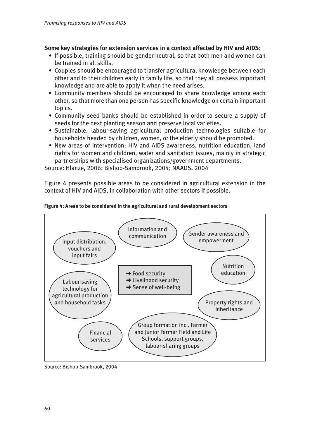## **Some key strategies for extension services in a context affected by HIV and AIDS:**

- If possible, training should be gender neutral, so that both men and women can be trained in all skills.
- Couples should be encouraged to transfer agricultural knowledge between each other and to their children early in family life, so that they all possess important knowledge and are able to apply it when the need arises.
- Community members should be encouraged to share knowledge among each other, so that more than one person has specific knowledge on certain important topics.
- Community seed banks should be established in order to secure a supply of seeds for the next planting season and preserve local varieties.
- Sustainable, labour-saving agricultural production technologies suitable for households headed by children, women, or the elderly should be promoted.
- New areas of intervention: HIV and AIDS awareness, nutrition education, land rights for women and children, water and sanitation issues, mainly in strategic partnerships with specialised organizations/government departments.

Source: Hlanze, 2006; Bishop-Sambrook, 2004; NAADS, 2004

Figure 4 presents possible areas to be considered in agricultural extension in the context of HIV and AIDS, in collaboration with other sectors if possible.



### **Figure 4: Areas to be considered in the agricultural and rural development sectors**

Source: Bishop-Sambrook, 2004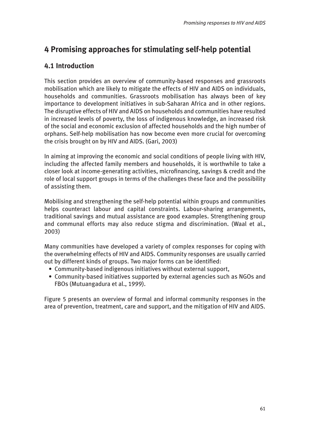# **4 Promising approaches for stimulating self-help potential**

## **4.1 Introduction**

This section provides an overview of community-based responses and grassroots mobilisation which are likely to mitigate the effects of HIV and AIDS on individuals, households and communities. Grassroots mobilisation has always been of key importance to development initiatives in sub-Saharan Africa and in other regions. The disruptive effects of HIV and AIDS on households and communities have resulted in increased levels of poverty, the loss of indigenous knowledge, an increased risk of the social and economic exclusion of affected households and the high number of orphans. Self-help mobilisation has now become even more crucial for overcoming the crisis brought on by HIV and AIDS. (Gari, 2003)

In aiming at improving the economic and social conditions of people living with HIV, including the affected family members and households, it is worthwhile to take a closer look at income-generating activities, microfinancing, savings & credit and the role of local support groups in terms of the challenges these face and the possibility of assisting them.

Mobilising and strengthening the self-help potential within groups and communities helps counteract labour and capital constraints. Labour-sharing arrangements, traditional savings and mutual assistance are good examples. Strengthening group and communal efforts may also reduce stigma and discrimination. (Waal et al., 2003)

Many communities have developed a variety of complex responses for coping with the overwhelming effects of HIV and AIDS. Community responses are usually carried out by different kinds of groups. Two major forms can be identified:

- Community-based indigenous initiatives without external support,
- Community-based initiatives supported by external agencies such as NGOs and FBOs (Mutuangadura et al., 1999).

Figure 5 presents an overview of formal and informal community responses in the area of prevention, treatment, care and support, and the mitigation of HIV and AIDS.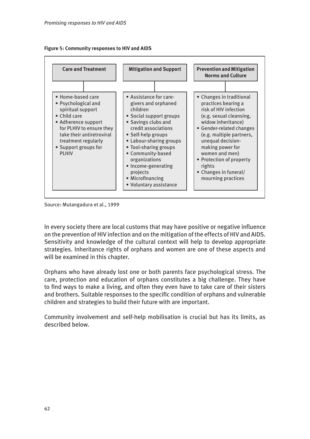



Source: Mutangadura et al., 1999

In every society there are local customs that may have positive or negative influence on the prevention of HIV infection and on the mitigation of the effects of HIV and AIDS. Sensitivity and knowledge of the cultural context will help to develop appropriate strategies. Inheritance rights of orphans and women are one of these aspects and will be examined in this chapter.

Orphans who have already lost one or both parents face psychological stress. The care, protection and education of orphans constitutes a big challenge. They have to find ways to make a living, and often they even have to take care of their sisters and brothers. Suitable responses to the specific condition of orphans and vulnerable children and strategies to build their future with are important.

Community involvement and self-help mobilisation is crucial but has its limits, as described below.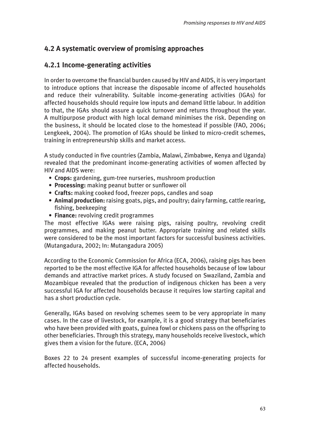## **4.2 A systematic overview of promising approaches**

## **4.2.1 Income-generating activities**

In order to overcome the financial burden caused by HIV and AIDS, it is very important to introduce options that increase the disposable income of affected households and reduce their vulnerability. Suitable income-generating activities (IGAs) for affected households should require low inputs and demand little labour. In addition to that, the IGAs should assure a quick turnover and returns throughout the year. A multipurpose product with high local demand minimises the risk. Depending on the business, it should be located close to the homestead if possible (FAO, 2006; Lengkeek, 2004). The promotion of IGAs should be linked to micro-credit schemes, training in entrepreneurship skills and market access.

A study conducted in five countries (Zambia, Malawi, Zimbabwe, Kenya and Uganda) revealed that the predominant income-generating activities of women affected by HIV and AIDS were:

- **Crops:** gardening, gum-tree nurseries, mushroom production
- **Processing:** making peanut butter or sunflower oil
- **Crafts:** making cooked food, freezer pops, candles and soap
- **Animal production:** raising goats, pigs, and poultry; dairy farming, cattle rearing, fishing, beekeeping
- **Finance:** revolving credit programmes

The most effective IGAs were raising pigs, raising poultry, revolving credit programmes, and making peanut butter. Appropriate training and related skills were considered to be the most important factors for successful business activities. (Mutangadura, 2002; In: Mutangadura 2005)

According to the Economic Commission for Africa (ECA, 2006), raising pigs has been reported to be the most effective IGA for affected households because of low labour demands and attractive market prices. A study focused on Swaziland, Zambia and Mozambique revealed that the production of indigenous chicken has been a very successful IGA for affected households because it requires low starting capital and has a short production cycle.

Generally, IGAs based on revolving schemes seem to be very appropriate in many cases. In the case of livestock, for example, it is a good strategy that beneficiaries who have been provided with goats, guinea fowl or chickens pass on the offspring to other beneficiaries. Through this strategy, many households receive livestock, which gives them a vision for the future. (ECA, 2006)

Boxes 22 to 24 present examples of successful income-generating projects for affected households.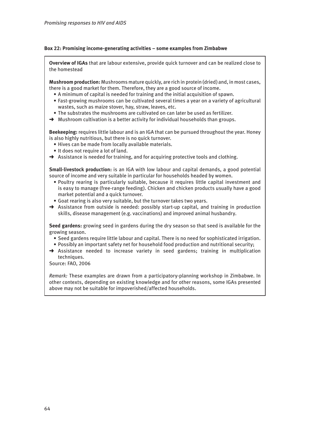### **Box 22: Promising income-generating activities – some examples from Zimbabwe**

**Overview of IGAs** that are labour extensive, provide quick turnover and can be realized close to the homestead

**Mushroom production:** Mushrooms mature quickly, are rich in protein (dried) and, in most cases, there is a good market for them. Therefore, they are a good source of income.

- A minimum of capital is needed for training and the initial acquisition of spawn.
- Fast-growing mushrooms can be cultivated several times a year on a variety of agricultural wastes, such as maize stover, hay, straw, leaves, etc.
- The substrates the mushrooms are cultivated on can later be used as fertilizer.
- → Mushroom cultivation is a better activity for individual households than groups.

**Beekeeping:** requires little labour and is an IGA that can be pursued throughout the year. Honey is also highly nutritious, but there is no quick turnover.

- Hives can be made from locally available materials.
- It does not require a lot of land.
- → Assistance is needed for training, and for acquiring protective tools and clothing.

**Small-livestock production:** is an IGA with low labour and capital demands, a good potential source of income and very suitable in particular for households headed by women.

- Poultry rearing is particularly suitable, because it requires little capital investment and is easy to manage (free-range feeding). Chicken and chicken products usually have a good market potential and a quick turnover.
- Goat rearing is also very suitable, but the turnover takes two years.
- → Assistance from outside is needed: possibly start-up capital, and training in production skills, disease management (e.g. vaccinations) and improved animal husbandry.

**Seed gardens:** growing seed in gardens during the dry season so that seed is available for the growing season.

- Seed gardens require little labour and capital. There is no need for sophisticated irrigation.
- Possibly an important safety net for household food production and nutritional security;
- $\rightarrow$  Assistance needed to increase variety in seed gardens; training in multiplication techniques.

Source: FAO, 2006

*Remark:* These examples are drawn from a participatory-planning workshop in Zimbabwe. In other contexts, depending on existing knowledge and for other reasons, some IGAs presented above may not be suitable for impoverished/affected households.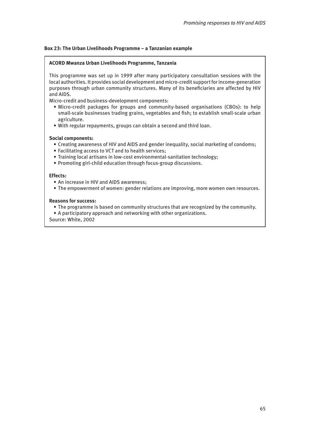### **Box 23: The Urban Livelihoods Programme – a Tanzanian example**

### **ACORD Mwanza Urban Livelihoods Programme, Tanzania**

This programme was set up in 1999 after many participatory consultation sessions with the local authorities. It provides social development and micro-credit support for income-generation purposes through urban community structures. Many of its beneficiaries are affected by HIV and AIDS.

Micro-credit and business-development components:

- Micro-credit packages for groups and community-based organisations (CBOs): to help small-scale businesses trading grains, vegetables and fish; to establish small-scale urban agriculture.
- With regular repayments, groups can obtain a second and third loan.

### **Social components:**

- Creating awareness of HIV and AIDS and gender inequality, social marketing of condoms;
- Facilitating access to VCT and to health services;
- Training local artisans in low-cost environmental-sanitation technology;
- Promoting girl-child education through focus-group discussions.

### **Effects:**

- An increase in HIV and AIDS awareness;
- The empowerment of women: gender relations are improving, more women own resources.

#### **Reasons for success:**

- The programme is based on community structures that are recognized by the community.
- A participatory approach and networking with other organizations.

Source: White, 2002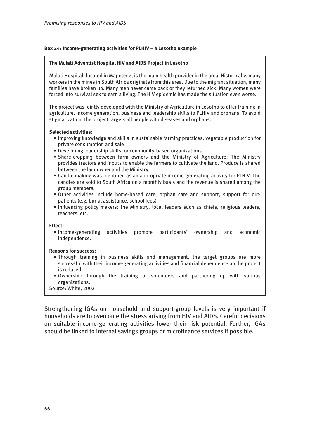### **Box 24: Income-generating activities for PLHIV – a Lesotho example**

### **The Mulati Adventist Hospital HIV and AIDS Project in Lesotho**

Mulati Hospital, located in Mapoteng, is the main health provider in the area. Historically, many workers in the mines in South Africa originate from this area. Due to the migrant situation, many families have broken up. Many men never came back or they returned sick. Many women were forced into survival sex to earn a living. The HIV epidemic has made the situation even worse.

The project was jointly developed with the Ministry of Agriculture in Lesotho to offer training in agriculture, income generation, business and leadership skills to PLHIV and orphans. To avoid stigmatization, the project targets all people with diseases and orphans.

### **Selected activities:**

- Improving knowledge and skills in sustainable farming practices; vegetable production for private consumption and sale
- Developing leadership skills for community-based organizations
- Share-cropping between farm owners and the Ministry of Agriculture: The Ministry provides tractors and inputs to enable the farmers to cultivate the land. Produce is shared between the landowner and the Ministry.
- Candle making was identified as an appropriate income-generating activity for PLHIV. The candles are sold to South Africa on a monthly basis and the revenue is shared among the group members.
- Other activities include home-based care, orphan care and support, support for out patients (e.g. burial assistance, school fees)
- Influencing policy makers: the Ministry, local leaders such as chiefs, religious leaders, teachers, etc.

#### **Effect:**

• Income-generating activities promote participants' ownership and economic independence.

#### **Reasons for success:**

- Through training in business skills and management, the target groups are more successful with their income-generating activities and financial dependence on the project is reduced.
- Ownership through the training of volunteers and partnering up with various organizations.
- Source: White, 2002

Strengthening IGAs on household and support-group levels is very important if households are to overcome the stress arising from HIV and AIDS. Careful decisions on suitable income-generating activities lower their risk potential. Further, IGAs should be linked to internal savings groups or microfinance services if possible.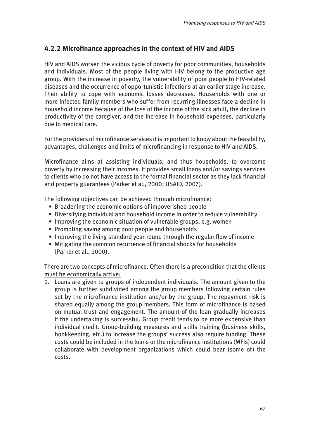## **4.2.2 Microfinance approaches in the context of HIV and AIDS**

HIV and AIDS worsen the vicious cycle of poverty for poor communities, households and individuals. Most of the people living with HIV belong to the productive age group. With the increase in poverty, the vulnerability of poor people to HIV-related diseases and the occurrence of opportunistic infections at an earlier stage increase. Their ability to cope with economic losses decreases. Households with one or more infected family members who suffer from recurring illnesses face a decline in household income because of the loss of the income of the sick adult, the decline in productivity of the caregiver, and the increase in household expenses, particularly due to medical care.

For the providers of microfinance services it is important to know about the feasibility, advantages, challenges and limits of microfinancing in response to HIV and AIDS.

Microfinance aims at assisting individuals, and thus households, to overcome poverty by increasing their incomes. It provides small loans and/or savings services to clients who do not have access to the formal financial sector as they lack financial and property guarantees (Parker et al., 2000; USAID, 2007).

The following objectives can be achieved through microfinance:

- Broadening the economic options of impoverished people
- Diversifying individual and household income in order to reduce vulnerability
- Improving the economic situation of vulnerable groups, e.g. women
- Promoting saving among poor people and households
- Improving the living standard year-round through the regular flow of income
- Mitigating the common recurrence of financial shocks for households (Parker et al., 2000).

## There are two concepts of microfinance. Often there is a precondition that the clients must be economically active:

1. Loans are given to groups of independent individuals. The amount given to the group is further subdivided among the group members following certain rules set by the microfinance institution and/or by the group. The repayment risk is shared equally among the group members. This form of microfinance is based on mutual trust and engagement. The amount of the loan gradually increases if the undertaking is successful. Group credit tends to be more expensive than individual credit. Group-building measures and skills training (business skills, bookkeeping, etc.) to increase the groups' success also require funding. These costs could be included in the loans or the microfinance institutions (MFIs) could collaborate with development organizations which could bear (some of) the costs.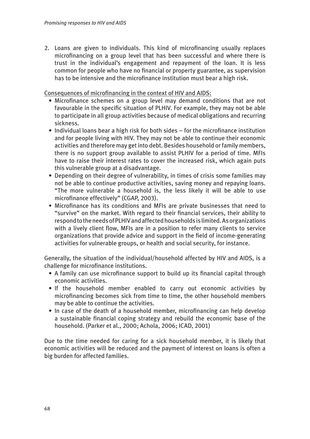2. Loans are given to individuals. This kind of microfinancing usually replaces microfinancing on a group level that has been successful and where there is trust in the individual's engagement and repayment of the loan. It is less common for people who have no financial or property guarantee, as supervision has to be intensive and the microfinance institution must bear a high risk.

Consequences of microfinancing in the context of HIV and AIDS:

- Microfinance schemes on a group level may demand conditions that are not favourable in the specific situation of PLHIV. For example, they may not be able to participate in all group activities because of medical obligations and recurring sickness.
- Individual loans bear a high risk for both sides for the microfinance institution and for people living with HIV. They may not be able to continue their economic activities and therefore may get into debt. Besides household or family members, there is no support group available to assist PLHIV for a period of time. MFIs have to raise their interest rates to cover the increased risk, which again puts this vulnerable group at a disadvantage.
- Depending on their degree of vulnerability, in times of crisis some families may not be able to continue productive activities, saving money and repaying loans. "The more vulnerable a household is, the less likely it will be able to use microfinance effectively" (CGAP, 2003).
- Microfinance has its conditions and MFIs are private businesses that need to "survive" on the market. With regard to their financial services, their ability to respond to the needs of PLHIV and affected households is limited. As organizations with a lively client flow, MFIs are in a position to refer many clients to service organizations that provide advice and support in the field of income-generating activities for vulnerable groups, or health and social security, for instance.

Generally, the situation of the individual/household affected by HIV and AIDS, is a challenge for microfinance institutions.

- A family can use microfinance support to build up its financial capital through economic activities.
- If the household member enabled to carry out economic activities by microfinancing becomes sick from time to time, the other household members may be able to continue the activities.
- In case of the death of a household member, microfinancing can help develop a sustainable financial coping strategy and rebuild the economic base of the household. (Parker et al., 2000; Achola, 2006; ICAD, 2001)

Due to the time needed for caring for a sick household member, it is likely that economic activities will be reduced and the payment of interest on loans is often a big burden for affected families.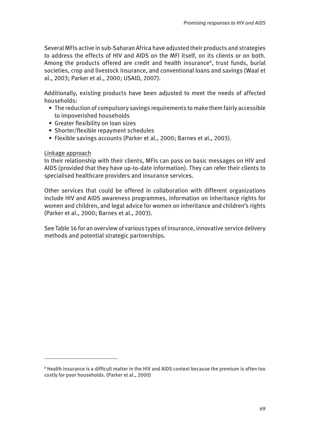Several MFIs active in sub-Saharan Africa have adjusted their products and strategies to address the effects of HIV and AIDS on the MFI itself, on its clients or on both. Among the products offered are credit and health insurance<sup>8</sup>, trust funds, burial societies, crop and livestock insurance, and conventional loans and savings (Waal et al., 2003; Parker et al., 2000; USAID, 2007).

Additionally, existing products have been adjusted to meet the needs of affected households:

- The reduction of compulsory savings requirements to make them fairly accessible to impoverished households
- Greater flexibility on loan sizes
- Shorter/flexible repayment schedules
- Flexible savings accounts (Parker et al., 2000; Barnes et al., 2003).

### Linkage approach

In their relationship with their clients, MFIs can pass on basic messages on HIV and AIDS (provided that they have up-to-date information). They can refer their clients to specialised healthcare providers and insurance services.

Other services that could be offered in collaboration with different organizations include HIV and AIDS awareness programmes, information on inheritance rights for women and children, and legal advice for women on inheritance and children's rights (Parker et al., 2000; Barnes et al., 2003).

See Table 16 for an overview of various types of insurance, innovative service delivery methods and potential strategic partnerships.

<sup>8</sup> Health insurance is a difficult matter in the HIV and AIDS context because the premium is often too costly for poor households. (Parker et al., 2000)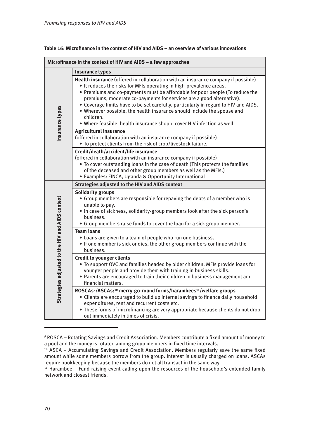| Microfinance in the context of HIV and AIDS - a few approaches |                                                                                                                                                                                                                                                                                                                                                                                                                                                                                                                                                                           |  |
|----------------------------------------------------------------|---------------------------------------------------------------------------------------------------------------------------------------------------------------------------------------------------------------------------------------------------------------------------------------------------------------------------------------------------------------------------------------------------------------------------------------------------------------------------------------------------------------------------------------------------------------------------|--|
|                                                                | <b>Insurance types</b>                                                                                                                                                                                                                                                                                                                                                                                                                                                                                                                                                    |  |
| Insurance types                                                | Health insurance (offered in collaboration with an insurance company if possible)<br>• It reduces the risks for MFIs operating in high-prevalence areas.<br>• Premiums and co-payments must be affordable for poor people (To reduce the<br>premiums, moderate co-payments for services are a good alternative).<br>• Coverage limits have to be set carefully, particularly in regard to HIV and AIDS.<br>. Wherever possible, the health insurance should include the spouse and<br>children.<br>. Where feasible, health insurance should cover HIV infection as well. |  |
|                                                                | <b>Agricultural insurance</b><br>(offered in collaboration with an insurance company if possible)<br>. To protect clients from the risk of crop/livestock failure.                                                                                                                                                                                                                                                                                                                                                                                                        |  |
|                                                                | Credit/death/accident/life insurance<br>(offered in collaboration with an insurance company if possible)<br>. To cover outstanding loans in the case of death (This protects the families<br>of the deceased and other group members as well as the MFIs.)<br>• Examples: FINCA, Uganda & Opportunity International                                                                                                                                                                                                                                                       |  |
|                                                                | Strategies adjusted to the HIV and AIDS context                                                                                                                                                                                                                                                                                                                                                                                                                                                                                                                           |  |
| Strategies adjusted to the HIV and AIDS context                | <b>Solidarity groups</b><br>• Group members are responsible for repaying the debts of a member who is<br>unable to pay.<br>. In case of sickness, solidarity-group members look after the sick person's<br>business.<br>• Group members raise funds to cover the loan for a sick group member.                                                                                                                                                                                                                                                                            |  |
|                                                                | <b>Team loans</b><br>• Loans are given to a team of people who run one business.<br>. If one member is sick or dies, the other group members continue with the<br>business.                                                                                                                                                                                                                                                                                                                                                                                               |  |
|                                                                | <b>Credit to younger clients</b><br>. To support OVC and families headed by older children, MFIs provide loans for<br>younger people and provide them with training in business skills.<br>• Parents are encouraged to train their children in business management and<br>financial matters.                                                                                                                                                                                                                                                                              |  |
|                                                                | ROSCAs <sup>9</sup> /ASCAs: <sup>10</sup> merry-go-round forms/harambees <sup>11</sup> /welfare groups<br>• Clients are encouraged to build up internal savings to finance daily household<br>expenditures, rent and recurrent costs etc.<br>• These forms of microfinancing are very appropriate because clients do not drop<br>out immediately in times of crisis.                                                                                                                                                                                                      |  |

<sup>9</sup> ROSCA – Rotating Savings and Credit Association. Members contribute a fixed amount of money to a pool and the money is rotated among group members in fixed time intervals.

<sup>&</sup>lt;sup>10</sup> ASCA - Accumulating Savings and Credit Association. Members regularly save the same fixed amount while some members borrow from the group. Interest is usually charged on loans. ASCAs require bookkeeping because the members do not all transact in the same way.

 $11$  Harambee – Fund-raising event calling upon the resources of the household's extended family network and closest friends.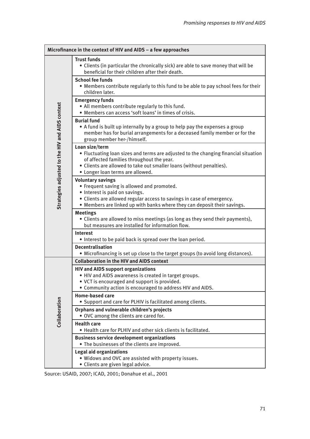|                                                 | Microfinance in the context of HIV and AIDS - a few approaches                                                                                                                                                                                                 |
|-------------------------------------------------|----------------------------------------------------------------------------------------------------------------------------------------------------------------------------------------------------------------------------------------------------------------|
|                                                 | <b>Trust funds</b><br>• Clients (in particular the chronically sick) are able to save money that will be<br>beneficial for their children after their death.                                                                                                   |
| Strategies adjusted to the HIV and AIDS context | <b>School fee funds</b><br>• Members contribute regularly to this fund to be able to pay school fees for their<br>children later.                                                                                                                              |
|                                                 | <b>Emergency funds</b><br>. All members contribute regularly to this fund.<br>. Members can access 'soft loans' in times of crisis.                                                                                                                            |
|                                                 | <b>Burial fund</b><br>• A fund is built up internally by a group to help pay the expenses a group<br>member has for burial arrangements for a deceased family member or for the<br>group member her-/himself.                                                  |
|                                                 | Loan size/term<br>• Fluctuating loan sizes and terms are adjusted to the changing financial situation<br>of affected families throughout the year.<br>• Clients are allowed to take out smaller loans (without penalties).<br>• Longer loan terms are allowed. |
|                                                 | <b>Voluntary savings</b><br>• Frequent saving is allowed and promoted.<br>• Interest is paid on savings.<br>• Clients are allowed regular access to savings in case of emergency.<br>• Members are linked up with banks where they can deposit their savings.  |
|                                                 | <b>Meetings</b><br>• Clients are allowed to miss meetings (as long as they send their payments),<br>but measures are installed for information flow.                                                                                                           |
|                                                 | <b>Interest</b><br>. Interest to be paid back is spread over the loan period.                                                                                                                                                                                  |
|                                                 | <b>Decentralisation</b><br>• Microfinancing is set up close to the target groups (to avoid long distances).                                                                                                                                                    |
|                                                 | <b>Collaboration in the HIV and AIDS context</b>                                                                                                                                                                                                               |
|                                                 | <b>HIV and AIDS support organizations</b><br>. HIV and AIDS awareness is created in target groups.                                                                                                                                                             |
| Collaboration                                   | • VCT is encouraged and support is provided.                                                                                                                                                                                                                   |
|                                                 | . Community action is encouraged to address HIV and AIDS.                                                                                                                                                                                                      |
|                                                 | <b>Home-based care</b><br>• Support and care for PLHIV is facilitated among clients.                                                                                                                                                                           |
|                                                 | Orphans and vulnerable children's projects<br>• OVC among the clients are cared for.                                                                                                                                                                           |
|                                                 | <b>Health care</b><br>• Health care for PLHIV and other sick clients is facilitated.                                                                                                                                                                           |
|                                                 | <b>Business service development organizations</b><br>. The businesses of the clients are improved.                                                                                                                                                             |
|                                                 | <b>Legal aid organizations</b><br>. Widows and OVC are assisted with property issues.<br>• Clients are given legal advice.                                                                                                                                     |

Source: USAID, 2007; ICAD, 2001; Donahue et al., 2001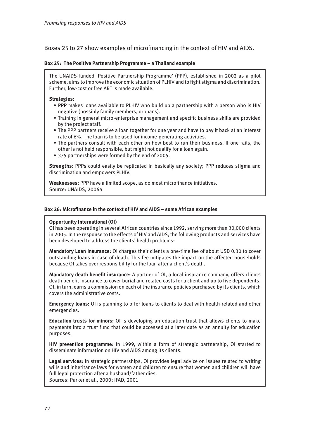Boxes 25 to 27 show examples of microfinancing in the context of HIV and AIDS.

### **Box 25: The Positive Partnership Programme – a Thailand example**

The UNAIDS-funded 'Positive Partnership Programme' (PPP), established in 2002 as a pilot scheme, aims to improve the economic situation of PLHIV and to fight stigma and discrimination. Further, low-cost or free ART is made available.

### **Strategies:**

- PPP makes loans available to PLHIV who build up a partnership with a person who is HIV negative (possibly family members, orphans).
- Training in general micro-enterprise management and specific business skills are provided by the project staff.
- The PPP partners receive a loan together for one year and have to pay it back at an interest rate of 6%. The loan is to be used for income-generating activities.
- The partners consult with each other on how best to run their business. If one fails, the other is not held responsible, but might not qualify for a loan again.
- 375 partnerships were formed by the end of 2005.

**Strengths:** PPPs could easily be replicated in basically any society; PPP reduces stigma and discrimination and empowers PLHIV.

**Weaknesses:** PPP have a limited scope, as do most microfinance initiatives. Source: UNAIDS, 2006a

### **Box 26: Microfinance in the context of HIV and AIDS – some African examples**

### **Opportunity International (OI)**

OI has been operating in several African countries since 1992, serving more than 30,000 clients in 2005. In the response to the effects of HIV and AIDS, the following products and services have been developed to address the clients' health problems:

**Mandatory Loan Insurance:** OI charges their clients a one-time fee of about USD 0.30 to cover outstanding loans in case of death. This fee mitigates the impact on the affected households because OI takes over responsibility for the loan after a client's death.

**Mandatory death benefit insurance:** A partner of OI, a local insurance company, offers clients death benefit insurance to cover burial and related costs for a client and up to five dependents. OI, in turn, earns a commission on each of the insurance policies purchased by its clients, which covers the administrative costs.

**Emergency loans:** OI is planning to offer loans to clients to deal with health-related and other emergencies.

**Education trusts for minors:** OI is developing an education trust that allows clients to make payments into a trust fund that could be accessed at a later date as an annuity for education purposes.

**HIV prevention programme:** In 1999, within a form of strategic partnership, OI started to disseminate information on HIV and AIDS among its clients.

**Legal services:** In strategic partnerships, OI provides legal advice on issues related to writing wills and inheritance laws for women and children to ensure that women and children will have full legal protection after a husband/father dies. Sources: Parker et al., 2000; IFAD, 2001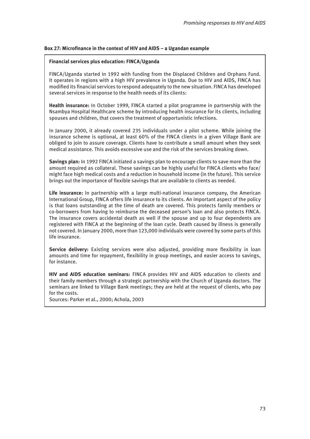# **Box 27: Microfinance in the context of HIV and AIDS – a Ugandan example**

## **Financial services plus education: FINCA/Uganda**

FINCA/Uganda started in 1992 with funding from the Displaced Children and Orphans Fund. It operates in regions with a high HIV prevalence in Uganda. Due to HIV and AIDS, FINCA has modified its financial services to respond adequately to the new situation. FINCA has developed several services in response to the health needs of its clients:

**Health insurance:** In October 1999, FINCA started a pilot programme in partnership with the Nsambya Hospital Healthcare scheme by introducing health insurance for its clients, including spouses and children, that covers the treatment of opportunistic infections.

In January 2000, it already covered 235 individuals under a pilot scheme. While joining the insurance scheme is optional, at least 60% of the FINCA clients in a given Village Bank are obliged to join to assure coverage. Clients have to contribute a small amount when they seek medical assistance. This avoids excessive use and the risk of the services breaking down.

**Savings plan:** In 1992 FINCA initiated a savings plan to encourage clients to save more than the amount required as collateral. These savings can be highly useful for FINCA clients who face/ might face high medical costs and a reduction in household income (in the future). This service brings out the importance of flexible savings that are available to clients as needed.

**Life insurance:** In partnership with a large multi-national insurance company, the American International Group, FINCA offers life insurance to its clients. An important aspect of the policy is that loans outstanding at the time of death are covered. This protects family members or co-borrowers from having to reimburse the deceased person's loan and also protects FINCA. The insurance covers accidental death as well if the spouse and up to four dependents are registered with FINCA at the beginning of the loan cycle. Death caused by illness is generally not covered. In January 2000, more than 123,000 individuals were covered by some parts of this life insurance.

**Service delivery:** Existing services were also adjusted, providing more flexibility in loan amounts and time for repayment, flexibility in group meetings, and easier access to savings, for instance.

**HIV and AIDS education seminars:** FINCA provides HIV and AIDS education to clients and their family members through a strategic partnership with the Church of Uganda doctors. The seminars are linked to Village Bank meetings; they are held at the request of clients, who pay for the costs.

Sources: Parker et al., 2000; Achola, 2003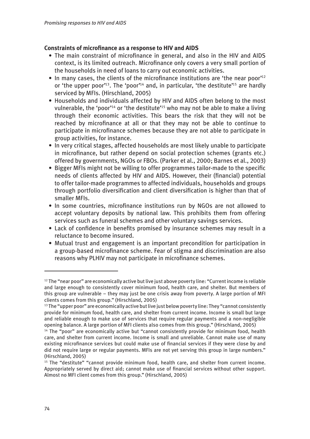# **Constraints of microfinance as a response to HIV and AIDS**

- The main constraint of microfinance in general, and also in the HIV and AIDS context, is its limited outreach. Microfinance only covers a very small portion of the households in need of loans to carry out economic activities.
- In many cases, the clients of the microfinance institutions are 'the near poor'<sup>12</sup> or 'the upper poor'<sup>13</sup>. The 'poor'<sup>14</sup> and, in particular, 'the destitute'<sup>15</sup> are hardly serviced by MFIs. (Hirschland, 2005)
- Households and individuals affected by HIV and AIDS often belong to the most vulnerable, the 'poor'<sup>14</sup> or 'the destitute'<sup>15</sup> who may not be able to make a living through their economic activities. This bears the risk that they will not be reached by microfinance at all or that they may not be able to continue to participate in microfinance schemes because they are not able to participate in group activities, for instance.
- In very critical stages, affected households are most likely unable to participate in microfinance, but rather depend on social protection schemes (grants etc.) offered by governments, NGOs or FBOs. (Parker et al., 2000; Barnes et al., 2003)
- Bigger MFIs might not be willing to offer programmes tailor-made to the specific needs of clients affected by HIV and AIDS. However, their (financial) potential to offer tailor-made programmes to affected individuals, households and groups through portfolio diversification and client diversification is higher than that of smaller MFIs.
- In some countries, microfinance institutions run by NGOs are not allowed to accept voluntary deposits by national law. This prohibits them from offering services such as funeral schemes and other voluntary savings services.
- Lack of confidence in benefits promised by insurance schemes may result in a reluctance to become insured.
- Mutual trust and engagement is an important precondition for participation in a group-based microfinance scheme. Fear of stigma and discrimination are also reasons why PLHIV may not participate in microfinance schemes.

<sup>&</sup>lt;sup>12</sup> The "near poor" are economically active but live just above poverty line: "Current income is reliable and large enough to consistently cover minimum food, health care, and shelter. But members of this group are vulnerable – they may just be one crisis away from poverty. A large portion of MFI clients comes from this group." (Hirschland, 2005)

 $^{13}$  The "upper poor" are economically active but live just below poverty line: They "cannot consistently provide for minimum food, health care, and shelter from current income. Income is small but large and reliable enough to make use of services that require regular payments and a non-negligible opening balance. A large portion of MFI clients also comes from this group." (Hirschland, 2005)

<sup>&</sup>lt;sup>14</sup> The "poor" are economically active but "cannot consistently provide for minimum food, health care, and shelter from current income. Income is small and unreliable. Cannot make use of many existing microfinance services but could make use of financial services if they were close by and did not require large or regular payments. MFIs are not yet serving this group in large numbers." (Hirschland, 2005)

<sup>&</sup>lt;sup>15</sup> The "destitute" "cannot provide minimum food, health care, and shelter from current income. Appropriately served by direct aid; cannot make use of financial services without other support. Almost no MFI client comes from this group." (Hirschland, 2005)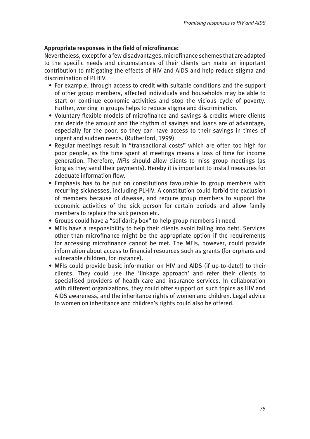# **Appropriate responses in the field of microfinance:**

Nevertheless, except for a few disadvantages, microfinance schemes that are adapted to the specific needs and circumstances of their clients can make an important contribution to mitigating the effects of HIV and AIDS and help reduce stigma and discrimination of PLHIV.

- For example, through access to credit with suitable conditions and the support of other group members, affected individuals and households may be able to start or continue economic activities and stop the vicious cycle of poverty. Further, working in groups helps to reduce stigma and discrimination.
- Voluntary flexible models of microfinance and savings & credits where clients can decide the amount and the rhythm of savings and loans are of advantage, especially for the poor, so they can have access to their savings in times of urgent and sudden needs. (Rutherford, 1999)
- Regular meetings result in "transactional costs" which are often too high for poor people, as the time spent at meetings means a loss of time for income generation. Therefore, MFIs should allow clients to miss group meetings (as long as they send their payments). Hereby it is important to install measures for adequate information flow.
- Emphasis has to be put on constitutions favourable to group members with recurring sicknesses, including PLHIV. A constitution could forbid the exclusion of members because of disease, and require group members to support the economic activities of the sick person for certain periods and allow family members to replace the sick person etc.
- Groups could have a "solidarity box" to help group members in need.
- MFIs have a responsibility to help their clients avoid falling into debt. Services other than microfinance might be the appropriate option if the requirements for accessing microfinance cannot be met. The MFIs, however, could provide information about access to financial resources such as grants (for orphans and vulnerable children, for instance).
- MFIs could provide basic information on HIV and AIDS (if up-to-date!) to their clients. They could use the 'linkage approach' and refer their clients to specialised providers of health care and insurance services. In collaboration with different organizations, they could offer support on such topics as HIV and AIDS awareness, and the inheritance rights of women and children. Legal advice to women on inheritance and children's rights could also be offered.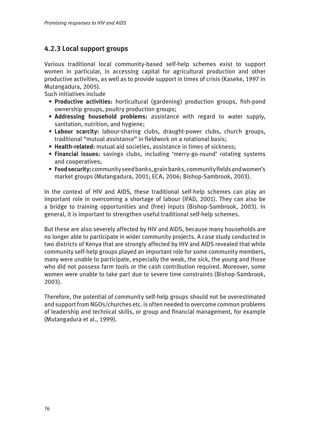# **4.2.3 Local support groups**

Various traditional local community-based self-help schemes exist to support women in particular, in accessing capital for agricultural production and other productive activities, as well as to provide support in times of crisis (Kaseke, 1997 in Mutangadura, 2005).

Such initiatives include

- **Productive activities:** horticultural (gardening) production groups, fish-pond ownership groups, poultry production groups;
- **Addressing household problems:** assistance with regard to water supply, sanitation, nutrition, and hygiene;
- **Labour scarcity:** labour-sharing clubs, draught-power clubs, church groups, traditional "mutual assistance" in fieldwork on a rotational basis;
- **Health-related:** mutual aid societies, assistance in times of sickness;
- **Financial issues:** savings clubs, including 'merry-go-round' rotating systems and cooperatives;
- **Food security:** community seed banks, grain banks, community fields and women's market groups (Mutangadura, 2001; ECA, 2006; Bishop-Sambrook, 2003).

In the context of HIV and AIDS, these traditional self-help schemes can play an important role in overcoming a shortage of labour (IFAD, 2001). They can also be a bridge to training opportunities and (free) inputs (Bishop-Sambrook, 2003). In general, it is important to strengthen useful traditional self-help schemes.

But these are also severely affected by HIV and AIDS, because many households are no longer able to participate in wider community projects. A case study conducted in two districts of Kenya that are strongly affected by HIV and AIDS revealed that while community self-help groups played an important role for some community members, many were unable to participate, especially the weak, the sick, the young and those who did not possess farm tools or the cash contribution required. Moreover, some women were unable to take part due to severe time constraints (Bishop-Sambrook, 2003).

Therefore, the potential of community self-help groups should not be overestimated and support from NGOs/churches etc. is often needed to overcome common problems of leadership and technical skills, or group and financial management, for example (Mutangadura et al., 1999).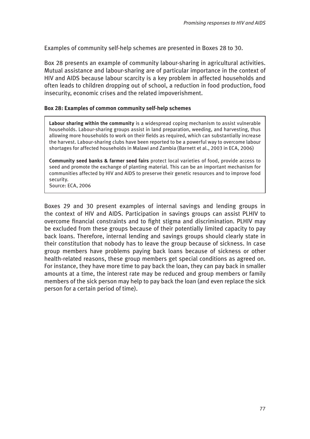Examples of community self-help schemes are presented in Boxes 28 to 30.

Box 28 presents an example of community labour-sharing in agricultural activities. Mutual assistance and labour-sharing are of particular importance in the context of HIV and AIDS because labour scarcity is a key problem in affected households and often leads to children dropping out of school, a reduction in food production, food insecurity, economic crises and the related impoverishment.

# **Box 28: Examples of common community self-help schemes**

**Labour sharing within the community** is a widespread coping mechanism to assist vulnerable households. Labour-sharing groups assist in land preparation, weeding, and harvesting, thus allowing more households to work on their fields as required, which can substantially increase the harvest. Labour-sharing clubs have been reported to be a powerful way to overcome labour shortages for affected households in Malawi and Zambia (Barnett et al., 2003 in ECA, 2006)

**Community seed banks & farmer seed fairs** protect local varieties of food, provide access to seed and promote the exchange of planting material. This can be an important mechanism for communities affected by HIV and AIDS to preserve their genetic resources and to improve food security.

Source: ECA, 2006

Boxes 29 and 30 present examples of internal savings and lending groups in the context of HIV and AIDS. Participation in savings groups can assist PLHIV to overcome financial constraints and to fight stigma and discrimination. PLHIV may be excluded from these groups because of their potentially limited capacity to pay back loans. Therefore, internal lending and savings groups should clearly state in their constitution that nobody has to leave the group because of sickness. In case group members have problems paying back loans because of sickness or other health-related reasons, these group members get special conditions as agreed on. For instance, they have more time to pay back the loan, they can pay back in smaller amounts at a time, the interest rate may be reduced and group members or family members of the sick person may help to pay back the loan (and even replace the sick person for a certain period of time).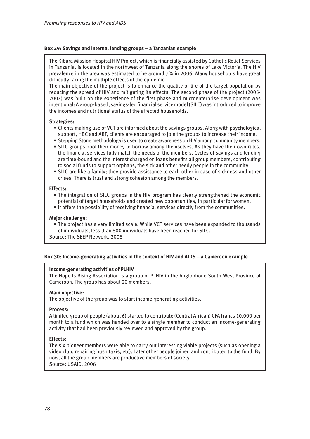## **Box 29: Savings and internal lending groups – a Tanzanian example**

The Kibara Mission Hospital HIV Project, which is financially assisted by Catholic Relief Services in Tanzania, is located in the northwest of Tanzania along the shores of Lake Victoria. The HIV prevalence in the area was estimated to be around 7% in 2006. Many households have great difficulty facing the multiple effects of the epidemic.

The main objective of the project is to enhance the quality of life of the target population by reducing the spread of HIV and mitigating its effects. The second phase of the project (2005- 2007) was built on the experience of the first phase and microenterprise development was intentional: A group-based, savings-led financial service model (SILC) was introduced to improve the incomes and nutritional status of the affected households.

## **Strategies:**

- Clients making use of VCT are informed about the savings groups. Along with psychological support, HBC and ART, clients are encouraged to join the groups to increase their income.
- Stepping Stone methodology is used to create awareness on HIV among community members.
- SILC groups pool their money to borrow among themselves. As they have their own rules, the financial services fully match the needs of the members. Cycles of savings and lending are time-bound and the interest charged on loans benefits all group members, contributing to social funds to support orphans, the sick and other needy people in the community.
- SILC are like a family; they provide assistance to each other in case of sickness and other crises. There is trust and strong cohesion among the members.

## **Effects:**

- The integration of SILC groups in the HIV program has clearly strengthened the economic potential of target households and created new opportunities, in particular for women.
- It offers the possibility of receiving financial services directly from the communities.

### **Major challenge:**

• The project has a very limited scale. While VCT services have been expanded to thousands of individuals, less than 800 individuals have been reached for SILC.

Source: The SEEP Network, 2008

# **Box 30: Income-generating activities in the context of HIV and AIDS – a Cameroon example**

### **Income-generating activities of PLHIV**

The Hope Is Rising Association is a group of PLHIV in the Anglophone South-West Province of Cameroon. The group has about 20 members.

### **Main objective:**

The objective of the group was to start income-generating activities.

### **Process:**

A limited group of people (about 6) started to contribute (Central African) CFA francs 10,000 per month to a fund which was handed over to a single member to conduct an income-generating activity that had been previously reviewed and approved by the group.

### **Effects:**

The six pioneer members were able to carry out interesting viable projects (such as opening a video club, repairing bush taxis, etc). Later other people joined and contributed to the fund. By now, all the group members are productive members of society. Source: USAID, 2006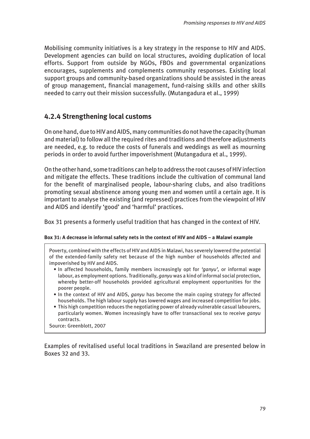Mobilising community initiatives is a key strategy in the response to HIV and AIDS. Development agencies can build on local structures, avoiding duplication of local efforts. Support from outside by NGOs, FBOs and governmental organizations encourages, supplements and complements community responses. Existing local support groups and community-based organizations should be assisted in the areas of group management, financial management, fund-raising skills and other skills needed to carry out their mission successfully. (Mutangadura et al., 1999)

# **4.2.4 Strengthening local customs**

On one hand, due to HIV and AIDS, many communities do not have the capacity (human and material) to follow all the required rites and traditions and therefore adjustments are needed, e.g. to reduce the costs of funerals and weddings as well as mourning periods in order to avoid further impoverishment (Mutangadura et al., 1999).

On the other hand, some traditions can help to address the root causes of HIV infection and mitigate the effects. These traditions include the cultivation of communal land for the benefit of marginalised people, labour-sharing clubs, and also traditions promoting sexual abstinence among young men and women until a certain age. It is important to analyse the existing (and repressed) practices from the viewpoint of HIV and AIDS and identify 'good' and 'harmful' practices.

Box 31 presents a formerly useful tradition that has changed in the context of HIV.

# **Box 31: A decrease in informal safety nets in the context of HIV and AIDS – a Malawi example**

Poverty, combined with the effects of HIV and AIDS in Malawi, has severely lowered the potential of the extended-family safety net because of the high number of households affected and impoverished by HIV and AIDS.

- In affected households, family members increasingly opt for *'ganyu'*, or informal wage labour, as employment options. Traditionally, *ganyu* was a kind of informal social protection, whereby better-off households provided agricultural employment opportunities for the poorer people.
- In the context of HIV and AIDS, *ganyu* has become the main coping strategy for affected households. The high labour supply has lowered wages and increased competition for jobs.
- This high competition reduces the negotiating power of already vulnerable casual labourers, particularly women. Women increasingly have to offer transactional sex to receive *ganyu* contracts.

Source: Greenblott, 2007

Examples of revitalised useful local traditions in Swaziland are presented below in Boxes 32 and 33.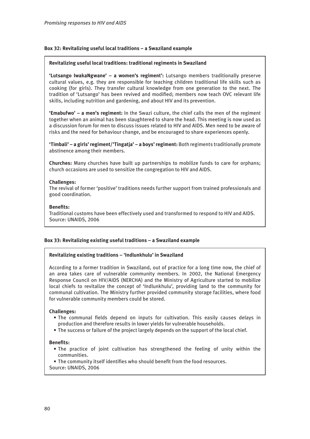# **Box 32: Revitalizing useful local traditions – a Swaziland example**

### **Revitalizing useful local traditions: traditional regiments in Swaziland**

**'Lutsango IwakaNgwane' – a women's regiment':** Lutsango members traditionally preserve cultural values, e.g. they are responsible for teaching children traditional life skills such as cooking (for girls). They transfer cultural knowledge from one generation to the next. The tradition of 'Lutsango' has been revived and modified; members now teach OVC relevant life skills, including nutrition and gardening, and about HIV and its prevention.

**'Emabufwo' – a men's regiment:** In the Swazi culture, the chief calls the men of the regiment together when an animal has been slaughtered to share the head. This meeting is now used as a discussion forum for men to discuss issues related to HIV and AIDS. Men need to be aware of risks and the need for behaviour change, and be encouraged to share experiences openly.

**'Timbali' – a girls' regiment/'Tingatja' – a boys' regiment:** Both regiments traditionally promote abstinence among their members.

**Churches:** Many churches have built up partnerships to mobilize funds to care for orphans; church occasions are used to sensitize the congregation to HIV and AIDS.

### **Challenges:**

The revival of former 'positive' traditions needs further support from trained professionals and good coordination.

### **Benefits:**

Traditional customs have been effectively used and transformed to respond to HIV and AIDS. Source: UNAIDS, 2006

## **Box 33: Revitalizing existing useful traditions – a Swaziland example**

### **Revitalizing existing traditions – 'Indlunkhulu' in Swaziland**

According to a former tradition in Swaziland, out of practice for a long time now, the chief of an area takes care of vulnerable community members. In 2002, the National Emergency Response Council on HIV/AIDS (NERCHA) and the Ministry of Agriculture started to mobilize local chiefs to revitalize the concept of 'Indlunkhulu', providing land to the community for communal cultivation. The Ministry further provided community storage facilities, where food for vulnerable community members could be stored.

### **Challenges:**

- The communal fields depend on inputs for cultivation. This easily causes delays in production and therefore results in lower yields for vulnerable households.
- The success or failure of the project largely depends on the support of the local chief.

### **Benefits:**

• The practice of joint cultivation has strengthened the feeling of unity within the communities.

• The community itself identifies who should benefit from the food resources. Source: UNAIDS, 2006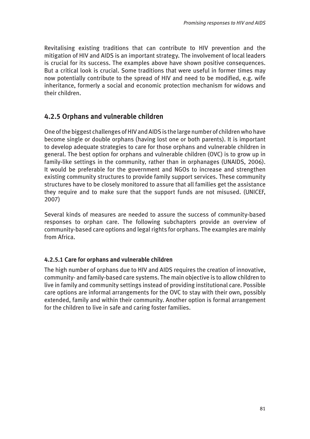Revitalising existing traditions that can contribute to HIV prevention and the mitigation of HIV and AIDS is an important strategy. The involvement of local leaders is crucial for its success. The examples above have shown positive consequences. But a critical look is crucial. Some traditions that were useful in former times may now potentially contribute to the spread of HIV and need to be modified, e.g. wife inheritance, formerly a social and economic protection mechanism for widows and their children.

# **4.2.5 Orphans and vulnerable children**

One of the biggest challenges of HIV and AIDS is the large number of children who have become single or double orphans (having lost one or both parents). It is important to develop adequate strategies to care for those orphans and vulnerable children in general. The best option for orphans and vulnerable children (OVC) is to grow up in family-like settings in the community, rather than in orphanages (UNAIDS, 2006). It would be preferable for the government and NGOs to increase and strengthen existing community structures to provide family support services. These community structures have to be closely monitored to assure that all families get the assistance they require and to make sure that the support funds are not misused. (UNICEF, 2007)

Several kinds of measures are needed to assure the success of community-based responses to orphan care. The following subchapters provide an overview of community-based care options and legal rights for orphans. The examples are mainly from Africa.

# **4.2.5.1 Care for orphans and vulnerable children**

The high number of orphans due to HIV and AIDS requires the creation of innovative, community- and family-based care systems. The main objective is to allow children to live in family and community settings instead of providing institutional care. Possible care options are informal arrangements for the OVC to stay with their own, possibly extended, family and within their community. Another option is formal arrangement for the children to live in safe and caring foster families.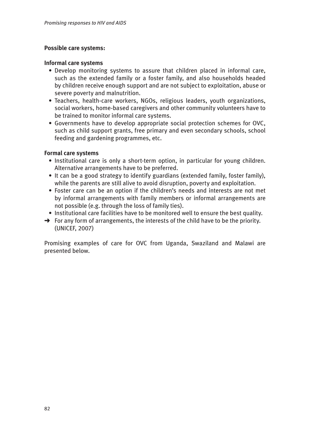# **Possible care systems:**

# **Informal care systems**

- Develop monitoring systems to assure that children placed in informal care, such as the extended family or a foster family, and also households headed by children receive enough support and are not subject to exploitation, abuse or severe poverty and malnutrition.
- Teachers, health-care workers, NGOs, religious leaders, youth organizations, social workers, home-based caregivers and other community volunteers have to be trained to monitor informal care systems.
- Governments have to develop appropriate social protection schemes for OVC, such as child support grants, free primary and even secondary schools, school feeding and gardening programmes, etc.

# **Formal care systems**

- Institutional care is only a short-term option, in particular for young children. Alternative arrangements have to be preferred.
- It can be a good strategy to identify guardians (extended family, foster family), while the parents are still alive to avoid disruption, poverty and exploitation.
- Foster care can be an option if the children's needs and interests are not met by informal arrangements with family members or informal arrangements are not possible (e.g. through the loss of family ties).
- Institutional care facilities have to be monitored well to ensure the best quality.
- $\rightarrow$  For any form of arrangements, the interests of the child have to be the priority. (UNICEF, 2007)

Promising examples of care for OVC from Uganda, Swaziland and Malawi are presented below.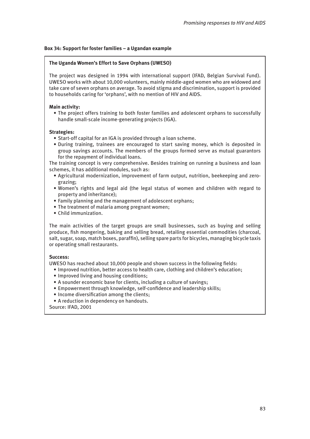# **Box 34: Support for foster families – a Ugandan example**

### **The Uganda Women's Effort to Save Orphans (UWESO)**

The project was designed in 1994 with international support (IFAD, Belgian Survival Fund). UWESO works with about 10,000 volunteers, mainly middle-aged women who are widowed and take care of seven orphans on average. To avoid stigma and discrimination, support is provided to households caring for 'orphans', with no mention of HIV and AIDS.

## **Main activity:**

• The project offers training to both foster families and adolescent orphans to successfully handle small-scale income-generating projects (IGA).

## **Strategies:**

- Start-off capital for an IGA is provided through a loan scheme.
- During training, trainees are encouraged to start saving money, which is deposited in group savings accounts. The members of the groups formed serve as mutual guarantors for the repayment of individual loans.

The training concept is very comprehensive. Besides training on running a business and loan schemes, it has additional modules, such as:

- Agricultural modernization, improvement of farm output, nutrition, beekeeping and zero grazing;
- Women's rights and legal aid (the legal status of women and children with regard to property and inheritance);
- Family planning and the management of adolescent orphans;
- The treatment of malaria among pregnant women;
- Child immunization.

The main activities of the target groups are small businesses, such as buying and selling produce, fish mongering, baking and selling bread, retailing essential commodities (charcoal, salt, sugar, soap, match boxes, paraffin), selling spare parts for bicycles, managing bicycle taxis or operating small restaurants.

### **Success:**

UWESO has reached about 10,000 people and shown success in the following fields:

- Improved nutrition, better access to health care, clothing and children's education;
- Improved living and housing conditions;
- A sounder economic base for clients, including a culture of savings;
- Empowerment through knowledge, self-confidence and leadership skills;
- Income diversification among the clients;
- A reduction in dependency on handouts.

Source: IFAD, 2001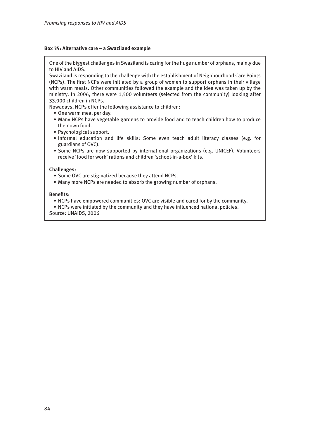### **Box 35: Alternative care – a Swaziland example**

One of the biggest challenges in Swaziland is caring for the huge number of orphans, mainly due to HIV and AIDS.

Swaziland is responding to the challenge with the establishment of Neighbourhood Care Points (NCPs). The first NCPs were initiated by a group of women to support orphans in their village with warm meals. Other communities followed the example and the idea was taken up by the ministry. In 2006, there were 1,500 volunteers (selected from the community) looking after 33,000 children in NCPs.

Nowadays, NCPs offer the following assistance to children:

- One warm meal per day.
- Many NCPs have vegetable gardens to provide food and to teach children how to produce their own food.
- Psychological support.
- Informal education and life skills: Some even teach adult literacy classes (e.g. for guardians of OVC).
- Some NCPs are now supported by international organizations (e.g. UNICEF). Volunteers receive 'food for work' rations and children 'school-in-a-box' kits.

### **Challenges:**

- Some OVC are stigmatized because they attend NCPs.
- Many more NCPs are needed to absorb the growing number of orphans.

### **Benefits:**

- NCPs have empowered communities; OVC are visible and cared for by the community.
- NCPs were initiated by the community and they have influenced national policies.

Source: UNAIDS, 2006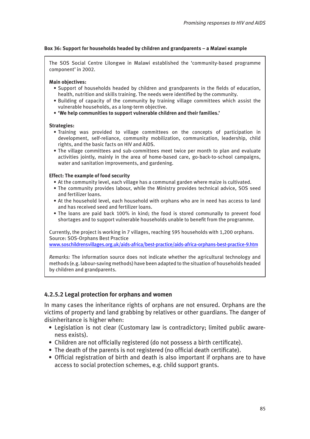# **Box 36: Support for households headed by children and grandparents – a Malawi example**

The SOS Social Centre Lilongwe in Malawi established the 'community-based programme component' in 2002.

### **Main objectives:**

- Support of households headed by children and grandparents in the fields of education, health, nutrition and skills training. The needs were identified by the community.
- Building of capacity of the community by training village committees which assist the vulnerable households, as a long-term objective.
- **'We help communities to support vulnerable children and their families.'**

### **Strategies:**

- Training was provided to village committees on the concepts of participation in development, self-reliance, community mobilization, communication, leadership, child rights, and the basic facts on HIV and AIDS.
- The village committees and sub-committees meet twice per month to plan and evaluate activities jointly, mainly in the area of home-based care, go-back-to-school campaigns, water and sanitation improvements, and gardening.

## **Effect: The example of food security**

- At the community level, each village has a communal garden where maize is cultivated.
- The community provides labour, while the Ministry provides technical advice, SOS seed and fertilizer loans.
- At the household level, each household with orphans who are in need has access to land and has received seed and fertilizer loans.
- The loans are paid back 100% in kind; the food is stored communally to prevent food shortages and to support vulnerable households unable to benefit from the programme.

Currently, the project is working in 7 villages, reaching 595 households with 1,200 orphans. Source: SOS-Orphans Best Practice

<www.soschildrensvillages.org.uk/aids-africa/best-practice/aids-africa-orphans-best-practice-9.htm>

*Remarks:* The information source does not indicate whether the agricultural technology and methods (e.g. labour-saving methods) have been adapted to the situation of households headed by children and grandparents.

# **4.2.5.2 Legal protection for orphans and women**

In many cases the inheritance rights of orphans are not ensured. Orphans are the victims of property and land grabbing by relatives or other guardians. The danger of disinheritance is higher when:

- Legislation is not clear (Customary law is contradictory; limited public aware ness exists).
- Children are not officially registered (do not possess a birth certificate).
- The death of the parents is not registered (no official death certificate).
- Official registration of birth and death is also important if orphans are to have access to social protection schemes, e.g. child support grants.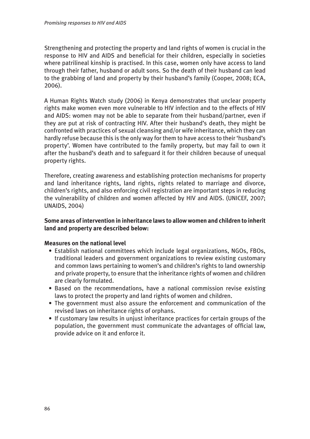Strengthening and protecting the property and land rights of women is crucial in the response to HIV and AIDS and beneficial for their children, especially in societies where patrilineal kinship is practised. In this case, women only have access to land through their father, husband or adult sons. So the death of their husband can lead to the grabbing of land and property by their husband's family (Cooper, 2008; ECA, 2006).

A Human Rights Watch study (2006) in Kenya demonstrates that unclear property rights make women even more vulnerable to HIV infection and to the effects of HIV and AIDS: women may not be able to separate from their husband/partner, even if they are put at risk of contracting HIV. After their husband's death, they might be confronted with practices of sexual cleansing and/or wife inheritance, which they can hardly refuse because this is the only way for them to have access to their 'husband's property'. Women have contributed to the family property, but may fail to own it after the husband's death and to safeguard it for their children because of unequal property rights.

Therefore, creating awareness and establishing protection mechanisms for property and land inheritance rights, land rights, rights related to marriage and divorce, children's rights, and also enforcing civil registration are important steps in reducing the vulnerability of children and women affected by HIV and AIDS. (UNICEF, 2007; UNAIDS, 2004)

# **Some areas of intervention in inheritance laws to allow women and children to inherit land and property are described below:**

# **Measures on the national level**

- Establish national committees which include legal organizations, NGOs, FBOs, traditional leaders and government organizations to review existing customary and common laws pertaining to women's and children's rights to land ownership and private property, to ensure that the inheritance rights of women and children are clearly formulated.
- Based on the recommendations, have a national commission revise existing laws to protect the property and land rights of women and children.
- The government must also assure the enforcement and communication of the revised laws on inheritance rights of orphans.
- If customary law results in unjust inheritance practices for certain groups of the population, the government must communicate the advantages of official law, provide advice on it and enforce it.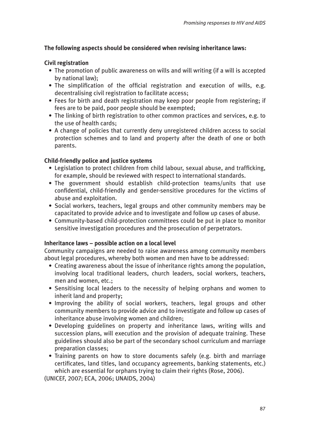# **The following aspects should be considered when revising inheritance laws:**

# **Civil registration**

- The promotion of public awareness on wills and will writing (if a will is accepted by national law);
- The simplification of the official registration and execution of wills, e.g. decentralising civil registration to facilitate access;
- Fees for birth and death registration may keep poor people from registering; if fees are to be paid, poor people should be exempted;
- The linking of birth registration to other common practices and services, e.g. to the use of health cards;
- A change of policies that currently deny unregistered children access to social protection schemes and to land and property after the death of one or both parents.

# **Child-friendly police and justice systems**

- Legislation to protect children from child labour, sexual abuse, and trafficking, for example, should be reviewed with respect to international standards.
- The government should establish child-protection teams/units that use confidential, child-friendly and gender-sensitive procedures for the victims of abuse and exploitation.
- Social workers, teachers, legal groups and other community members may be capacitated to provide advice and to investigate and follow up cases of abuse.
- Community-based child-protection committees could be put in place to monitor sensitive investigation procedures and the prosecution of perpetrators.

# **Inheritance laws – possible action on a local level**

Community campaigns are needed to raise awareness among community members about legal procedures, whereby both women and men have to be addressed:

- Creating awareness about the issue of inheritance rights among the population, involving local traditional leaders, church leaders, social workers, teachers, men and women, etc.;
- Sensitising local leaders to the necessity of helping orphans and women to inherit land and property;
- Improving the ability of social workers, teachers, legal groups and other community members to provide advice and to investigate and follow up cases of inheritance abuse involving women and children;
- Developing guidelines on property and inheritance laws, writing wills and succession plans, will execution and the provision of adequate training. These guidelines should also be part of the secondary school curriculum and marriage preparation classes;
- Training parents on how to store documents safely (e.g. birth and marriage certificates, land titles, land occupancy agreements, banking statements, etc.) which are essential for orphans trying to claim their rights (Rose, 2006).

(UNICEF, 2007; ECA, 2006; UNAIDS, 2004)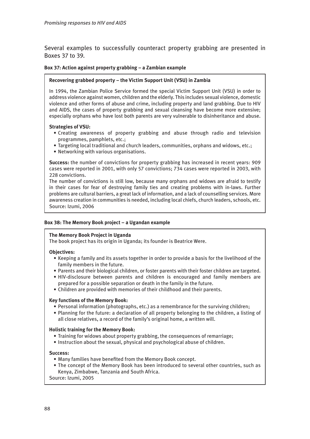Several examples to successfully counteract property grabbing are presented in Boxes 37 to 39.

## **Box 37: Action against property grabbing – a Zambian example**

### **Recovering grabbed property – the Victim Support Unit (VSU) in Zambia**

In 1994, the Zambian Police Service formed the special Victim Support Unit (VSU) in order to address violence against women, children and the elderly. This includes sexual violence, domestic violence and other forms of abuse and crime, including property and land grabbing. Due to HIV and AIDS, the cases of property grabbing and sexual cleansing have become more extensive; especially orphans who have lost both parents are very vulnerable to disinheritance and abuse.

### **Strategies of VSU:**

- Creating awareness of property grabbing and abuse through radio and television programmes, pamphlets, etc.;
- Targeting local traditional and church leaders, communities, orphans and widows, etc.;
- Networking with various organisations.

**Success:** the number of convictions for property grabbing has increased in recent years: 909 cases were reported in 2001, with only 57 convictions; 734 cases were reported in 2003, with 228 convictions.

The number of convictions is still low, because many orphans and widows are afraid to testify in their cases for fear of destroying family ties and creating problems with in-laws. Further problems are cultural barriers, a great lack of information, and a lack of counselling services. More awareness creation in communities is needed, including local chiefs, church leaders, schools, etc. Source: Izumi, 2006

## **Box 38: The Memory Book project – a Ugandan example**

### **The Memory Book Project in Uganda**

The book project has its origin in Uganda; its founder is Beatrice Were.

### **Objectives:**

- Keeping a family and its assets together in order to provide a basis for the livelihood of the family members in the future.
- Parents and their biological children, or foster parents with their foster children are targeted.
- HIV-disclosure between parents and children is encouraged and family members are prepared for a possible separation or death in the family in the future.
- Children are provided with memories of their childhood and their parents.

### **Key functions of the Memory Book:**

- Personal information (photographs, etc.) as a remembrance for the surviving children;
- Planning for the future: a declaration of all property belonging to the children, a listing of all close relatives, a record of the family's original home, a written will.

### **Holistic training for the Memory Book:**

- Training for widows about property grabbing, the consequences of remarriage;
- Instruction about the sexual, physical and psychological abuse of children.

### **Success:**

- Many families have benefited from the Memory Book concept.
- The concept of the Memory Book has been introduced to several other countries, such as Kenya, Zimbabwe, Tanzania and South Africa.

Source: Izumi, 2005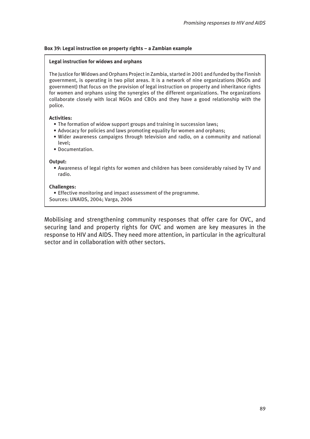# **Box 39: Legal instruction on property rights – a Zambian example**

# **Legal instruction for widows and orphans**

The Justice for Widows and Orphans Project in Zambia, started in 2001 and funded by the Finnish government, is operating in two pilot areas. It is a network of nine organizations (NGOs and government) that focus on the provision of legal instruction on property and inheritance rights for women and orphans using the synergies of the different organizations. The organizations collaborate closely with local NGOs and CBOs and they have a good relationship with the police.

# **Activities:**

- The formation of widow support groups and training in succession laws;
- Advocacy for policies and laws promoting equality for women and orphans;
- Wider awareness campaigns through television and radio, on a community and national level;
- Documentation.

# **Output:**

• Awareness of legal rights for women and children has been considerably raised by TV and radio.

# **Challenges:**

- Effective monitoring and impact assessment of the programme.
- Sources: UNAIDS, 2004; Varga, 2006

Mobilising and strengthening community responses that offer care for OVC, and securing land and property rights for OVC and women are key measures in the response to HIV and AIDS. They need more attention, in particular in the agricultural sector and in collaboration with other sectors.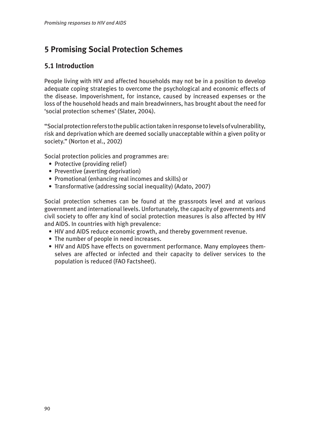# **5 Promising Social Protection Schemes**

# **5.1 Introduction**

People living with HIV and affected households may not be in a position to develop adequate coping strategies to overcome the psychological and economic effects of the disease. Impoverishment, for instance, caused by increased expenses or the loss of the household heads and main breadwinners, has brought about the need for 'social protection schemes' (Slater, 2004).

"Social protection refers to the public action taken in response to levels of vulnerability, risk and deprivation which are deemed socially unacceptable within a given polity or society." (Norton et al., 2002)

Social protection policies and programmes are:

- Protective (providing relief)
- Preventive (averting deprivation)
- Promotional (enhancing real incomes and skills) or
- Transformative (addressing social inequality) (Adato, 2007)

Social protection schemes can be found at the grassroots level and at various government and international levels. Unfortunately, the capacity of governments and civil society to offer any kind of social protection measures is also affected by HIV and AIDS. In countries with high prevalence:

- HIV and AIDS reduce economic growth, and thereby government revenue.
- The number of people in need increases.
- HIV and AIDS have effects on government performance. Many employees them selves are affected or infected and their capacity to deliver services to the population is reduced (FAO Factsheet).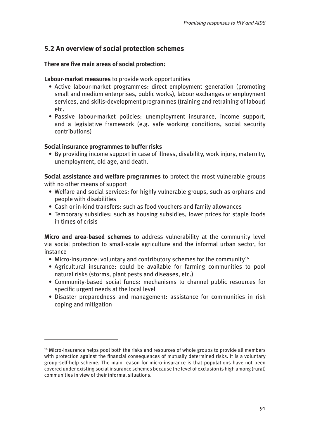# **5.2 An overview of social protection schemes**

# **There are five main areas of social protection:**

# **Labour-market measures** to provide work opportunities

- Active labour-market programmes: direct employment generation (promoting small and medium enterprises, public works), labour exchanges or employment services, and skills-development programmes (training and retraining of labour) etc.
- Passive labour-market policies: unemployment insurance, income support, and a legislative framework (e.g. safe working conditions, social security contributions)

# **Social insurance programmes to buffer risks**

• By providing income support in case of illness, disability, work injury, maternity, unemployment, old age, and death.

**Social assistance and welfare programmes** to protect the most vulnerable groups with no other means of support

- Welfare and social services: for highly vulnerable groups, such as orphans and people with disabilities
- Cash or in-kind transfers: such as food vouchers and family allowances
- Temporary subsidies: such as housing subsidies, lower prices for staple foods in times of crisis

**Micro and area-based schemes** to address vulnerability at the community level via social protection to small-scale agriculture and the informal urban sector, for instance

- Micro-insurance: voluntary and contributory schemes for the community<sup>16</sup>
- Agricultural insurance: could be available for farming communities to pool natural risks (storms, plant pests and diseases, etc.)
- Community-based social funds: mechanisms to channel public resources for specific urgent needs at the local level
- Disaster preparedness and management: assistance for communities in risk coping and mitigation

<sup>&</sup>lt;sup>16</sup> Micro-insurance helps pool both the risks and resources of whole groups to provide all members with protection against the financial consequences of mutually determined risks. It is a voluntary group-self-help scheme. The main reason for micro-insurance is that populations have not been covered under existing social insurance schemes because the level of exclusion is high among (rural) communities in view of their informal situations.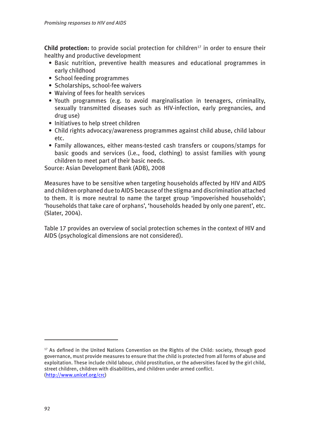**Child protection:** to provide social protection for children<sup>17</sup> in order to ensure their healthy and productive development

- Basic nutrition, preventive health measures and educational programmes in early childhood
- School feeding programmes
- Scholarships, school-fee waivers
- Waiving of fees for health services
- Youth programmes (e.g. to avoid marginalisation in teenagers, criminality, sexually transmitted diseases such as HIV-infection, early pregnancies, and drug use)
- Initiatives to help street children
- Child rights advocacy/awareness programmes against child abuse, child labour etc.
- Family allowances, either means-tested cash transfers or coupons/stamps for basic goods and services (i.e., food, clothing) to assist families with young children to meet part of their basic needs.

Source: Asian Development Bank (ADB), 2008

Measures have to be sensitive when targeting households affected by HIV and AIDS and children orphaned due to AIDS because of the stigma and discrimination attached to them. It is more neutral to name the target group 'impoverished households'; 'households that take care of orphans', 'households headed by only one parent', etc. (Slater, 2004).

Table 17 provides an overview of social protection schemes in the context of HIV and AIDS (psychological dimensions are not considered).

<sup>&</sup>lt;sup>17</sup> As defined in the United Nations Convention on the Rights of the Child: society, through good governance, must provide measures to ensure that the child is protected from all forms of abuse and exploitation. These include child labour, child prostitution, or the adversities faced by the girl child, street children, children with disabilities, and children under armed conflict. (<http://www.unicef.org/crc>)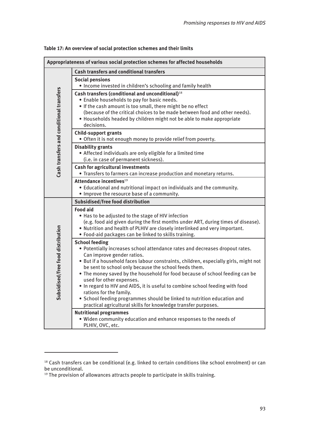| Appropriateness of various social protection schemes for affected households |                                                                                                                                                                                                                                                                                                                                                                                                                                                                                                                                                                                                                                                           |  |  |  |
|------------------------------------------------------------------------------|-----------------------------------------------------------------------------------------------------------------------------------------------------------------------------------------------------------------------------------------------------------------------------------------------------------------------------------------------------------------------------------------------------------------------------------------------------------------------------------------------------------------------------------------------------------------------------------------------------------------------------------------------------------|--|--|--|
|                                                                              | <b>Cash transfers and conditional transfers</b>                                                                                                                                                                                                                                                                                                                                                                                                                                                                                                                                                                                                           |  |  |  |
|                                                                              | <b>Social pensions</b><br>. Income invested in children's schooling and family health                                                                                                                                                                                                                                                                                                                                                                                                                                                                                                                                                                     |  |  |  |
| Cash transfers and conditional transfers                                     | Cash transfers (conditional and unconditional) <sup>18</sup><br>• Enable households to pay for basic needs.<br>. If the cash amount is too small, there might be no effect<br>(because of the critical choices to be made between food and other needs).<br>• Households headed by children might not be able to make appropriate<br>decisions.                                                                                                                                                                                                                                                                                                           |  |  |  |
|                                                                              | <b>Child-support grants</b><br>. Often it is not enough money to provide relief from poverty.                                                                                                                                                                                                                                                                                                                                                                                                                                                                                                                                                             |  |  |  |
|                                                                              | <b>Disability grants</b><br>• Affected individuals are only eligible for a limited time<br>(i.e. in case of permanent sickness).                                                                                                                                                                                                                                                                                                                                                                                                                                                                                                                          |  |  |  |
|                                                                              | <b>Cash for agricultural investments</b><br>• Transfers to farmers can increase production and monetary returns.                                                                                                                                                                                                                                                                                                                                                                                                                                                                                                                                          |  |  |  |
|                                                                              | Attendance incentives <sup>19</sup><br>• Educational and nutritional impact on individuals and the community.<br>. Improve the resource base of a community.                                                                                                                                                                                                                                                                                                                                                                                                                                                                                              |  |  |  |
| sidised/free food distribution<br>Sub                                        | Subsidised/free food distribution                                                                                                                                                                                                                                                                                                                                                                                                                                                                                                                                                                                                                         |  |  |  |
|                                                                              | <b>Food aid</b><br>. Has to be adjusted to the stage of HIV infection<br>(e.g. food aid given during the first months under ART, during times of disease).<br>. Nutrition and health of PLHIV are closely interlinked and very important.<br>• Food-aid packages can be linked to skills training.                                                                                                                                                                                                                                                                                                                                                        |  |  |  |
|                                                                              | <b>School feeding</b><br>• Potentially increases school attendance rates and decreases dropout rates.<br>Can improve gender ratios.<br>. But if a household faces labour constraints, children, especially girls, might not<br>be sent to school only because the school feeds them.<br>. The money saved by the household for food because of school feeding can be<br>used for other expenses.<br>. In regard to HIV and AIDS, it is useful to combine school feeding with food<br>rations for the family.<br>• School feeding programmes should be linked to nutrition education and<br>practical agricultural skills for knowledge transfer purposes. |  |  |  |
|                                                                              | <b>Nutritional programmes</b><br>. Widen community education and enhance responses to the needs of<br>PLHIV, OVC, etc.                                                                                                                                                                                                                                                                                                                                                                                                                                                                                                                                    |  |  |  |

## **Table 17: An overview of social protection schemes and their limits**

<sup>&</sup>lt;sup>18</sup> Cash transfers can be conditional (e.g. linked to certain conditions like school enrolment) or can be unconditional.

<sup>&</sup>lt;sup>19</sup> The provision of allowances attracts people to participate in skills training.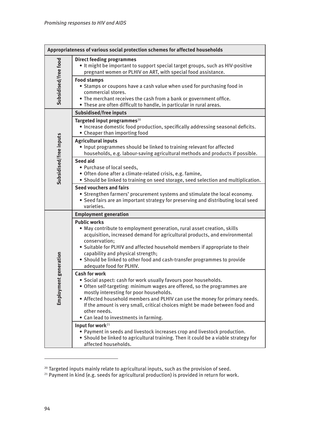|                              | Appropriateness of various social protection schemes for affected households                                                                                                                                                                                                                                                                                                                                                           |
|------------------------------|----------------------------------------------------------------------------------------------------------------------------------------------------------------------------------------------------------------------------------------------------------------------------------------------------------------------------------------------------------------------------------------------------------------------------------------|
| Subsidised/free food         | <b>Direct feeding programmes</b><br>. It might be important to support special target groups, such as HIV-positive<br>pregnant women or PLHIV on ART, with special food assistance.                                                                                                                                                                                                                                                    |
|                              | <b>Food stamps</b><br>• Stamps or coupons have a cash value when used for purchasing food in<br>commercial stores.<br>• The merchant receives the cash from a bank or government office.<br>. These are often difficult to handle, in particular in rural areas.                                                                                                                                                                       |
|                              | Subsidised/free inputs                                                                                                                                                                                                                                                                                                                                                                                                                 |
| Subsidised/free inputs       | Targeted input programmes <sup>20</sup><br>· Increase domestic food production, specifically addressing seasonal deficits.<br>• Cheaper than importing food                                                                                                                                                                                                                                                                            |
|                              | <b>Agricultural inputs</b><br>. Input programmes should be linked to training relevant for affected<br>households, e.g. labour-saving agricultural methods and products if possible.                                                                                                                                                                                                                                                   |
|                              | Seed aid<br>• Purchase of local seeds,<br>· Often done after a climate-related crisis, e.g. famine,<br>· Should be linked to training on seed storage, seed selection and multiplication.                                                                                                                                                                                                                                              |
|                              | Seed vouchers and fairs<br>• Strengthen farmers' procurement systems and stimulate the local economy.<br>• Seed fairs are an important strategy for preserving and distributing local seed<br>varieties.                                                                                                                                                                                                                               |
|                              | <b>Employment generation</b>                                                                                                                                                                                                                                                                                                                                                                                                           |
| generation<br>پ<br>Employmen | <b>Public works</b><br>. May contribute to employment generation, rural asset creation, skills<br>acquisition, increased demand for agricultural products, and environmental<br>conservation;<br>• Suitable for PLHIV and affected household members if appropriate to their<br>capability and physical strength;<br>• Should be linked to other food and cash-transfer programmes to provide<br>adequate food for PLHIV.              |
|                              | <b>Cash for work</b><br>· Social aspect: cash for work usually favours poor households.<br>• Often self-targeting: minimum wages are offered, so the programmes are<br>mostly interesting for poor households.<br>. Affected household members and PLHIV can use the money for primary needs.<br>If the amount is very small, critical choices might be made between food and<br>other needs.<br>• Can lead to investments in farming. |
|                              | Input for work <sup>21</sup><br>. Payment in seeds and livestock increases crop and livestock production.<br>• Should be linked to agricultural training. Then it could be a viable strategy for<br>affected households.                                                                                                                                                                                                               |

 $^{20}$  Targeted inputs mainly relate to agricultural inputs, such as the provision of seed.

 $21$  Payment in kind (e.g. seeds for agricultural production) is provided in return for work.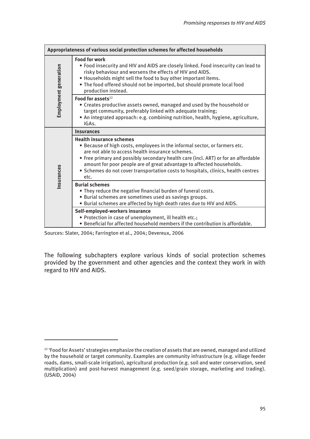| Appropriateness of various social protection schemes for affected households |                                                                                                                                                                                                                                                                                                                                                                                                                               |  |  |  |
|------------------------------------------------------------------------------|-------------------------------------------------------------------------------------------------------------------------------------------------------------------------------------------------------------------------------------------------------------------------------------------------------------------------------------------------------------------------------------------------------------------------------|--|--|--|
| Employment generation                                                        | <b>Food for work</b><br>. Food insecurity and HIV and AIDS are closely linked. Food insecurity can lead to<br>risky behaviour and worsens the effects of HIV and AIDS.<br>. Households might sell the food to buy other important items.<br>. The food offered should not be imported, but should promote local food<br>production instead.                                                                                   |  |  |  |
|                                                                              | Food for assets <sup>22</sup><br>• Creates productive assets owned, managed and used by the household or<br>target community, preferably linked with adequate training;<br>. An integrated approach: e.g. combining nutrition, health, hygiene, agriculture,<br>IGA <sub>s</sub> .                                                                                                                                            |  |  |  |
| Insurances                                                                   | <b>Insurances</b>                                                                                                                                                                                                                                                                                                                                                                                                             |  |  |  |
|                                                                              | <b>Health insurance schemes</b><br>• Because of high costs, employees in the informal sector, or farmers etc.<br>are not able to access health insurance schemes.<br>• Free primary and possibly secondary health care (incl. ART) or for an affordable<br>amount for poor people are of great advantage to affected households.<br>• Schemes do not cover transportation costs to hospitals, clinics, health centres<br>etc. |  |  |  |
|                                                                              | <b>Burial schemes</b><br>• They reduce the negative financial burden of funeral costs.<br>· Burial schemes are sometimes used as savings groups.<br>. Burial schemes are affected by high death rates due to HIV and AIDS.                                                                                                                                                                                                    |  |  |  |
|                                                                              | Self-employed-workers insurance<br>· Protection in case of unemployment, ill health etc.;<br>• Beneficial for affected household members if the contribution is affordable.                                                                                                                                                                                                                                                   |  |  |  |

Sources: Slater, 2004; Farrington et al., 2004; Devereux, 2006

The following subchapters explore various kinds of social protection schemes provided by the government and other agencies and the context they work in with regard to HIV and AIDS.

<sup>&</sup>lt;sup>22</sup> 'Food for Assets' strategies emphasize the creation of assets that are owned, managed and utilized by the household or target community. Examples are community infrastructure (e.g. village feeder roads, dams, small-scale irrigation), agricultural production (e.g. soil and water conservation, seed multiplication) and post-harvest management (e.g. seed/grain storage, marketing and trading). (USAID, 2004)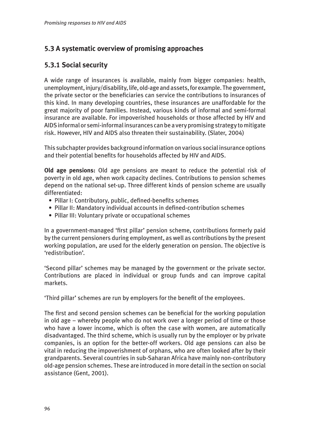# **5.3 A systematic overview of promising approaches**

# **5.3.1 Social security**

A wide range of insurances is available, mainly from bigger companies: health, unemployment, injury/disability, life, old-age and assets, for example. The government, the private sector or the beneficiaries can service the contributions to insurances of this kind. In many developing countries, these insurances are unaffordable for the great majority of poor families. Instead, various kinds of informal and semi-formal insurance are available. For impoverished households or those affected by HIV and AIDS informal or semi-informal insurances can be a very promising strategy to mitigate risk. However, HIV and AIDS also threaten their sustainability. (Slater, 2004)

This subchapter provides background information on various social insurance options and their potential benefits for households affected by HIV and AIDS.

**Old age pensions:** Old age pensions are meant to reduce the potential risk of poverty in old age, when work capacity declines. Contributions to pension schemes depend on the national set-up. Three different kinds of pension scheme are usually differentiated:

- Pillar I: Contributory, public, defined-benefits schemes
- Pillar II: Mandatory individual accounts in defined-contribution schemes
- Pillar III: Voluntary private or occupational schemes

In a government-managed 'first pillar' pension scheme, contributions formerly paid by the current pensioners during employment, as well as contributions by the present working population, are used for the elderly generation on pension. The objective is 'redistribution'.

'Second pillar' schemes may be managed by the government or the private sector. Contributions are placed in individual or group funds and can improve capital markets.

'Third pillar' schemes are run by employers for the benefit of the employees.

The first and second pension schemes can be beneficial for the working population in old age – whereby people who do not work over a longer period of time or those who have a lower income, which is often the case with women, are automatically disadvantaged. The third scheme, which is usually run by the employer or by private companies, is an option for the better-off workers. Old age pensions can also be vital in reducing the impoverishment of orphans, who are often looked after by their grandparents. Several countries in sub-Saharan Africa have mainly non-contributory old-age pension schemes. These are introduced in more detail in the section on social assistance (Gent, 2001).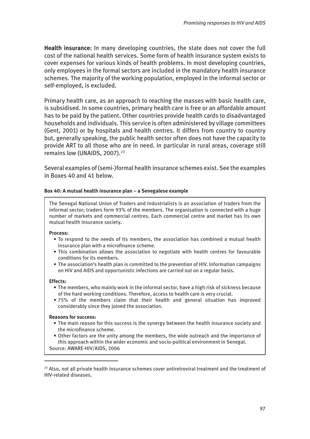**Health insurance:** In many developing countries, the state does not cover the full cost of the national health services. Some form of health insurance system exists to cover expenses for various kinds of health problems. In most developing countries, only employees in the formal sectors are included in the mandatory health insurance schemes. The majority of the working population, employed in the informal sector or self-employed, is excluded.

Primary health care, as an approach to reaching the masses with basic health care, is subsidised. In some countries, primary health care is free or an affordable amount has to be paid by the patient. Other countries provide health cards to disadvantaged households and individuals. This service is often administered by village committees (Gent, 2001) or by hospitals and health centres. It differs from country to country but, generally speaking, the public health sector often does not have the capacity to provide ART to all those who are in need. In particular in rural areas, coverage still remains low (UNAIDS, 2007).<sup>23</sup>

Several examples of (semi-)formal health insurance schemes exist. See the examples in Boxes 40 and 41 below.

# **Box 40: A mutual health insurance plan – a Senegalese example**

The Senegal National Union of Traders and Industrialists is an association of traders from the informal sector; traders form 93% of the members. The organisation is connected with a huge number of markets and commercial centres. Each commercial centre and market has its own mutual health insurance society.

## **Process:**

- To respond to the needs of its members, the association has combined a mutual health insurance plan with a microfinance scheme.
- This combination allows the association to negotiate with health centres for favourable conditions for its members.
- The association's health plan is committed to the prevention of HIV. Information campaigns on HIV and AIDS and opportunistic infections are carried out on a regular basis.

### **Effects:**

- The members, who mainly work in the informal sector, have a high risk of sickness because of the hard working conditions. Therefore, access to health care is very crucial.
- 75% of the members claim that their health and general situation has improved considerably since they joined the association.

### **Reasons for success:**

- The main reason for this success is the synergy between the health insurance society and the microfinance scheme.
- Other factors are the unity among the members, the wide outreach and the importance of this approach within the wider economic and socio-political environment in Senegal. Source: AWARE-HIV/AIDS, 2006

 $23$  Also, not all private health insurance schemes cover antiretroviral treatment and the treatment of HIV-related diseases.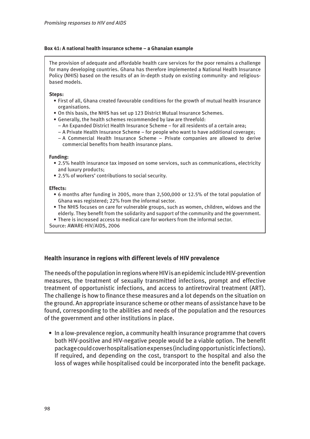# **Box 41: A national health insurance scheme – a Ghanaian example**

The provision of adequate and affordable health care services for the poor remains a challenge for many developing countries. Ghana has therefore implemented a National Health Insurance Policy (NHIS) based on the results of an in-depth study on existing community- and religiousbased models.

## **Steps:**

- First of all, Ghana created favourable conditions for the growth of mutual health insurance organisations.
- On this basis, the NHIS has set up 123 District Mutual Insurance Schemes.
- Generally, the health schemes recommended by law are threefold:
	- An Expanded District Health Insurance Scheme for all residents of a certain area;
	- A Private Health Insurance Scheme for people who want to have additional coverage;
	- A Commercial Health Insurance Scheme Private companies are allowed to derive commercial benefits from health insurance plans.

### **Funding:**

- 2.5% health insurance tax imposed on some services, such as communications, electricity and luxury products;
- 2.5% of workers' contributions to social security.

## **Effects:**

- 6 months after funding in 2005, more than 2,500,000 or 12.5% of the total population of Ghana was registered; 22% from the informal sector.
- The NHIS focuses on care for vulnerable groups, such as women, children, widows and the elderly. They benefit from the solidarity and support of the community and the government.
- There is increased access to medical care for workers from the informal sector.
- Source: AWARE-HIV/AIDS, 2006

# **Health insurance in regions with different levels of HIV prevalence**

The needs of the population in regions where HIV is an epidemic include HIV-prevention measures, the treatment of sexually transmitted infections, prompt and effective treatment of opportunistic infections, and access to antiretroviral treatment (ART). The challenge is how to finance these measures and a lot depends on the situation on the ground. An appropriate insurance scheme or other means of assistance have to be found, corresponding to the abilities and needs of the population and the resources of the government and other institutions in place.

• In a low-prevalence region, a community health insurance programme that covers both HIV-positive and HIV-negative people would be a viable option. The benefit package could cover hospitalisation expenses (including opportunistic infections). If required, and depending on the cost, transport to the hospital and also the loss of wages while hospitalised could be incorporated into the benefit package.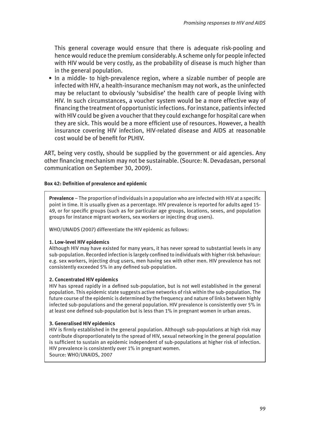This general coverage would ensure that there is adequate risk-pooling and hence would reduce the premium considerably. A scheme only for people infected with HIV would be very costly, as the probability of disease is much higher than in the general population.

• In a middle- to high-prevalence region, where a sizable number of people are infected with HIV, a health-insurance mechanism may not work, as the uninfected may be reluctant to obviously 'subsidise' the health care of people living with HIV. In such circumstances, a voucher system would be a more effective way of financing the treatment of opportunistic infections. For instance, patients infected with HIV could be given a voucher that they could exchange for hospital care when they are sick. This would be a more efficient use of resources. However, a health insurance covering HIV infection, HIV-related disease and AIDS at reasonable cost would be of benefit for PLHIV.

ART, being very costly, should be supplied by the government or aid agencies. Any other financing mechanism may not be sustainable. (Source: N. Devadasan, personal communication on September 30, 2009).

# **Box 42: Definition of prevalence and epidemic**

**Prevalence** – The proportion of individuals in a population who are infected with HIV at a specific point in time. It is usually given as a percentage. HIV prevalence is reported for adults aged 15- 49, or for specific groups (such as for particular age groups, locations, sexes, and population groups for instance migrant workers, sex workers or injecting drug users).

WHO/UNAIDS (2007) differentiate the HIV epidemic as follows:

# **1. Low-level HIV epidemics**

Although HIV may have existed for many years, it has never spread to substantial levels in any sub-population. Recorded infection is largely confined to individuals with higher risk behaviour: e.g. sex workers, injecting drug users, men having sex with other men. HIV prevalence has not consistently exceeded 5% in any defined sub-population.

# **2. Concentrated HIV epidemics**

HIV has spread rapidly in a defined sub-population, but is not well established in the general population. This epidemic state suggests active networks of risk within the sub-population. The future course of the epidemic is determined by the frequency and nature of links between highly infected sub-populations and the general population. HIV prevalence is consistently over 5% in at least one defined sub-population but is less than 1% in pregnant women in urban areas.

# **3. Generalised HIV epidemics**

HIV is firmly established in the general population. Although sub-populations at high risk may contribute disproportionately to the spread of HIV, sexual networking in the general population is sufficient to sustain an epidemic independent of sub-populations at higher risk of infection. HIV prevalence is consistently over 1% in pregnant women. Source: WHO/UNAIDS, 2007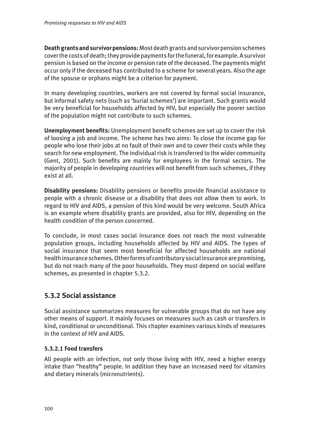**Death grants and survivor pensions:** Most death grants and survivor pension schemes cover the costs of death; they provide payments for the funeral, for example. A survivor pension is based on the income or pension rate of the deceased. The payments might occur only if the deceased has contributed to a scheme for several years. Also the age of the spouse or orphans might be a criterion for payment.

In many developing countries, workers are not covered by formal social insurance, but informal safety nets (such as 'burial schemes') are important. Such grants would be very beneficial for households affected by HIV, but especially the poorer section of the population might not contribute to such schemes.

**Unemployment benefits:** Unemployment benefit schemes are set up to cover the risk of loosing a job and income. The scheme has two aims: To close the income gap for people who lose their jobs at no fault of their own and to cover their costs while they search for new employment. The individual risk is transferred to the wider community (Gent, 2001). Such benefits are mainly for employees in the formal sectors. The majority of people in developing countries will not benefit from such schemes, if they exist at all.

**Disability pensions:** Disability pensions or benefits provide financial assistance to people with a chronic disease or a disability that does not allow them to work. In regard to HIV and AIDS, a pension of this kind would be very welcome. South Africa is an example where disability grants are provided, also for HIV, depending on the health condition of the person concerned.

To conclude, in most cases social insurance does not reach the most vulnerable population groups, including households affected by HIV and AIDS. The types of social insurance that seem most beneficial for affected households are national health insurance schemes. Other forms of contributory social insurance are promising, but do not reach many of the poor households. They must depend on social welfare schemes, as presented in chapter 5.3.2.

# **5.3.2 Social assistance**

Social assistance summarizes measures for vulnerable groups that do not have any other means of support. It mainly focuses on measures such as cash or transfers in kind, conditional or unconditional. This chapter examines various kinds of measures in the context of HIV and AIDS.

# **5.3.2.1 Food transfers**

All people with an infection, not only those living with HIV, need a higher energy intake than "healthy" people. In addition they have an increased need for vitamins and dietary minerals (micronutrients).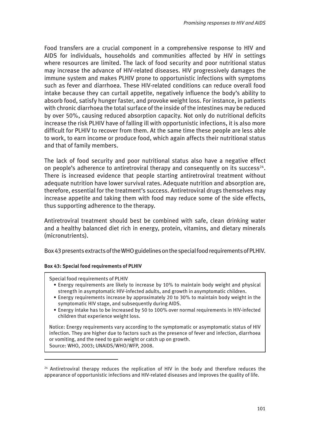Food transfers are a crucial component in a comprehensive response to HIV and AIDS for individuals, households and communities affected by HIV in settings where resources are limited. The lack of food security and poor nutritional status may increase the advance of HIV-related diseases. HIV progressively damages the immune system and makes PLHIV prone to opportunistic infections with symptoms such as fever and diarrhoea. These HIV-related conditions can reduce overall food intake because they can curtail appetite, negatively influence the body's ability to absorb food, satisfy hunger faster, and provoke weight loss. For instance, in patients with chronic diarrhoea the total surface of the inside of the intestines may be reduced by over 50%, causing reduced absorption capacity. Not only do nutritional deficits increase the risk PLHIV have of falling ill with opportunistic infections, it is also more difficult for PLHIV to recover from them. At the same time these people are less able to work, to earn income or produce food, which again affects their nutritional status and that of family members.

The lack of food security and poor nutritional status also have a negative effect on people's adherence to antiretroviral therapy and consequently on its success<sup>24</sup>. There is increased evidence that people starting antiretroviral treatment without adequate nutrition have lower survival rates. Adequate nutrition and absorption are, therefore, essential for the treatment's success. Antiretroviral drugs themselves may increase appetite and taking them with food may reduce some of the side effects, thus supporting adherence to the therapy.

Antiretroviral treatment should best be combined with safe, clean drinking water and a healthy balanced diet rich in energy, protein, vitamins, and dietary minerals (micronutrients).

Box 43 presents extracts of the WHO guidelines on the special food requirements of PLHIV.

# **Box 43: Special food requirements of PLHIV**

Special food requirements of PLHIV

- Energy requirements are likely to increase by 10% to maintain body weight and physical strength in asymptomatic HIV-infected adults, and growth in asymptomatic children.
- Energy requirements increase by approximately 20 to 30% to maintain body weight in the symptomatic HIV stage, and subsequently during AIDS.
- Energy intake has to be increased by 50 to 100% over normal requirements in HIV-infected children that experience weight loss.

Notice: Energy requirements vary according to the symptomatic or asymptomatic status of HIV infection. They are higher due to factors such as the presence of fever and infection, diarrhoea or vomiting, and the need to gain weight or catch up on growth. Source: WHO, 2003; UNAIDS/WHO/WFP, 2008.

 $24$  Antiretroviral therapy reduces the replication of HIV in the body and therefore reduces the appearance of opportunistic infections and HIV-related diseases and improves the quality of life.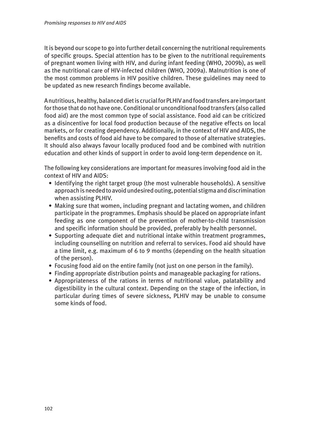It is beyond our scope to go into further detail concerning the nutritional requirements of specific groups. Special attention has to be given to the nutritional requirements of pregnant women living with HIV, and during infant feeding (WHO, 2009b), as well as the nutritional care of HIV-infected children (WHO, 2009a). Malnutrition is one of the most common problems in HIV positive children. These guidelines may need to be updated as new research findings become available.

A nutritious, healthy, balanced diet is crucial for PLHIV and food transfers are important for those that do not have one. Conditional or unconditional food transfers (also called food aid) are the most common type of social assistance. Food aid can be criticized as a disincentive for local food production because of the negative effects on local markets, or for creating dependency. Additionally, in the context of HIV and AIDS, the benefits and costs of food aid have to be compared to those of alternative strategies. It should also always favour locally produced food and be combined with nutrition education and other kinds of support in order to avoid long-term dependence on it.

The following key considerations are important for measures involving food aid in the context of HIV and AIDS:

- Identifying the right target group (the most vulnerable households). A sensitive approach is needed to avoid undesired outing, potential stigma and discrimination when assisting PLHIV.
- Making sure that women, including pregnant and lactating women, and children participate in the programmes. Emphasis should be placed on appropriate infant feeding as one component of the prevention of mother-to-child transmission and specific information should be provided, preferably by health personnel.
- Supporting adequate diet and nutritional intake within treatment programmes, including counselling on nutrition and referral to services. Food aid should have a time limit, e.g. maximum of 6 to 9 months (depending on the health situation of the person).
- Focusing food aid on the entire family (not just on one person in the family).
- Finding appropriate distribution points and manageable packaging for rations.
- Appropriateness of the rations in terms of nutritional value, palatability and digestibility in the cultural context. Depending on the stage of the infection, in particular during times of severe sickness, PLHIV may be unable to consume some kinds of food.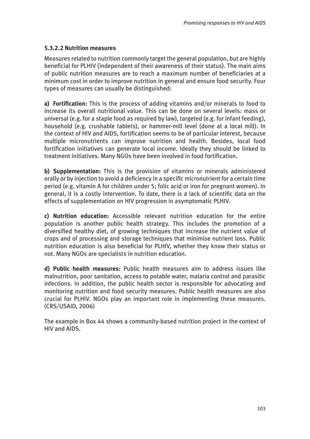# **5.3.2.2 Nutrition measures**

Measures related to nutrition commonly target the general population, but are highly beneficial for PLHIV (independent of their awareness of their status). The main aims of public nutrition measures are to reach a maximum number of beneficiaries at a minimum cost in order to improve nutrition in general and ensure food security. Four types of measures can usually be distinguished:

**a) Fortification:** This is the process of adding vitamins and/or minerals to food to increase its overall nutritional value. This can be done on several levels: mass or universal (e.g. for a staple food as required by law), targeted (e.g. for infant feeding), household (e.g. crushable tablets), or hammer-mill level (done at a local mill). In the context of HIV and AIDS, fortification seems to be of particular interest, because multiple micronutrients can improve nutrition and health. Besides, local food fortification initiatives can generate local income. Ideally they should be linked to treatment initiatives. Many NGOs have been involved in food fortification.

**b) Supplementation:** This is the provision of vitamins or minerals administered orally or by injection to avoid a deficiency in a specific micronutrient for a certain time period (e.g. vitamin A for children under 5; folic acid or iron for pregnant women). In general, it is a costly intervention. To date, there is a lack of scientific data on the effects of supplementation on HIV progression in asymptomatic PLHIV.

**c) Nutrition education:** Accessible relevant nutrition education for the entire population is another public health strategy. This includes the promotion of a diversified healthy diet, of growing techniques that increase the nutrient value of crops and of processing and storage techniques that minimise nutrient loss. Public nutrition education is also beneficial for PLHIV, whether they know their status or not. Many NGOs are specialists in nutrition education.

**d) Public health measures:** Public health measures aim to address issues like malnutrition, poor sanitation, access to potable water, malaria control and parasitic infections. In addition, the public health sector is responsible for advocating and monitoring nutrition and food security measures. Public health measures are also crucial for PLHIV. NGOs play an important role in implementing these measures. (CRS/USAID, 2006)

The example in Box 44 shows a community-based nutrition project in the context of HIV and AIDS.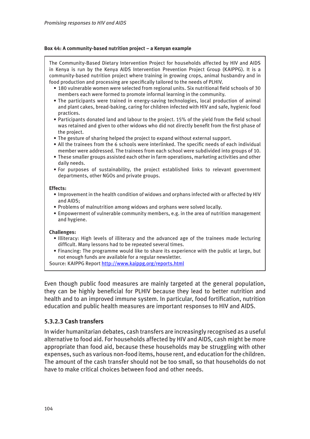# **Box 44: A community-based nutrition project – a Kenyan example**

The Community-Based Dietary Intervention Project for households affected by HIV and AIDS in Kenya is run by the Kenya AIDS Intervention Prevention Project Group (KAIPPG). It is a community-based nutrition project where training in growing crops, animal husbandry and in food production and processing are specifically tailored to the needs of PLHIV. • 180 vulnerable women were selected from regional units. Six nutritional field schools of 30 members each were formed to promote informal learning in the community. • The participants were trained in energy-saving technologies, local production of animal and plant cakes, bread-baking, caring for children infected with HIV and safe, hygienic food practices. • Participants donated land and labour to the project. 15% of the yield from the field school was retained and given to other widows who did not directly benefit from the first phase of the project. • The gesture of sharing helped the project to expand without external support. • All the trainees from the 6 schools were interlinked. The specific needs of each individual member were addressed. The trainees from each school were subdivided into groups of 10. • These smaller groups assisted each other in farm operations, marketing activities and other daily needs. • For purposes of sustainability, the project established links to relevant government departments, other NGOs and private groups. **Effects:** • Improvement in the health condition of widows and orphans infected with or affected by HIV and AIDS; • Problems of malnutrition among widows and orphans were solved locally. • Empowerment of vulnerable community members, e.g. in the area of nutrition management and hygiene. **Challenges:** • Illiteracy: High levels of illiteracy and the advanced age of the trainees made lecturing difficult. Many lessons had to be repeated several times. • Financing: The programme would like to share its experience with the public at large, but not enough funds are available for a regular newsletter. Source: KAIPPG Report<http://www.kaippg.org/reports.html> Even though public food measures are mainly targeted at the general population,

they can be highly beneficial for PLHIV because they lead to better nutrition and health and to an improved immune system. In particular, food fortification, nutrition education and public health measures are important responses to HIV and AIDS.

# **5.3.2.3 Cash transfers**

In wider humanitarian debates, cash transfers are increasingly recognised as a useful alternative to food aid. For households affected by HIV and AIDS, cash might be more appropriate than food aid, because these households may be struggling with other expenses, such as various non-food items, house rent, and education for the children. The amount of the cash transfer should not be too small, so that households do not have to make critical choices between food and other needs.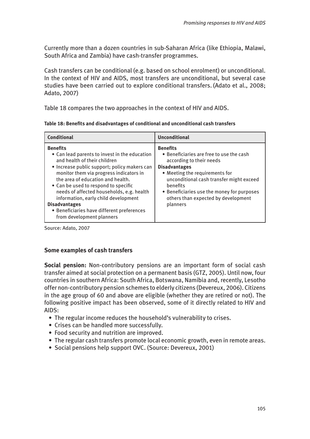Currently more than a dozen countries in sub-Saharan Africa (like Ethiopia, Malawi, South Africa and Zambia) have cash-transfer programmes.

Cash transfers can be conditional (e.g. based on school enrolment) or unconditional. In the context of HIV and AIDS, most transfers are unconditional, but several case studies have been carried out to explore conditional transfers. (Adato et al., 2008; Adato, 2007)

Table 18 compares the two approaches in the context of HIV and AIDS.

| Table 18: Benefits and disadvantages of conditional and unconditional cash transfers |  |  |  |
|--------------------------------------------------------------------------------------|--|--|--|
|--------------------------------------------------------------------------------------|--|--|--|

| <b>Conditional</b>                                                                                                                                                                                                                                                                                                                                                                                                                                               | <b>Unconditional</b>                                                                                                                                                                                                                                                                                       |
|------------------------------------------------------------------------------------------------------------------------------------------------------------------------------------------------------------------------------------------------------------------------------------------------------------------------------------------------------------------------------------------------------------------------------------------------------------------|------------------------------------------------------------------------------------------------------------------------------------------------------------------------------------------------------------------------------------------------------------------------------------------------------------|
| <b>Benefits</b><br>• Can lead parents to invest in the education<br>and health of their children<br>• Increase public support; policy makers can<br>monitor them via progress indicators in<br>the area of education and health.<br>• Can be used to respond to specific<br>needs of affected households, e.g. health<br>information, early child development<br><b>Disadvantages</b><br>• Beneficiaries have different preferences<br>from development planners | <b>Benefits</b><br>• Beneficiaries are free to use the cash<br>according to their needs<br><b>Disadvantages</b><br>• Meeting the requirements for<br>unconditional cash transfer might exceed<br>benefits<br>• Beneficiaries use the money for purposes<br>others than expected by development<br>planners |

Source: Adato, 2007

# **Some examples of cash transfers**

**Social pension:** Non-contributory pensions are an important form of social cash transfer aimed at social protection on a permanent basis (GTZ, 2005). Until now, four countries in southern Africa: South Africa, Botswana, Namibia and, recently, Lesotho offer non-contributory pension schemes to elderly citizens (Devereux, 2006). Citizens in the age group of 60 and above are eligible (whether they are retired or not). The following positive impact has been observed, some of it directly related to HIV and AIDS:

- The regular income reduces the household's vulnerability to crises.
- Crises can be handled more successfully.
- Food security and nutrition are improved.
- The regular cash transfers promote local economic growth, even in remote areas.
- Social pensions help support OVC. (Source: Devereux, 2001)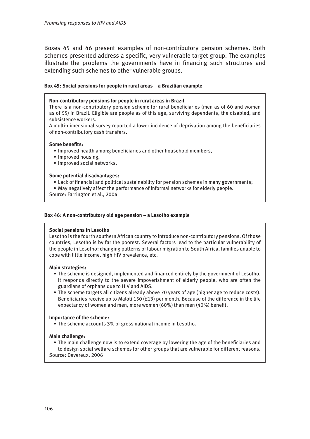Boxes 45 and 46 present examples of non-contributory pension schemes. Both schemes presented address a specific, very vulnerable target group. The examples illustrate the problems the governments have in financing such structures and extending such schemes to other vulnerable groups.

# **Box 45: Social pensions for people in rural areas – a Brazilian example**

### **Non-contributory pensions for people in rural areas in Brazil**

There is a non-contributory pension scheme for rural beneficiaries (men as of 60 and women as of 55) in Brazil. Eligible are people as of this age, surviving dependents, the disabled, and subsistence workers.

A multi-dimensional survey reported a lower incidence of deprivation among the beneficiaries of non-contributory cash transfers.

## **Some benefits:**

- Improved health among beneficiaries and other household members,
- Improved housing,
- Improved social networks.

### **Some potential disadvantages:**

- Lack of financial and political sustainability for pension schemes in many governments;
- May negatively affect the performance of informal networks for elderly people.

Source: Farrington et al., 2004

## **Box 46: A non-contributory old age pension – a Lesotho example**

# **Social pensions in Lesotho**

Lesotho is the fourth southern African country to introduce non-contributory pensions. Of those countries, Lesotho is by far the poorest. Several factors lead to the particular vulnerability of the people in Lesotho: changing patterns of labour migration to South Africa, families unable to cope with little income, high HIV prevalence, etc.

### **Main strategies:**

- The scheme is designed, implemented and financed entirely by the government of Lesotho. It responds directly to the severe impoverishment of elderly people, who are often the guardians of orphans due to HIV and AIDS.
- The scheme targets all citizens already above 70 years of age (higher age to reduce costs). Beneficiaries receive up to Maloti 150 (£13) per month. Because of the difference in the life expectancy of women and men, more women (60%) than men (40%) benefit.

# **Importance of the scheme:**

• The scheme accounts 3% of gross national income in Lesotho.

# **Main challenge:**

• The main challenge now is to extend coverage by lowering the age of the beneficiaries and to design social welfare schemes for other groups that are vulnerable for different reasons. Source: Devereux, 2006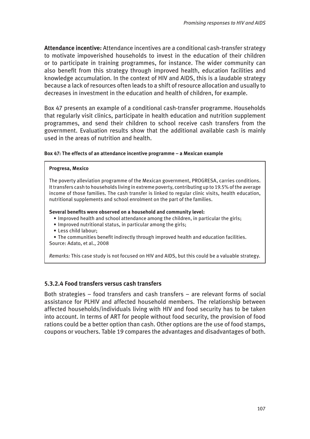**Attendance incentive:** Attendance incentives are a conditional cash-transfer strategy to motivate impoverished households to invest in the education of their children or to participate in training programmes, for instance. The wider community can also benefit from this strategy through improved health, education facilities and knowledge accumulation. In the context of HIV and AIDS, this is a laudable strategy because a lack of resources often leads to a shift of resource allocation and usually to decreases in investment in the education and health of children, for example.

Box 47 presents an example of a conditional cash-transfer programme. Households that regularly visit clinics, participate in health education and nutrition supplement programmes, and send their children to school receive cash transfers from the government. Evaluation results show that the additional available cash is mainly used in the areas of nutrition and health.

## **Box 47: The effects of an attendance incentive programme – a Mexican example**

### **Progresa, Mexico**

The poverty alleviation programme of the Mexican government, PROGRESA, carries conditions. It transfers cash to households living in extreme poverty, contributing up to 19.5% of the average income of those families. The cash transfer is linked to regular clinic visits, health education, nutritional supplements and school enrolment on the part of the families.

### **Several benefits were observed on a household and community level:**

- Improved health and school attendance among the children, in particular the girls;
- Improved nutritional status, in particular among the girls;
- Less child labour;

• The communities benefit indirectly through improved health and education facilities. Source: Adato, et al., 2008

*Remarks:* This case study is not focused on HIV and AIDS, but this could be a valuable strategy.

# **5.3.2.4 Food transfers versus cash transfers**

Both strategies – food transfers and cash transfers – are relevant forms of social assistance for PLHIV and affected household members. The relationship between affected households/individuals living with HIV and food security has to be taken into account. In terms of ART for people without food security, the provision of food rations could be a better option than cash. Other options are the use of food stamps, coupons or vouchers. Table 19 compares the advantages and disadvantages of both.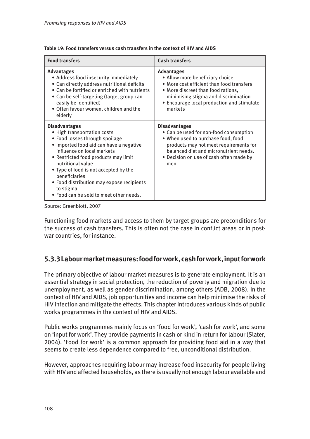| <b>Food transfers</b>                                                                                                                                                                                                                                                                                                                                                                      | <b>Cash transfers</b>                                                                                                                                                                                                                      |  |
|--------------------------------------------------------------------------------------------------------------------------------------------------------------------------------------------------------------------------------------------------------------------------------------------------------------------------------------------------------------------------------------------|--------------------------------------------------------------------------------------------------------------------------------------------------------------------------------------------------------------------------------------------|--|
| <b>Advantages</b><br>• Address food insecurity immediately<br>• Can directly address nutritional deficits<br>• Can be fortified or enriched with nutrients<br>• Can be self-targeting (target group can<br>easily be identified)<br>• Often favour women, children and the<br>elderly                                                                                                      | <b>Advantages</b><br>• Allow more beneficiary choice<br>• More cost efficient than food transfers<br>. More discreet than food rations,<br>minimising stigma and discrimination<br>• Encourage local production and stimulate<br>markets   |  |
| <b>Disadvantages</b><br>• High transportation costs<br>• Food losses through spoilage<br>· Imported food aid can have a negative<br>influence on local markets<br>• Restricted food products may limit<br>nutritional value<br>• Type of food is not accepted by the<br>beneficiaries<br>• Food distribution may expose recipients<br>to stigma<br>• Food can be sold to meet other needs. | <b>Disadvantages</b><br>• Can be used for non-food consumption<br>. When used to purchase food, food<br>products may not meet requirements for<br>balanced diet and micronutrient needs.<br>• Decision on use of cash often made by<br>men |  |

Source: Greenblott, 2007

Functioning food markets and access to them by target groups are preconditions for the success of cash transfers. This is often not the case in conflict areas or in postwar countries, for instance.

# **5.3.3 Labour market measures: food for work, cash for work, input for work**

The primary objective of labour market measures is to generate employment. It is an essential strategy in social protection, the reduction of poverty and migration due to unemployment, as well as gender discrimination, among others (ADB, 2008). In the context of HIV and AIDS, job opportunities and income can help minimise the risks of HIV infection and mitigate the effects. This chapter introduces various kinds of public works programmes in the context of HIV and AIDS.

Public works programmes mainly focus on 'food for work', 'cash for work', and some on 'input for work'. They provide payments in cash or kind in return for labour (Slater, 2004). 'Food for work' is a common approach for providing food aid in a way that seems to create less dependence compared to free, unconditional distribution.

However, approaches requiring labour may increase food insecurity for people living with HIV and affected households, as there is usually not enough labour available and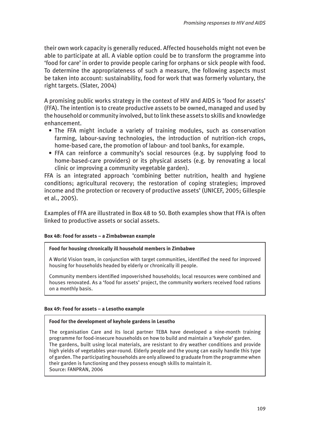their own work capacity is generally reduced. Affected households might not even be able to participate at all. A viable option could be to transform the programme into 'food for care' in order to provide people caring for orphans or sick people with food. To determine the appropriateness of such a measure, the following aspects must be taken into account: sustainability, food for work that was formerly voluntary, the right targets. (Slater, 2004)

A promising public works strategy in the context of HIV and AIDS is 'food for assets' (FFA). The intention is to create productive assets to be owned, managed and used by the household or community involved, but to link these assets to skills and knowledge enhancement.

- The FFA might include a variety of training modules, such as conservation farming, labour-saving technologies, the introduction of nutrition-rich crops, home-based care, the promotion of labour- and tool banks, for example.
- FFA can reinforce a community's social resources (e.g. by supplying food to home-based-care providers) or its physical assets (e.g. by renovating a local clinic or improving a community vegetable garden).

FFA is an integrated approach 'combining better nutrition, health and hygiene conditions; agricultural recovery; the restoration of coping strategies; improved income and the protection or recovery of productive assets' (UNICEF, 2005; Gillespie et al., 2005).

Examples of FFA are illustrated in Box 48 to 50. Both examples show that FFA is often linked to productive assets or social assets.

#### **Box 48: Food for assets – a Zimbabwean example**

#### **Food for housing chronically ill household members in Zimbabwe**

A World Vision team, in conjunction with target communities, identified the need for improved housing for households headed by elderly or chronically ill people.

Community members identified impoverished households; local resources were combined and houses renovated. As a 'food for assets' project, the community workers received food rations on a monthly basis.

#### **Box 49: Food for assets – a Lesotho example**

#### **Food for the development of keyhole gardens in Lesotho**

The organisation Care and its local partner TEBA have developed a nine-month training programme for food-insecure households on how to build and maintain a 'keyhole' garden. The gardens, built using local materials, are resistant to dry weather conditions and provide high yields of vegetables year-round. Elderly people and the young can easily handle this type of garden. The participating households are only allowed to graduate from the programme when their garden is functioning and they possess enough skills to maintain it. Source: FANPRAN, 2006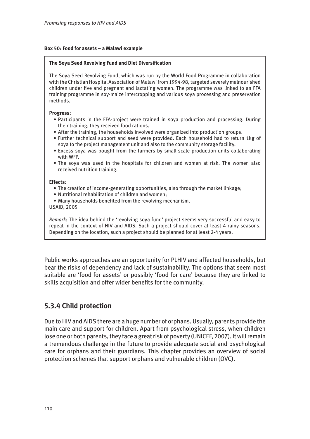#### **Box 50: Food for assets – a Malawi example**

#### **The Soya Seed Revolving Fund and Diet Diversification**

The Soya Seed Revolving Fund, which was run by the World Food Programme in collaboration with the Christian Hospital Association of Malawi from 1994-98, targeted severely malnourished children under five and pregnant and lactating women. The programme was linked to an FFA training programme in soy-maize intercropping and various soya processing and preservation methods.

#### **Progress:**

- Participants in the FFA-project were trained in soya production and processing. During their training, they received food rations.
- After the training, the households involved were organized into production groups.
- Further technical support and seed were provided. Each household had to return 1kg of soya to the project management unit and also to the community storage facility.
- Excess soya was bought from the farmers by small-scale production units collaborating with WFP.
- The soya was used in the hospitals for children and women at risk. The women also received nutrition training.

#### **Effects:**

- The creation of income-generating opportunities, also through the market linkage;
- Nutritional rehabilitation of children and women;
- Many households benefited from the revolving mechanism.
- USAID, 2005

*Remark:* The idea behind the 'revolving soya fund' project seems very successful and easy to repeat in the context of HIV and AIDS. Such a project should cover at least 4 rainy seasons. Depending on the location, such a project should be planned for at least 2-4 years.

Public works approaches are an opportunity for PLHIV and affected households, but bear the risks of dependency and lack of sustainability. The options that seem most suitable are 'food for assets' or possibly 'food for care' because they are linked to skills acquisition and offer wider benefits for the community.

# **5.3.4 Child protection**

Due to HIV and AIDS there are a huge number of orphans. Usually, parents provide the main care and support for children. Apart from psychological stress, when children lose one or both parents, they face a great risk of poverty (UNICEF, 2007). It will remain a tremendous challenge in the future to provide adequate social and psychological care for orphans and their guardians. This chapter provides an overview of social protection schemes that support orphans and vulnerable children (OVC).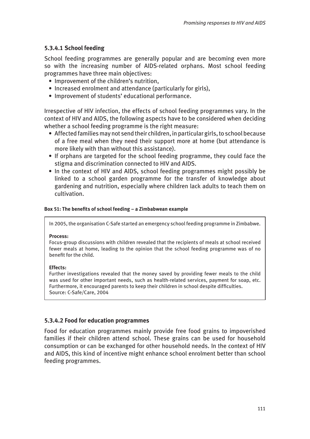# **5.3.4.1 School feeding**

School feeding programmes are generally popular and are becoming even more so with the increasing number of AIDS-related orphans. Most school feeding programmes have three main objectives:

- Improvement of the children's nutrition,
- Increased enrolment and attendance (particularly for girls),
- Improvement of students' educational performance.

Irrespective of HIV infection, the effects of school feeding programmes vary. In the context of HIV and AIDS, the following aspects have to be considered when deciding whether a school feeding programme is the right measure:

- Affected families may not send their children, in particular girls, to school because of a free meal when they need their support more at home (but attendance is more likely with than without this assistance).
- If orphans are targeted for the school feeding programme, they could face the stigma and discrimination connected to HIV and AIDS.
- In the context of HIV and AIDS, school feeding programmes might possibly be linked to a school garden programme for the transfer of knowledge about gardening and nutrition, especially where children lack adults to teach them on cultivation.

### **Box 51: The benefits of school feeding – a Zimbabwean example**

In 2005, the organisation C-Safe started an emergency school feeding programme in Zimbabwe.

#### **Process:**

Focus-group discussions with children revealed that the recipients of meals at school received fewer meals at home, leading to the opinion that the school feeding programme was of no benefit for the child.

#### **Effects:**

Further investigations revealed that the money saved by providing fewer meals to the child was used for other important needs, such as health-related services, payment for soap, etc. Furthermore, it encouraged parents to keep their children in school despite difficulties. Source: C-Safe/Care, 2004

### **5.3.4.2 Food for education programmes**

Food for education programmes mainly provide free food grains to impoverished families if their children attend school. These grains can be used for household consumption or can be exchanged for other household needs. In the context of HIV and AIDS, this kind of incentive might enhance school enrolment better than school feeding programmes.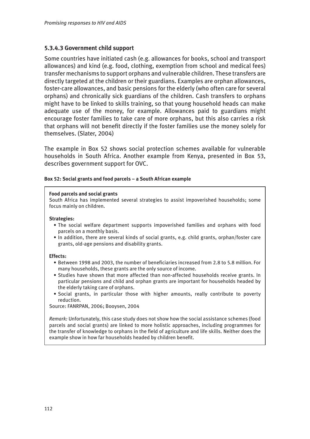### **5.3.4.3 Government child support**

Some countries have initiated cash (e.g. allowances for books, school and transport allowances) and kind (e.g. food, clothing, exemption from school and medical fees) transfer mechanisms to support orphans and vulnerable children. These transfers are directly targeted at the children or their guardians. Examples are orphan allowances, foster-care allowances, and basic pensions for the elderly (who often care for several orphans) and chronically sick guardians of the children. Cash transfers to orphans might have to be linked to skills training, so that young household heads can make adequate use of the money, for example. Allowances paid to guardians might encourage foster families to take care of more orphans, but this also carries a risk that orphans will not benefit directly if the foster families use the money solely for themselves. (Slater, 2004)

The example in Box 52 shows social protection schemes available for vulnerable households in South Africa. Another example from Kenya, presented in Box 53, describes government support for OVC.

#### **Box 52: Social grants and food parcels – a South African example**

#### **Food parcels and social grants**

South Africa has implemented several strategies to assist impoverished households; some focus mainly on children.

#### **Strategies:**

- The social welfare department supports impoverished families and orphans with food parcels on a monthly basis.
- In addition, there are several kinds of social grants, e.g. child grants, orphan/foster care grants, old-age pensions and disability grants.

#### **Effects:**

- Between 1998 and 2003, the number of beneficiaries increased from 2.8 to 5.8 million. For many households, these grants are the only source of income.
- Studies have shown that more affected than non-affected households receive grants. In particular pensions and child and orphan grants are important for households headed by the elderly taking care of orphans.
- Social grants, in particular those with higher amounts, really contribute to poverty reduction.

Source: FANRPAN, 2006; Booysen, 2004

*Remark:* Unfortunately, this case study does not show how the social assistance schemes (food parcels and social grants) are linked to more holistic approaches, including programmes for the transfer of knowledge to orphans in the field of agriculture and life skills. Neither does the example show in how far households headed by children benefit.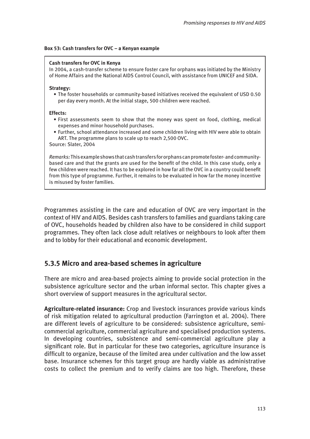#### **Box 53: Cash transfers for OVC – a Kenyan example**

#### **Cash transfers for OVC in Kenya**

In 2004, a cash-transfer scheme to ensure foster care for orphans was initiated by the Ministry of Home Affairs and the National AIDS Control Council, with assistance from UNICEF and SIDA.

#### **Strategy:**

• The foster households or community-based initiatives received the equivalent of USD 0.50 per day every month. At the initial stage, 500 children were reached.

#### **Effects:**

- First assessments seem to show that the money was spent on food, clothing, medical expenses and minor household purchases.
- Further, school attendance increased and some children living with HIV were able to obtain ART. The programme plans to scale up to reach 2,500 OVC.

Source: Slater, 2004

*Remarks:* This example shows that cash transfers for orphans can promote foster- and communitybased care and that the grants are used for the benefit of the child. In this case study, only a few children were reached. It has to be explored in how far all the OVC in a country could benefit from this type of programme. Further, it remains to be evaluated in how far the money incentive is misused by foster families.

Programmes assisting in the care and education of OVC are very important in the context of HIV and AIDS. Besides cash transfers to families and guardians taking care of OVC, households headed by children also have to be considered in child support programmes. They often lack close adult relatives or neighbours to look after them and to lobby for their educational and economic development.

# **5.3.5 Micro and area-based schemes in agriculture**

There are micro and area-based projects aiming to provide social protection in the subsistence agriculture sector and the urban informal sector. This chapter gives a short overview of support measures in the agricultural sector.

**Agriculture-related insurance:** Crop and livestock insurances provide various kinds of risk mitigation related to agricultural production (Farrington et al. 2004). There are different levels of agriculture to be considered: subsistence agriculture, semicommercial agriculture, commercial agriculture and specialised production systems. In developing countries, subsistence and semi-commercial agriculture play a significant role. But in particular for these two categories, agriculture insurance is difficult to organize, because of the limited area under cultivation and the low asset base. Insurance schemes for this target group are hardly viable as administrative costs to collect the premium and to verify claims are too high. Therefore, these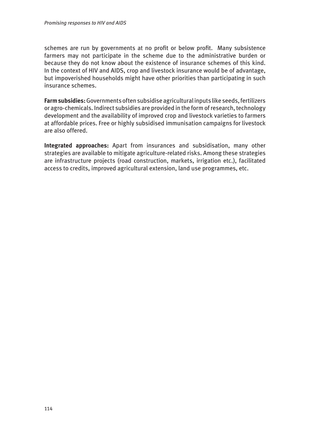schemes are run by governments at no profit or below profit. Many subsistence farmers may not participate in the scheme due to the administrative burden or because they do not know about the existence of insurance schemes of this kind. In the context of HIV and AIDS, crop and livestock insurance would be of advantage, but impoverished households might have other priorities than participating in such insurance schemes.

**Farm subsidies:** Governments often subsidise agricultural inputs like seeds, fertilizers or agro-chemicals. Indirect subsidies are provided in the form of research, technology development and the availability of improved crop and livestock varieties to farmers at affordable prices. Free or highly subsidised immunisation campaigns for livestock are also offered.

**Integrated approaches:** Apart from insurances and subsidisation, many other strategies are available to mitigate agriculture-related risks. Among these strategies are infrastructure projects (road construction, markets, irrigation etc.), facilitated access to credits, improved agricultural extension, land use programmes, etc.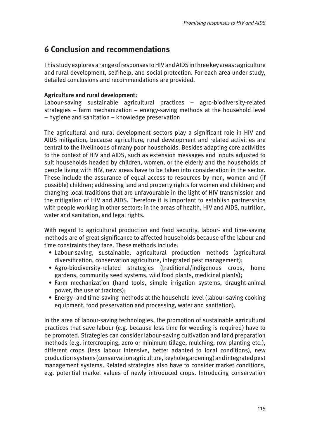# **6 Conclusion and recommendations**

This study explores a range of responses to HIV and AIDS in three key areas: agriculture and rural development, self-help, and social protection. For each area under study, detailed conclusions and recommendations are provided.

# **Agriculture and rural development:**

Labour-saving sustainable agricultural practices – agro-biodiversity-related strategies – farm mechanization – energy-saving methods at the household level – hygiene and sanitation – knowledge preservation

The agricultural and rural development sectors play a significant role in HIV and AIDS mitigation, because agriculture, rural development and related activities are central to the livelihoods of many poor households. Besides adapting core activities to the context of HIV and AIDS, such as extension messages and inputs adjusted to suit households headed by children, women, or the elderly and the households of people living with HIV, new areas have to be taken into consideration in the sector. These include the assurance of equal access to resources by men, women and (if possible) children; addressing land and property rights for women and children; and changing local traditions that are unfavourable in the light of HIV transmission and the mitigation of HIV and AIDS. Therefore it is important to establish partnerships with people working in other sectors: in the areas of health, HIV and AIDS, nutrition, water and sanitation, and legal rights.

With regard to agricultural production and food security, labour- and time-saving methods are of great significance to affected households because of the labour and time constraints they face. These methods include:

- Labour-saving, sustainable, agricultural production methods (agricultural diversification, conservation agriculture, integrated pest management);
- Agro-biodiversity-related strategies (traditional/indigenous crops, home gardens, community seed systems, wild food plants, medicinal plants);
- Farm mechanization (hand tools, simple irrigation systems, draught-animal power, the use of tractors);
- Energy- and time-saving methods at the household level (labour-saving cooking equipment, food preservation and processing, water and sanitation).

In the area of labour-saving technologies, the promotion of sustainable agricultural practices that save labour (e.g. because less time for weeding is required) have to be promoted. Strategies can consider labour-saving cultivation and land preparation methods (e.g. intercropping, zero or minimum tillage, mulching, row planting etc.), different crops (less labour intensive, better adapted to local conditions), new production systems (conservation agriculture, keyhole gardening) and integrated pest management systems. Related strategies also have to consider market conditions, e.g. potential market values of newly introduced crops. Introducing conservation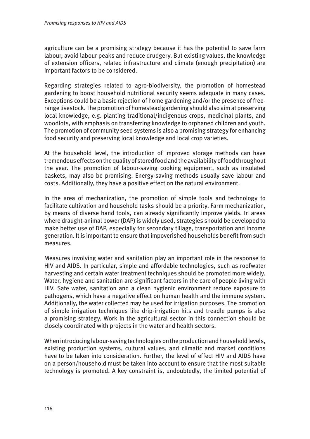agriculture can be a promising strategy because it has the potential to save farm labour, avoid labour peaks and reduce drudgery. But existing values, the knowledge of extension officers, related infrastructure and climate (enough precipitation) are important factors to be considered.

Regarding strategies related to agro-biodiversity, the promotion of homestead gardening to boost household nutritional security seems adequate in many cases. Exceptions could be a basic rejection of home gardening and/or the presence of freerange livestock. The promotion of homestead gardening should also aim at preserving local knowledge, e.g. planting traditional/indigenous crops, medicinal plants, and woodlots, with emphasis on transferring knowledge to orphaned children and youth. The promotion of community seed systems is also a promising strategy for enhancing food security and preserving local knowledge and local crop varieties.

At the household level, the introduction of improved storage methods can have tremendous effects on the quality of stored food and the availability of food throughout the year. The promotion of labour-saving cooking equipment, such as insulated baskets, may also be promising. Energy-saving methods usually save labour and costs. Additionally, they have a positive effect on the natural environment.

In the area of mechanization, the promotion of simple tools and technology to facilitate cultivation and household tasks should be a priority. Farm mechanization, by means of diverse hand tools, can already significantly improve yields. In areas where draught-animal power (DAP) is widely used, strategies should be developed to make better use of DAP, especially for secondary tillage, transportation and income generation. It is important to ensure that impoverished households benefit from such measures.

Measures involving water and sanitation play an important role in the response to HIV and AIDS. In particular, simple and affordable technologies, such as roofwater harvesting and certain water treatment techniques should be promoted more widely. Water, hygiene and sanitation are significant factors in the care of people living with HIV. Safe water, sanitation and a clean hygienic environment reduce exposure to pathogens, which have a negative effect on human health and the immune system. Additionally, the water collected may be used for irrigation purposes. The promotion of simple irrigation techniques like drip-irrigation kits and treadle pumps is also a promising strategy. Work in the agricultural sector in this connection should be closely coordinated with projects in the water and health sectors.

When introducing labour-saving technologies on the production and household levels, existing production systems, cultural values, and climatic and market conditions have to be taken into consideration. Further, the level of effect HIV and AIDS have on a person/household must be taken into account to ensure that the most suitable technology is promoted. A key constraint is, undoubtedly, the limited potential of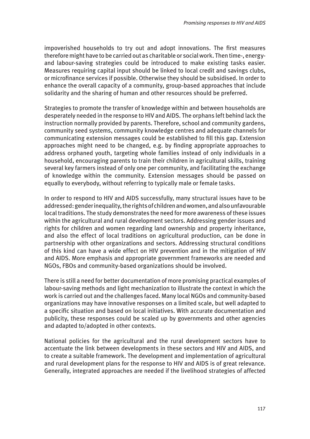impoverished households to try out and adopt innovations. The first measures therefore might have to be carried out as charitable or social work. Then time-, energyand labour-saving strategies could be introduced to make existing tasks easier. Measures requiring capital input should be linked to local credit and savings clubs, or microfinance services if possible. Otherwise they should be subsidised. In order to enhance the overall capacity of a community, group-based approaches that include solidarity and the sharing of human and other resources should be preferred.

Strategies to promote the transfer of knowledge within and between households are desperately needed in the response to HIV and AIDS. The orphans left behind lack the instruction normally provided by parents. Therefore, school and community gardens, community seed systems, community knowledge centres and adequate channels for communicating extension messages could be established to fill this gap. Extension approaches might need to be changed, e.g. by finding appropriate approaches to address orphaned youth, targeting whole families instead of only individuals in a household, encouraging parents to train their children in agricultural skills, training several key farmers instead of only one per community, and facilitating the exchange of knowledge within the community. Extension messages should be passed on equally to everybody, without referring to typically male or female tasks.

In order to respond to HIV and AIDS successfully, many structural issues have to be addressed: gender inequality, the rights of children and women, and also unfavourable local traditions. The study demonstrates the need for more awareness of these issues within the agricultural and rural development sectors. Addressing gender issues and rights for children and women regarding land ownership and property inheritance, and also the effect of local traditions on agricultural production, can be done in partnership with other organizations and sectors. Addressing structural conditions of this kind can have a wide effect on HIV prevention and in the mitigation of HIV and AIDS. More emphasis and appropriate government frameworks are needed and NGOs, FBOs and community-based organizations should be involved.

There is still a need for better documentation of more promising practical examples of labour-saving methods and light mechanization to illustrate the context in which the work is carried out and the challenges faced. Many local NGOs and community-based organizations may have innovative responses on a limited scale, but well adapted to a specific situation and based on local initiatives. With accurate documentation and publicity, these responses could be scaled up by governments and other agencies and adapted to/adopted in other contexts.

National policies for the agricultural and the rural development sectors have to accentuate the link between developments in these sectors and HIV and AIDS, and to create a suitable framework. The development and implementation of agricultural and rural development plans for the response to HIV and AIDS is of great relevance. Generally, integrated approaches are needed if the livelihood strategies of affected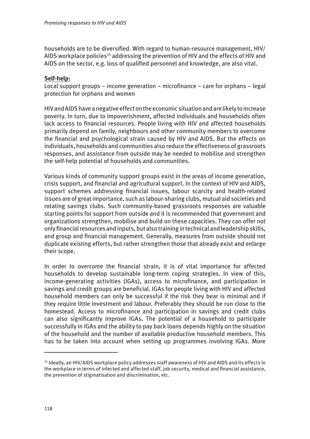households are to be diversified. With regard to human-resource management, HIV/ AIDS workplace policies<sup>25</sup> addressing the prevention of HIV and the effects of HIV and AIDS on the sector, e.g. loss of qualified personnel and knowledge, are also vital.

# **Self-help:**

Local support groups – income generation – microfinance – care for orphans – legal protection for orphans and women

HIV and AIDS have a negative effect on the economic situation and are likely to increase poverty. In turn, due to impoverishment, affected individuals and households often lack access to financial resources. People living with HIV and affected households primarily depend on family, neighbours and other community members to overcome the financial and psychological strain caused by HIV and AIDS. But the effects on individuals, households and communities also reduce the effectiveness of grassroots responses, and assistance from outside may be needed to mobilise and strengthen the self-help potential of households and communities.

Various kinds of community support groups exist in the areas of income generation, crisis support, and financial and agricultural support. In the context of HIV and AIDS, support schemes addressing financial issues, labour scarcity and health-related issues are of great importance, such as labour-sharing clubs, mutual aid societies and rotating savings clubs. Such community-based grassroots responses are valuable starting points for support from outside and it is recommended that government and organizations strengthen, mobilise and build on these capacities. They can offer not only financial resources and inputs, but also training in technical and leadership skills, and group and financial management. Generally, measures from outside should not duplicate existing efforts, but rather strengthen those that already exist and enlarge their scope.

In order to overcome the financial strain, it is of vital importance for affected households to develop sustainable long-term coping strategies. In view of this, income-generating activities (IGAs), access to microfinance, and participation in savings and credit groups are beneficial. IGAs for people living with HIV and affected household members can only be successful if the risk they bear is minimal and if they require little investment and labour. Preferably they should be run close to the homestead. Access to microfinance and participation in savings and credit clubs can also significantly improve IGAs. The potential of a household to participate successfully in IGAs and the ability to pay back loans depends highly on the situation of the household and the number of available productive household members. This has to be taken into account when setting up programmes involving IGAs. More

 $^{25}$  Ideally, an HIV/AIDS workplace policy addresses staff awareness of HIV and AIDS and its effects in the workplace in terms of infected and affected staff, job security, medical and financial assistance, the prevention of stigmatisation and discrimination, etc.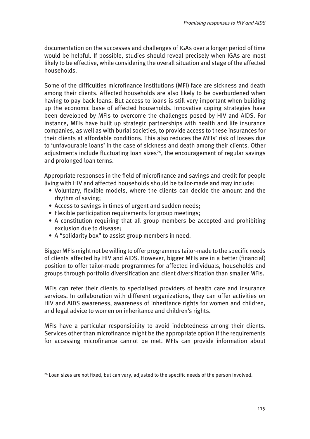documentation on the successes and challenges of IGAs over a longer period of time would be helpful. If possible, studies should reveal precisely when IGAs are most likely to be effective, while considering the overall situation and stage of the affected households.

Some of the difficulties microfinance institutions (MFI) face are sickness and death among their clients. Affected households are also likely to be overburdened when having to pay back loans. But access to loans is still very important when building up the economic base of affected households. Innovative coping strategies have been developed by MFIs to overcome the challenges posed by HIV and AIDS. For instance, MFIs have built up strategic partnerships with health and life insurance companies, as well as with burial societies, to provide access to these insurances for their clients at affordable conditions. This also reduces the MFIs' risk of losses due to 'unfavourable loans' in the case of sickness and death among their clients. Other adjustments include fluctuating loan sizes $26$ , the encouragement of regular savings and prolonged loan terms.

Appropriate responses in the field of microfinance and savings and credit for people living with HIV and affected households should be tailor-made and may include:

- Voluntary, flexible models, where the clients can decide the amount and the rhythm of saving;
- Access to savings in times of urgent and sudden needs;
- Flexible participation requirements for group meetings;
- A constitution requiring that all group members be accepted and prohibiting exclusion due to disease;
- A "solidarity box" to assist group members in need.

Bigger MFIs might not be willing to offer programmes tailor-made to the specific needs of clients affected by HIV and AIDS. However, bigger MFIs are in a better (financial) position to offer tailor-made programmes for affected individuals, households and groups through portfolio diversification and client diversification than smaller MFIs.

MFIs can refer their clients to specialised providers of health care and insurance services. In collaboration with different organizations, they can offer activities on HIV and AIDS awareness, awareness of inheritance rights for women and children, and legal advice to women on inheritance and children's rights.

MFIs have a particular responsibility to avoid indebtedness among their clients. Services other than microfinance might be the appropriate option if the requirements for accessing microfinance cannot be met. MFIs can provide information about

<sup>&</sup>lt;sup>26</sup> Loan sizes are not fixed, but can vary, adjusted to the specific needs of the person involved.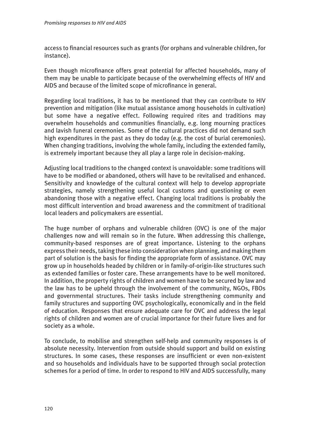access to financial resources such as grants (for orphans and vulnerable children, for instance).

Even though microfinance offers great potential for affected households, many of them may be unable to participate because of the overwhelming effects of HIV and AIDS and because of the limited scope of microfinance in general.

Regarding local traditions, it has to be mentioned that they can contribute to HIV prevention and mitigation (like mutual assistance among households in cultivation) but some have a negative effect. Following required rites and traditions may overwhelm households and communities financially, e.g. long mourning practices and lavish funeral ceremonies. Some of the cultural practices did not demand such high expenditures in the past as they do today (e.g. the cost of burial ceremonies). When changing traditions, involving the whole family, including the extended family, is extremely important because they all play a large role in decision-making.

Adjusting local traditions to the changed context is unavoidable: some traditions will have to be modified or abandoned, others will have to be revitalised and enhanced. Sensitivity and knowledge of the cultural context will help to develop appropriate strategies, namely strengthening useful local customs and questioning or even abandoning those with a negative effect. Changing local traditions is probably the most difficult intervention and broad awareness and the commitment of traditional local leaders and policymakers are essential.

The huge number of orphans and vulnerable children (OVC) is one of the major challenges now and will remain so in the future. When addressing this challenge, community-based responses are of great importance. Listening to the orphans express their needs, taking these into consideration when planning, and making them part of solution is the basis for finding the appropriate form of assistance. OVC may grow up in households headed by children or in family-of-origin-like structures such as extended families or foster care. These arrangements have to be well monitored. In addition, the property rights of children and women have to be secured by law and the law has to be upheld through the involvement of the community, NGOs, FBOs and governmental structures. Their tasks include strengthening community and family structures and supporting OVC psychologically, economically and in the field of education. Responses that ensure adequate care for OVC and address the legal rights of children and women are of crucial importance for their future lives and for society as a whole.

To conclude, to mobilise and strengthen self-help and community responses is of absolute necessity. Intervention from outside should support and build on existing structures. In some cases, these responses are insufficient or even non-existent and so households and individuals have to be supported through social protection schemes for a period of time. In order to respond to HIV and AIDS successfully, many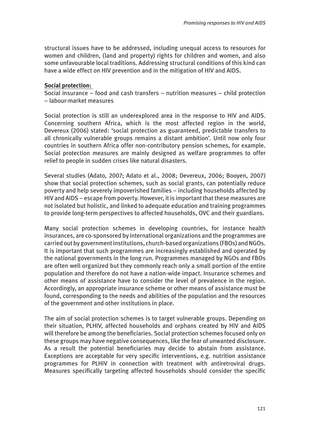structural issues have to be addressed, including unequal access to resources for women and children, (land and property) rights for children and women, and also some unfavourable local traditions. Addressing structural conditions of this kind can have a wide effect on HIV prevention and in the mitigation of HIV and AIDS.

### **Social protection:**

Social insurance – food and cash transfers – nutrition measures – child protection – labour-market measures

Social protection is still an underexplored area in the response to HIV and AIDS. Concerning southern Africa, which is the most affected region in the world, Devereux (2006) stated: 'social protection as guaranteed, predictable transfers to all chronically vulnerable groups remains a distant ambition'. Until now only four countries in southern Africa offer non-contributory pension schemes, for example. Social protection measures are mainly designed as welfare programmes to offer relief to people in sudden crises like natural disasters.

Several studies (Adato, 2007; Adato et al., 2008; Devereux, 2006; Booyen, 2007) show that social protection schemes, such as social grants, can potentially reduce poverty and help severely impoverished families – including households affected by HIV and AIDS – escape from poverty. However, it is important that these measures are not isolated but holistic, and linked to adequate education and training programmes to provide long-term perspectives to affected households, OVC and their guardians.

Many social protection schemes in developing countries, for instance health insurances, are co-sponsored by international organizations and the programmes are carried out by government institutions, church-based organizations (FBOs) and NGOs. It is important that such programmes are increasingly established and operated by the national governments in the long run. Programmes managed by NGOs and FBOs are often well organized but they commonly reach only a small portion of the entire population and therefore do not have a nation-wide impact. Insurance schemes and other means of assistance have to consider the level of prevalence in the region. Accordingly, an appropriate insurance scheme or other means of assistance must be found, corresponding to the needs and abilities of the population and the resources of the government and other institutions in place.

The aim of social protection schemes is to target vulnerable groups. Depending on their situation, PLHIV, affected households and orphans created by HIV and AIDS will therefore be among the beneficiaries. Social protection schemes focused only on these groups may have negative consequences, like the fear of unwanted disclosure. As a result the potential beneficiaries may decide to abstain from assistance. Exceptions are acceptable for very specific interventions, e.g. nutrition assistance programmes for PLHIV in connection with treatment with antiretroviral drugs. Measures specifically targeting affected households should consider the specific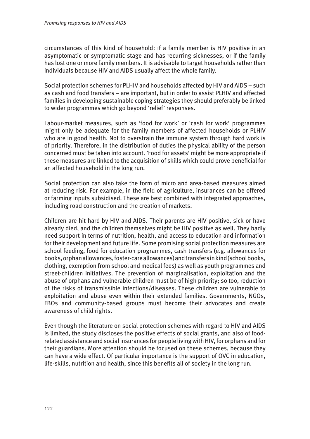circumstances of this kind of household: if a family member is HIV positive in an asymptomatic or symptomatic stage and has recurring sicknesses, or if the family has lost one or more family members. It is advisable to target households rather than individuals because HIV and AIDS usually affect the whole family.

Social protection schemes for PLHIV and households affected by HIV and AIDS – such as cash and food transfers – are important, but in order to assist PLHIV and affected families in developing sustainable coping strategies they should preferably be linked to wider programmes which go beyond 'relief' responses.

Labour-market measures, such as 'food for work' or 'cash for work' programmes might only be adequate for the family members of affected households or PLHIV who are in good health. Not to overstrain the immune system through hard work is of priority. Therefore, in the distribution of duties the physical ability of the person concerned must be taken into account. 'Food for assets' might be more appropriate if these measures are linked to the acquisition of skills which could prove beneficial for an affected household in the long run.

Social protection can also take the form of micro and area-based measures aimed at reducing risk. For example, in the field of agriculture, insurances can be offered or farming inputs subsidised. These are best combined with integrated approaches, including road construction and the creation of markets.

Children are hit hard by HIV and AIDS. Their parents are HIV positive, sick or have already died, and the children themselves might be HIV positive as well. They badly need support in terms of nutrition, health, and access to education and information for their development and future life. Some promising social protection measures are school feeding, food for education programmes, cash transfers (e.g. allowances for books, orphan allowances, foster-care allowances) and transfers in kind (school books, clothing, exemption from school and medical fees) as well as youth programmes and street-children initiatives. The prevention of marginalisation, exploitation and the abuse of orphans and vulnerable children must be of high priority; so too, reduction of the risks of transmissible infections/diseases. These children are vulnerable to exploitation and abuse even within their extended families. Governments, NGOs, FBOs and community-based groups must become their advocates and create awareness of child rights.

Even though the literature on social protection schemes with regard to HIV and AIDS is limited, the study discloses the positive effects of social grants, and also of foodrelated assistance and social insurances for people living with HIV, for orphans and for their guardians. More attention should be focused on these schemes, because they can have a wide effect. Of particular importance is the support of OVC in education, life-skills, nutrition and health, since this benefits all of society in the long run.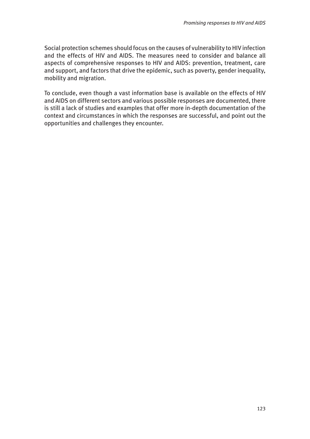Social protection schemes should focus on the causes of vulnerability to HIV infection and the effects of HIV and AIDS. The measures need to consider and balance all aspects of comprehensive responses to HIV and AIDS: prevention, treatment, care and support, and factors that drive the epidemic, such as poverty, gender inequality, mobility and migration.

To conclude, even though a vast information base is available on the effects of HIV and AIDS on different sectors and various possible responses are documented, there is still a lack of studies and examples that offer more in-depth documentation of the context and circumstances in which the responses are successful, and point out the opportunities and challenges they encounter.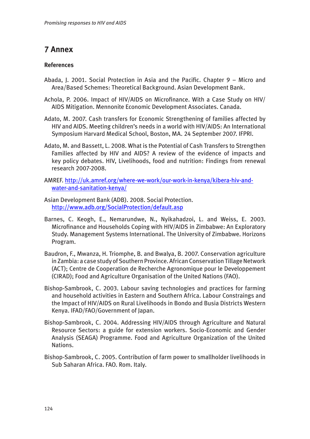# **7 Annex**

### **References**

- Abada, J. 2001. Social Protection in Asia and the Pacific. Chapter 9 Micro and Area/Based Schemes: Theoretical Background. Asian Development Bank.
- Achola, P. 2006. Impact of HIV/AIDS on Microfinance. With a Case Study on HIV/ AIDS Mitigation. Mennonite Economic Development Associates. Canada.
- Adato, M. 2007. Cash transfers for Economic Strengthening of families affected by HIV and AIDS. Meeting children's needs in a world with HIV/AIDS: An International Symposium Harvard Medical School, Boston, MA. 24 September 2007. IFPRI.
- Adato, M. and Bassett, L. 2008. What is the Potential of Cash Transfers to Strengthen Families affected by HIV and AIDS? A review of the evidence of impacts and key policy debates. HIV, Livelihoods, food and nutrition: Findings from renewal research 2007-2008.
- A[MREF. http://uk.amref.org/where-we-work/our-work-in-kenya/kibera-hiv-and](http://uk.amref.org/where-we-work/our-work-in-kenya/kibera-hiv-and-water-and-sanitation-kenya/)water-and-sanitation-kenya/
- Asian Development Bank (ADB). 2008. Social Protection. <http://www.adb.org/SocialProtection/default.asp>
- Barnes, C. Keogh, E., Nemarundwe, N., Nyikahadzoi, L. and Weiss, E. 2003. Microfinance and Households Coping with HIV/AIDS in Zimbabwe: An Exploratory Study. Management Systems International. The University of Zimbabwe. Horizons Program.
- Baudron, F., Mwanza, H. Triomphe, B. and Bwalya, B. 2007. Conservation agriculture in Zambia: a case study of Southern Province. African Conservation Tillage Network (ACT); Centre de Cooperation de Recherche Agronomique pour le Developpement (CIRAD); Food and Agriculture Organisation of the United Nations (FAO).
- Bishop-Sambrook, C. 2003. Labour saving technologies and practices for farming and household activities in Eastern and Southern Africa. Labour Constraings and the Impact of HIV/AIDS on Rural Livelihoods in Bondo and Busia Districts Western Kenya. IFAD/FAO/Government of Japan.
- Bishop-Sambrook, C. 2004. Addressing HIV/AIDS through Agriculture and Natural Resource Sectors: a guide for extension workers. Socio-Economic and Gender Analysis (SEAGA) Programme. Food and Agriculture Organization of the United Nations.
- Bishop-Sambrook, C. 2005. Contribution of farm power to smallholder livelihoods in Sub Saharan Africa. FAO. Rom. Italy.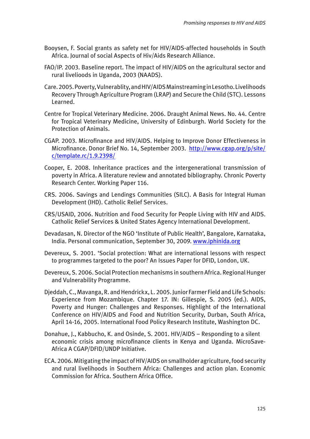- Booysen, F. Social grants as safety net for HIV/AIDS-affected households in South Africa. Journal of social Aspects of Hiv/Aids Research Alliance.
- FAO/IP. 2003. Baseline report. The impact of HIV/AIDS on the agricultural sector and rural livelioods in Uganda, 2003 (NAADS).
- Care. 2005. Poverty, Vulnerablity, and HIV/AIDS Mainstreaming in Lesotho. Livelihoods Recovery Through Agriculture Program (LRAP) and Secure the Child (STC). Lessons Learned.
- Centre for Tropical Veterinary Medicine. 2006. Draught Animal News. No. 44. Centre for Tropical Veterinary Medicine, University of Edinburgh. World Society for the Protection of Animals.
- CGAP. 2003. Microfinance and HIV/AIDS. Helping to Improve Donor Effectiveness in [Microfinance. Donor Brief No. 14, September 2003. http://www.cgap.org/p/site/](http://www.cgap.org/p/site/c/template.rc/1.9.2398/) c/template.rc/1.9.2398/
- Cooper, E. 2008. Inheritance practices and the intergenerational transmission of poverty in Africa. A literature review and annotated bibliography. Chronic Poverty Research Center. Working Paper 116.
- CRS. 2006. Savings and Lendings Communities (SILC). A Basis for Integral Human Development (IHD). Catholic Relief Services.
- CRS/USAID, 2006. Nutrition and Food Security for People Living with HIV and AIDS. Catholic Relief Services & United States Agency International Development.
- Devadasan, N. Director of the NGO 'Institute of Public Health', Bangalore, Karnataka, India. Personal communication, September 30, 2009. [www.iphinida.org](www.iphindia.org)
- Devereux, S. 2001. 'Social protection: What are international lessons with respect to programmes targeted to the poor? An Issues Paper for DFID, London, UK.
- Devereux, S. 2006. Social Protection mechanisms in southern Africa. Regional Hunger and Vulnerability Programme.
- Djeddah, C., Mavanga, R. and Hendrickx, L. 2005. Junior Farmer Field and Life Schools: Experience from Mozambique. Chapter 17. IN: Gillespie, S. 2005 (ed.). AIDS, Poverty and Hunger: Challenges and Responses. Highlight of the International Conference on HIV/AIDS and Food and Nutrition Security, Durban, South Africa, April 14-16, 2005. International Food Policy Research Institute, Washington DC.
- Donahue, J., Kabbucho, K. and Osinde, S. 2001. HIV/AIDS Responding to a silent economic crisis among microfinance clients in Kenya and Uganda. MicroSave-Africa A CGAP/DFID/UNDP Initiative.
- ECA. 2006. Mitigating the impact of HIV/AIDS on smallholder agriculture, food security and rural livelihoods in Southern Africa: Challenges and action plan. Economic Commission for Africa. Southern Africa Office.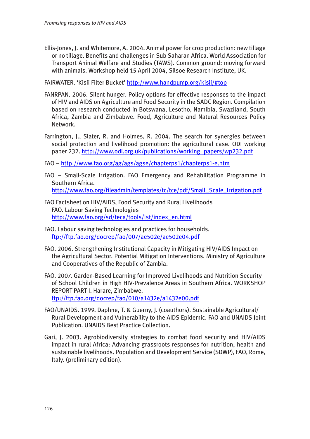Ellis-Jones, J. and Whitemore, A. 2004. Animal power for crop production: new tillage or no tillage. Benefits and challenges in Sub Saharan Africa. World Association for Transport Animal Welfare and Studies (TAWS). Common ground: moving forward with animals. Workshop held 15 April 2004, Silsoe Research Institute, UK.

FAIRWATER. 'Kisii Filter Bucket' <http://www.handpump.org/kisii/#top>

- FANRPAN. 2006. Silent hunger. Policy options for effective responses to the impact of HIV and AIDS on Agriculture and Food Security in the SADC Region. Compilation based on research conducted in Botswana, Lesotho, Namibia, Swaziland, South Africa, Zambia and Zimbabwe. Food, Agriculture and Natural Resources Policy Network.
- Farrington, J., Slater, R. and Holmes, R. 2004. The search for synergies between social protection and livelihood promotion: the agricultural case. ODI working paper 232. [http://www.odi.org.uk/publications/working\\_papers/wp232.pdf](http://www.odi.org.uk/publications/working_papers/wp232.pdf)
- FAO –<http://www.fao.org/ag/ags/agse/chapterps1/chapterps1-e.htm>
- FAO Small-Scale Irrigation. FAO Emergency and Rehabilitation Programme in Southern Africa. [http://www.fao.org/fileadmin/templates/tc/tce/pdf/Small\\_Scale\\_Irrigation.pdf](http://www.fao.org/fileadmin/templates/tc/tce/pdf/Small_Scale_Irrigation.pdf)
- FAO Factsheet on HIV/AIDS, Food Security and Rural Livelihoods FAO. Labour Saving Technologies [http://www.fao.org/sd/teca/tools/lst/index\\_en.html](http://www.fao.org/sd/teca/tools/lst/index_en.html)
- FAO. Labour saving technologies and practices for households. <ftp://ftp.fao.org/docrep/fao/007/ae502e/ae502e04.pdf>
- FAO. 2006. Strengthening Institutional Capacity in Mitigating HIV/AIDS Impact on the Agricultural Sector. Potential Mitigation Interventions. Ministry of Agriculture and Cooperatives of the Republic of Zambia.
- FAO. 2007. Garden-Based Learning for Improved Livelihoods and Nutrition Security of School Children in High HIV-Prevalence Areas in Southern Africa. WORKSHOP REPORT PART I. Harare, Zimbabwe. <ftp://ftp.fao.org/docrep/fao/010/a1432e/a1432e00.pdf>
- FAO/UNAIDS. 1999. Daphne, T. & Guerny, J. (coauthors). Sustainable Agricultural/ Rural Development and Vulnerability to the AIDS Epidemic. FAO and UNAIDS Joint Publication. UNAIDS Best Practice Collection.
- Gari, J. 2003. Agrobiodiversity strategies to combat food security and HIV/AIDS impact in rural Africa: Advancing grassroots responses for nutrition, health and sustainable livelihoods. Population and Development Service (SDWP), FAO, Rome, Italy. (preliminary edition).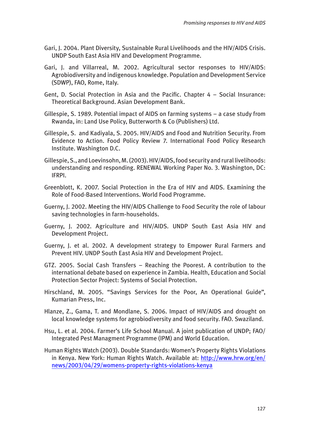- Gari, J. 2004. Plant Diversity, Sustainable Rural Livelihoods and the HIV/AIDS Crisis. UNDP South East Asia HIV and Development Programme.
- Gari, J. and Villarreal, M. 2002. Agricultural sector responses to HIV/AIDS: Agrobiodiversity and indigenous knowledge. Population and Development Service (SDWP), FAO, Rome, Italy.
- Gent, D. Social Protection in Asia and the Pacific. Chapter 4 Social Insurance: Theoretical Background. Asian Development Bank.
- Gillespie, S. 1989. Potential impact of AIDS on farming systems a case study from Rwanda, in: Land Use Policy, Butterworth & Co (Publishers) Ltd.
- Gillespie, S. and Kadiyala, S. 2005. HIV/AIDS and Food and Nutrition Security. From Evidence to Action. Food Policy Review 7. International Food Policy Research Institute. Washington D.C.
- Gillespie, S., and Loevinsohn, M. (2003). HIV/AIDS, food security and rural livelihoods: understanding and responding. RENEWAL Working Paper No. 3. Washington, DC: IFRPI.
- Greenblott, K. 2007. Social Protection in the Era of HIV and AIDS. Examining the Role of Food-Based Interventions. World Food Programme.
- Guerny, J. 2002. Meeting the HIV/AIDS Challenge to Food Security the role of labour saving technologies in farm-households.
- Guerny, J. 2002. Agriculture and HIV/AIDS. UNDP South East Asia HIV and Development Project.
- Guerny, J. et al. 2002. A development strategy to Empower Rural Farmers and Prevent HIV. UNDP South East Asia HIV and Development Project.
- GTZ. 2005. Social Cash Transfers Reaching the Poorest. A contribution to the international debate based on experience in Zambia. Health, Education and Social Protection Sector Project: Systems of Social Protection.
- Hirschland, M. 2005. "Savings Services for the Poor, An Operational Guide", Kumarian Press, Inc.
- Hlanze, Z., Gama, T. and Mondlane, S. 2006. Impact of HIV/AIDS and drought on local knowledge systems for agrobiodiversity and food security. FAO. Swaziland.
- Hsu, L. et al. 2004. Farmer's Life School Manual. A joint publication of UNDP; FAO/ Integrated Pest Managment Programme (IPM) and World Education.
- Human Rights Watch (2003). Double Standards: Women's Property Rights Violations [in Kenya. New York: Human Rights Watch. Available at: http://www.hrw.org/en/](http://www.hrw.org/en/news/2003/04/29/womens-property-rights-violations-kenya) news/2003/04/29/womens-property-rights-violations-kenya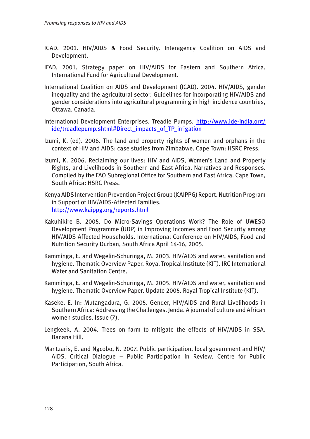- ICAD. 2001. HIV/AIDS & Food Security. Interagency Coalition on AIDS and Development.
- IFAD. 2001. Strategy paper on HIV/AIDS for Eastern and Southern Africa. International Fund for Agricultural Development.
- International Coalition on AIDS and Development (ICAD). 2004. HIV/AIDS, gender inequality and the agricultural sector. Guidelines for incorporating HIV/AIDS and gender considerations into agricultural programming in high incidence countries, Ottawa. Canada.
- Int[ernational Development Enterprises. Treadle Pumps. http://www.ide-india.org/](http://www.ide-india.org/ide/treadlepump.shtml#Direct_impacts_of_TP_irrigation) ide/treadlepump.shtml#Direct\_impacts\_of\_TP\_irrigation
- Izumi, K. (ed). 2006. The land and property rights of women and orphans in the context of HIV and AIDS: case studies from Zimbabwe. Cape Town: HSRC Press.
- Izumi, K. 2006. Reclaiming our lives: HIV and AIDS, Women's Land and Property Rights, and Livelihoods in Southern and East Africa. Narratives and Responses. Compiled by the FAO Subregional Office for Southern and East Africa. Cape Town, South Africa: HSRC Press.
- Kenya AIDS Intervention Prevention Project Group (KAIPPG) Report. Nutrition Program in Support of HIV/AIDS-Affected Families. <http://www.kaippg.org/reports.html>
- Kakuhikire B. 2005. Do Micro-Savings Operations Work? The Role of UWESO Development Programme (UDP) in Improving Incomes and Food Security among HIV/AIDS Affected Households. International Conference on HIV/AIDS, Food and Nutrition Security Durban, South Africa April 14-16, 2005.
- Kamminga, E. and Wegelin-Schuringa, M. 2003. HIV/AIDS and water, sanitation and hygiene. Thematic Overview Paper. Royal Tropical Institute (KIT). IRC International Water and Sanitation Centre.
- Kamminga, E. and Wegelin-Schuringa, M. 2005. HIV/AIDS and water, sanitation and hygiene. Thematic Overview Paper. Update 2005. Royal Tropical Institute (KIT).
- Kaseke, E. In: Mutangadura, G. 2005. Gender, HIV/AIDS and Rural Livelihoods in Southern Africa: Addressing the Challenges. Jenda. A journal of culture and African women studies. Issue (7).
- Lengkeek, A. 2004. Trees on farm to mitigate the effects of HIV/AIDS in SSA. Banana Hill.
- Mantzaris, E. and Ngcobo, N. 2007. Public participation, local government and HIV/ AIDS. Critical Dialogue – Public Participation in Review. Centre for Public Participation, South Africa.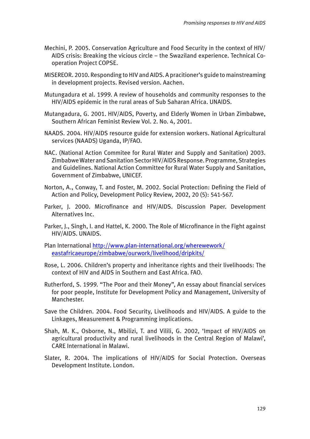- Mechini, P. 2005. Conservation Agriculture and Food Security in the context of HIV/ AIDS crisis: Breaking the vicious circle – the Swaziland experience. Technical Cooperation Project COPSE.
- MISEREOR. 2010. Responding to HIV and AIDS. A pracitioner's guide to mainstreaming in development projects. Revised version. Aachen.
- Mutungadura et al. 1999. A review of households and community responses to the HIV/AIDS epidemic in the rural areas of Sub Saharan Africa. UNAIDS.
- Mutangadura, G. 2001. HIV/AIDS, Poverty, and Elderly Women in Urban Zimbabwe, Southern African Feminist Review Vol. 2. No. 4, 2001.
- NAADS. 2004. HIV/AIDS resource guide for extension workers. National Agricultural services (NAADS) Uganda, IP/FAO.
- NAC. (National Action Commitee for Rural Water and Supply and Sanitation) 2003. Zimbabwe Water and Sanitation Sector HIV/AIDS Response. Programme, Strategies and Guidelines. National Action Committee for Rural Water Supply and Sanitation, Government of Zimbabwe, UNICEF.
- Norton, A., Conway, T. and Foster, M. 2002. Social Protection: Defining the Field of Action and Policy, Development Policy Review, 2002, 20 (5): 541-567.
- Parker, J. 2000. Microfinance and HIV/AIDS. Discussion Paper. Development Alternatives Inc.
- Parker, J., Singh, I. and Hattel, K. 2000. The Role of Microfinance in the Fight against HIV/AIDS. UNAIDS.
- Pl[an International http://www.plan-international.org/wherewework/](http://www.plan-international.org/wherewework/eastafricaeurope/zimbabwe/ourwork/livelihood/dripkits/) eastafricaeurope/zimbabwe/ourwork/livelihood/dripkits/
- Rose, L. 2006. Children's property and inheritance rights and their livelihoods: The context of HIV and AIDS in Southern and East Africa. FAO.
- Rutherford, S. 1999. "The Poor and their Money", An essay about financial services for poor people, Institute for Development Policy and Management, University of Manchester.
- Save the Children. 2004. Food Security, Livelihoods and HIV/AIDS. A guide to the Linkages, Measurement & Programming implications.
- Shah, M. K., Osborne, N., Mbilizi, T. and Vilili, G. 2002, 'Impact of HIV/AIDS on agricultural productivity and rural livelihoods in the Central Region of Malawi', CARE International in Malawi.
- Slater, R. 2004. The implications of HIV/AIDS for Social Protection. Overseas Development Institute. London.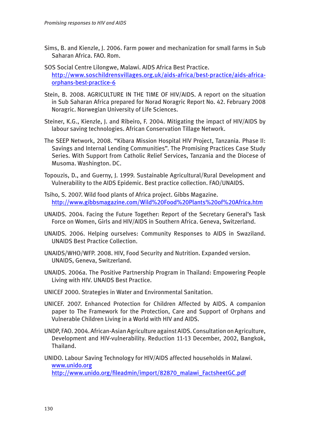- Sims, B. and Kienzle, J. 2006. Farm power and mechanization for small farms in Sub Saharan Africa. FAO. Rom.
- SOS Social Centre Lilongwe, Malawi. AIDS Africa Best Practice. [http://www.soschildrensvillages.org.uk/aids-africa/best-practice/aids-africa](http://www.soschildrensvillages.org.uk/aids-africa/best-practice/aids-africa-orphans-best-practice-6)orphans-best-practice-6
- Stein, B. 2008. AGRICULTURE IN THE TIME OF HIV/AIDS. A report on the situation in Sub Saharan Africa prepared for Norad Noragric Report No. 42. February 2008 Noragric. Norwegian University of Life Sciences.
- Steiner, K.G., Kienzle, J. and Ribeiro, F. 2004. Mitigating the impact of HIV/AIDS by labour saving technologies. African Conservation Tillage Network.
- The SEEP Network, 2008. "Kibara Mission Hospital HIV Project, Tanzania. Phase II: Savings and Internal Lending Communities". The Promising Practices Case Study Series. With Support from Catholic Relief Services, Tanzania and the Diocese of Musoma. Washington. DC.
- Topouzis, D., and Guerny, J. 1999. Sustainable Agricultural/Rural Development and Vulnerability to the AIDS Epidemic. Best practice collection. FAO/UNAIDS.
- Tsiho, S. 2007. Wild food plants of Africa project. Gibbs Magazine. <http://www.gibbsmagazine.com/Wild%20Food%20Plants%20of%20Africa.htm>
- UNAIDS. 2004. Facing the Future Together: Report of the Secretary General's Task Force on Women, Girls and HIV/AIDS in Southern Africa. Geneva, Switzerland.
- UNAIDS. 2006. Helping ourselves: Community Responses to AIDS in Swaziland. UNAIDS Best Practice Collection.
- UNAIDS/WHO/WFP. 2008. HIV, Food Security and Nutrition. Expanded version. UNAIDS, Geneva, Switzerland.
- UNAIDS. 2006a. The Positive Partnership Program in Thailand: Empowering People Living with HIV. UNAIDS Best Practice.
- UNICEF 2000. Strategies in Water and Environmental Sanitation.
- UNICEF. 2007. Enhanced Protection for Children Affected by AIDS. A companion paper to The Framework for the Protection, Care and Support of Orphans and Vulnerable Children Living in a World with HIV and AIDS.
- UNDP, FAO. 2004. African-Asian Agriculture against AIDS. Consultation on Agriculture, Development and HIV-vulnerability. Reduction 11-13 December, 2002, Bangkok, Thailand.

UNIDO. Labour Saving Technology for HIV/AIDS affected households in Malawi. <www.unido.org> [http://www.unido.org/fileadmin/import/82870\\_malawi\\_FactsheetGC.pdf](http://www.unido.org/fileadmin/import/82870_malawi_FactsheetGC.pdf)